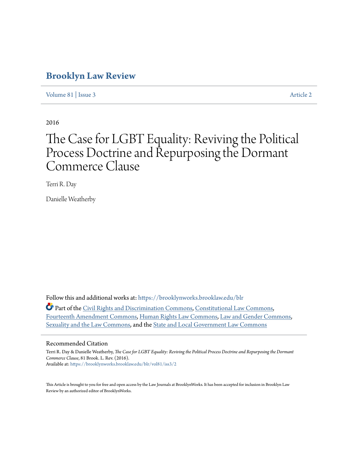# **[Brooklyn Law Review](https://brooklynworks.brooklaw.edu/blr?utm_source=brooklynworks.brooklaw.edu%2Fblr%2Fvol81%2Fiss3%2F2&utm_medium=PDF&utm_campaign=PDFCoverPages)**

[Volume 81](https://brooklynworks.brooklaw.edu/blr/vol81?utm_source=brooklynworks.brooklaw.edu%2Fblr%2Fvol81%2Fiss3%2F2&utm_medium=PDF&utm_campaign=PDFCoverPages) | [Issue 3](https://brooklynworks.brooklaw.edu/blr/vol81/iss3?utm_source=brooklynworks.brooklaw.edu%2Fblr%2Fvol81%2Fiss3%2F2&utm_medium=PDF&utm_campaign=PDFCoverPages) [Article 2](https://brooklynworks.brooklaw.edu/blr/vol81/iss3/2?utm_source=brooklynworks.brooklaw.edu%2Fblr%2Fvol81%2Fiss3%2F2&utm_medium=PDF&utm_campaign=PDFCoverPages)

2016

# The Case for LGBT Equality: Reviving the Political Process Doctrine and Repurposing the Dormant Commerce Clause

Terri R. Day

Danielle Weatherby

Follow this and additional works at: [https://brooklynworks.brooklaw.edu/blr](https://brooklynworks.brooklaw.edu/blr?utm_source=brooklynworks.brooklaw.edu%2Fblr%2Fvol81%2Fiss3%2F2&utm_medium=PDF&utm_campaign=PDFCoverPages)

Part of the [Civil Rights and Discrimination Commons,](http://network.bepress.com/hgg/discipline/585?utm_source=brooklynworks.brooklaw.edu%2Fblr%2Fvol81%2Fiss3%2F2&utm_medium=PDF&utm_campaign=PDFCoverPages) [Constitutional Law Commons](http://network.bepress.com/hgg/discipline/589?utm_source=brooklynworks.brooklaw.edu%2Fblr%2Fvol81%2Fiss3%2F2&utm_medium=PDF&utm_campaign=PDFCoverPages), [Fourteenth Amendment Commons,](http://network.bepress.com/hgg/discipline/1116?utm_source=brooklynworks.brooklaw.edu%2Fblr%2Fvol81%2Fiss3%2F2&utm_medium=PDF&utm_campaign=PDFCoverPages) [Human Rights Law Commons,](http://network.bepress.com/hgg/discipline/847?utm_source=brooklynworks.brooklaw.edu%2Fblr%2Fvol81%2Fiss3%2F2&utm_medium=PDF&utm_campaign=PDFCoverPages) [Law and Gender Commons](http://network.bepress.com/hgg/discipline/1298?utm_source=brooklynworks.brooklaw.edu%2Fblr%2Fvol81%2Fiss3%2F2&utm_medium=PDF&utm_campaign=PDFCoverPages), [Sexuality and the Law Commons](http://network.bepress.com/hgg/discipline/877?utm_source=brooklynworks.brooklaw.edu%2Fblr%2Fvol81%2Fiss3%2F2&utm_medium=PDF&utm_campaign=PDFCoverPages), and the [State and Local Government Law Commons](http://network.bepress.com/hgg/discipline/879?utm_source=brooklynworks.brooklaw.edu%2Fblr%2Fvol81%2Fiss3%2F2&utm_medium=PDF&utm_campaign=PDFCoverPages)

#### Recommended Citation

Terri R. Day & Danielle Weatherby, *The Case for LGBT Equality: Reviving the Political Process Doctrine and Repurposing the Dormant Commerce Clause*, 81 Brook. L. Rev. (2016). Available at: [https://brooklynworks.brooklaw.edu/blr/vol81/iss3/2](https://brooklynworks.brooklaw.edu/blr/vol81/iss3/2?utm_source=brooklynworks.brooklaw.edu%2Fblr%2Fvol81%2Fiss3%2F2&utm_medium=PDF&utm_campaign=PDFCoverPages)

This Article is brought to you for free and open access by the Law Journals at BrooklynWorks. It has been accepted for inclusion in Brooklyn Law Review by an authorized editor of BrooklynWorks.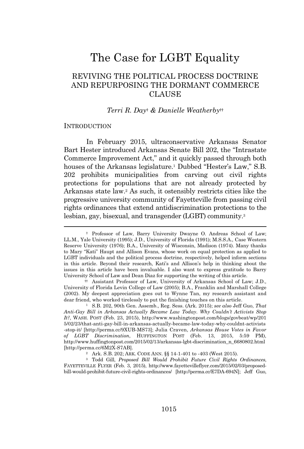# The Case for LGBT Equality

# REVIVING THE POLITICAL PROCESS DOCTRINE AND REPURPOSING THE DORMANT COMMERCE CLAUSE

#### *Terri R. Day*† *& Danielle Weatherby*††

#### **INTRODUCTION**

In February 2015, ultraconservative Arkansas Senator Bart Hester introduced Arkansas Senate Bill 202, the "Intrastate Commerce Improvement Act," and it quickly passed through both houses of the Arkansas legislature.<sup>1</sup> Dubbed "Hester's Law," S.B. 202 prohibits municipalities from carving out civil rights protections for populations that are not already protected by Arkansas state law.<sup>2</sup> As such, it ostensibly restricts cities like the progressive university community of Fayetteville from passing civil rights ordinances that extend antidiscrimination protections to the lesbian, gay, bisexual, and transgender (LGBT) community.<sup>3</sup>

†† Assistant Professor of Law, University of Arkansas School of Law; J.D., University of Florida Levin College of Law (2005); B.A., Franklin and Marshall College (2002). My deepest appreciation goes out to Wynne Tan, my research assistant and dear friend, who worked tirelessly to put the finishing touches on this article.

<sup>2</sup> Ark. S.B. 202; ARK. CODE ANN. §§ 14-1-401 to -403 (West 2015).

<sup>3</sup> Todd Gill, *Proposed Bill Would Prohibit Future Civil Rights Ordinances*, FAYETTEVILLE FLYER (Feb. 3, 2015), http://www.fayettevilleflyer.com/2015/02/03/proposedbill-would-prohibit-future-civil-rights-ordinances/ [http://perma.cc/E7DA-694N]; Jeff Guo,

<sup>†</sup> Professor of Law, Barry University Dwayne O. Andreas School of Law; LL.M., Yale University (1995); J.D., University of Florida (1991); M.S.S.A., Case Western Reserve University (1976); B.A., University of Wisconsin, Madison (1974). Many thanks to Mary "Kati" Haupt and Allison Evans, whose work on equal protection as applied to LGBT individuals and the political process doctrine, respectively, helped inform sections in this article. Beyond their research, Kati's and Allison's help in thinking about the issues in this article have been invaluable. I also want to express gratitude to Barry University School of Law and Dean Diaz for supporting the writing of this article.

<sup>1</sup> S.B. 202, 90th Gen. Assemb., Reg. Sess. (Ark. 2015); *see also* Jeff Guo, *That Anti-Gay Bill in Arkansas Actually Became Law Today. Why Couldn't Activists Stop It?*, WASH. POST (Feb. 23, 2015), http://www.washingtonpost.com/blogs/govbeat/wp/201 5/02/23/that-anti-gay-bill-in-arkansas-actually-became-law-today-why-couldnt-activists -stop-it/ [http://perma.cc/9XUB-MS73]; Julia Craven, *Arkansas House Votes in Favor of LGBT Discrimination*, HUFFINGTON POST (Feb. 13, 2015, 5:59 PM), http://www.huffingtonpost.com/2015/02/13/arkansas-lgbt-discrimination\_n\_6680802.html [http://perma.cc/6M2X-S7AB].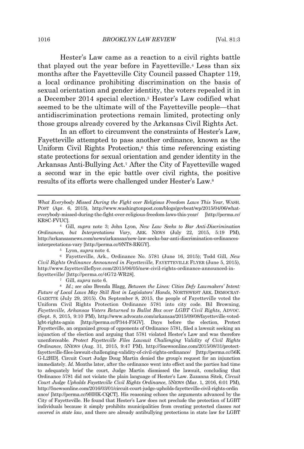Hester's Law came as a reaction to a civil rights battle that played out the year before in Fayetteville.<sup>4</sup> Less than six months after the Fayetteville City Council passed Chapter 119, a local ordinance prohibiting discrimination on the basis of sexual orientation and gender identity, the voters repealed it in a December 2014 special election.<sup>5</sup> Hester's Law codified what seemed to be the ultimate will of the Fayetteville people—that antidiscrimination protections remain limited, protecting only those groups already covered by the Arkansas Civil Rights Act.

In an effort to circumvent the constraints of Hester's Law, Fayetteville attempted to pass another ordinance, known as the Uniform Civil Rights Protection, $\epsilon$  this time referencing existing state protections for sexual orientation and gender identity in the Arkansas Anti-Bullying Act.<sup>7</sup> After the City of Fayetteville waged a second war in the epic battle over civil rights, the positive results of its efforts were challenged under Hester's Law.<sup>8</sup>

*What Everybody Missed During the Fight over Religious Freedom Laws This Year*, WASH. POST (Apr. 6, 2015), http://www.washingtonpost.com/blogs/govbeat/wp/2015/04/06/whateverybody-missed-during-the-fight-over-religious-freedom-laws-this-year/ [http://perma.cc/ KR8C-FVUC].

<sup>4</sup> Gill, *supra* note 3; John Lyon, *New Law Seeks to Bar Anti-Discrimination Ordinances, but Interpretations Vary*, ARK. NEWS (July 22, 2015, 5:19 PM), http://arkansasnews.com/news/arkansas/new-law-seeks-bar-anti-discrimination-ordinancesinterpretations-vary [http://perma.cc/9NT8-RKGY].

<sup>5</sup> Lyon, *supra* note 4.

<sup>6</sup> Fayetteville, Ark., Ordinance No. 5781 (June 16, 2015); Todd Gill, *New Civil Rights Ordinance Announced in Fayetteville*, FAYETTEVILLE FLYER (June 5, 2015), http://www.fayettevilleflyer.com/2015/06/05/new-civil-rights-ordinance-announced-infayetteville/ [http://perma.cc/4G72-WR28].

<sup>7</sup> Gill, *supra* note 6.

<sup>8</sup> *Id*.; *see also* Brenda Blagg, *Between the Lines: Cities Defy Lawmakers' Intent: Future of Local Laws May Still Rest in Legislators' Hands*, NORTHWEST ARK. DEMOCRAT-GAZETTE (July 29, 2015). On September 8, 2015, the people of Fayetteville voted the Uniform Civil Rights Protection Ordinance 5781 into city code. Bil Browning, *Fayetteville, Arkansas Voters Returned to Ballot Box over LGBT Civil Rights*, ADVOC. (Sept. 8, 2015, 9:10 PM), http://www.advocate.com/arkansas/2015/09/08/fayetteville-votedlgbt-rights-again [http://perma.cc/P344-F5GV]. Days before the election, Protect Fayetteville, an organized group of opponents of Ordinance 5781, filed a lawsuit seeking an injunction of the election and arguing that 5781 violated Hester's Law and was therefore unenforceable. *Protect Fayetteville Files Lawsuit Challenging Validity of Civil Rights Ordinance*, 5NEWS (Aug. 31, 2015, 9:47 PM), http://5newsonline.com/2015/08/31/protectfayetteville-files-lawsuit-challenging-validity-of-civil-rights-ordinance/ [http://perma.cc/56K G-L2HD]. Circuit Court Judge Doug Martin denied the group's request for an injunction immediately. *Id.* Months later, after the ordinance went into effect and the parties had time to adequately brief the court, Judge Martin dismissed the lawsuit, concluding that Ordinance 5781 did not violate the plain language of Hester's Law. Zuzanna Sitek, *Circuit Court Judge Upholds Fayetteville Civil Rights Ordinance*, 5NEWS (Mar. 1, 2016, 6:01 PM), http://5newsonline.com/2016/03/01/circuit-court-judge-upholds-fayetteville-civil-rights-ordin ance/ [http://perma.cc/9HHK-CQCT]. His reasoning echoes the arguments advanced by the City of Fayetteville. He found that Hester's Law does not preclude the protection of LGBT individuals because it simply prohibits municipalities from creating protected classes *not covered in state law*, and there are already antibullying protections in state law for LGBT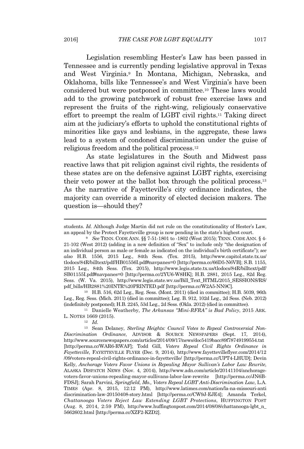Legislation resembling Hester's Law has been passed in Tennessee and is currently pending legislative approval in Texas and West Virginia.<sup>9</sup> In Montana, Michigan, Nebraska, and Oklahoma, bills like Tennessee's and West Virginia's have been considered but were postponed in committee.<sup>10</sup> These laws would add to the growing patchwork of robust free exercise laws and represent the fruits of the right-wing, religiously conservative effort to preempt the realm of LGBT civil rights.<sup>11</sup> Taking direct aim at the judiciary's efforts to uphold the constitutional rights of minorities like gays and lesbians, in the aggregate, these laws lead to a system of condoned discrimination under the guise of religious freedom and the political process.<sup>12</sup>

As state legislatures in the South and Midwest pass reactive laws that pit religion against civil rights, the residents of these states are on the defensive against LGBT rights, exercising their veto power at the ballot box through the political process.<sup>13</sup> As the narrative of Fayetteville's city ordinance indicates, the majority can override a minority of elected decision makers. The question is—should they?

<sup>10</sup> H.B. 516, 62d Leg., Reg. Sess. (Mont. 2011) (died in committee); H.B. 5039, 96th Leg., Reg. Sess. (Mich. 2011) (died in committee); Leg. B. 912, 102d Leg., 2d Sess. (Neb. 2012) (indefinitely postponed); H.B. 2245, 53d Leg., 2d Sess. (Okla. 2012) (died in committee).

<sup>11</sup> Danielle Weatherby, *The Arkansas "Mini-RFRA" is Bad Policy*, 2015 ARK. L. NOTES 1669 (2015).

<sup>12</sup> *Id.*

<sup>13</sup> Sean Delaney, *Sterling Heights: Council Votes to Repeal Controversial Non-Discrimination Ordinance*, ADVISOR & SOURCE NEWSPAPERS (Sept. 17, 2014), http://www.sourcenewspapers.com/articles/2014/09/17/news/doc5419bacc89f78749199554.txt [http://perma.cc/WAR6-RWAF]; Todd Gill, *Voters Repeal Civil Rights Ordinance in Fayetteville*, FAYETTEVILLE FLYER (Dec. 9, 2014), http://www.fayettevilleflyer.com/2014/12 /09/voters-repeal-civil-rights-ordinance-in-fayetteville/ [http://perma.cc/UPT4-LHUD]; Devin Kelly, *Anchorage Voters Favor Unions in Repealing Mayor Sullivan's Labor Law Rewrite*, ALASKA DISPATCH NEWS (Nov. 4, 2014), http://www.adn.com/article/20141104/anchoragevoters-favor-unions-repealing-mayor-sullivans-labor-law-rewrite [http://perma.cc/JN6B-FDSJ]; Sarah Parvini, *Springfield, Mo., Voters Repeal LGBT Anti-Discrimination Law*, L.A. TIMES (Apr. 8, 2015, 12:12 PM), http://www.latimes.com/nation/la-na-missouri-anti discrimination-law-20150408-story.html [http://perma.cc/CW9J-EJE4]; Amanda Terkel, *Chattanooga Voters Reject Law Extending LGBT Protections*, HUFFINGTON POST (Aug. 8, 2014, 2:59 PM), http://www.huffingtonpost.com/2014/08/08/chattanooga-lgbt\_n\_ 5662602.html [http://perma.cc/XZF2-KZD2].

students. *Id.* Although Judge Martin did not rule on the constitutionality of Hester's Law, an appeal by the Protect Fayetteville group is now pending in the state's highest court.

<sup>9</sup> *See* TENN. CODE ANN. §§ 7-51-1801 to -1802 (West 2015); TENN. CODE ANN. § 4- 21-102 (West 2012) (adding in a new definition of "Sex" to include only "the designation of an individual person as male or female as indicated on the individual's birth certificate"); *see also* H.B. 1556, 2015 Leg., 84th Sess. (Tex. 2015), http://www.capitol.state.tx.us/ tlodocs/84R/billtext/pdf/HB01556I.pdf#navpanes=0 [http://perma.cc/66D5-N6VB]; S.B. 1155, 2015 Leg., 84th Sess. (Tex. 2015), http://www.legis.state.tx.us/tlodocs/84R/billtext/pdf/ SB01155I.pdf#navpanes=0 [http://perma.cc/2YU6-W8HK]; H.B. 2881, 2015 Leg., 82d Reg. Sess. (W. Va. 2015), http://www.legis.state.wv.us/Bill\_Text\_HTML/2015\_SESSIONS/RS/ pdf\_bills/HB2881%20INTR%20PRINTED.pdf [http://perma.cc/W2A5-NN9C].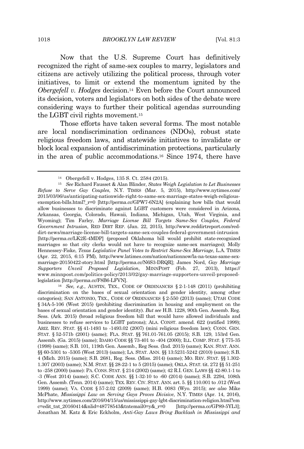Now that the U.S. Supreme Court has definitively recognized the right of same-sex couples to marry, legislators and citizens are actively utilizing the political process, through voter initiatives, to limit or extend the momentum ignited by the *Obergefell v. Hodges* decision.<sup>14</sup> Even before the Court announced its decision, voters and legislators on both sides of the debate were considering ways to further their political agendas surrounding the LGBT civil rights movement.<sup>15</sup>

Those efforts have taken several forms. The most notable are local nondiscrimination ordinances (NDOs), robust state religious freedom laws, and statewide initiatives to invalidate or block local expansion of antidiscrimination protections, particularly in the area of public accommodations.<sup>16</sup> Since 1974, there have

<sup>16</sup> *See, e.g.*, AUSTIN, TEX., CODE OF ORDINANCES § 2-1-148 (2011) (prohibiting discrimination on the bases of sexual orientation and gender identity, among other categories); SAN ANTONIO, TEX., CODE OF ORDINANCES § 2-550 (2013) (same); UTAH CODE § 34A-5-106 (West 2015) (prohibiting discrimination in housing and employment on the bases of sexual orientation and gender identity). *But see* H.B. 1228, 90th Gen. Assemb. Reg. Sess. (Ark. 2015) (broad religious freedom bill that would have allowed individuals and businesses to refuse services to LGBT patrons); ALA. CONST. amend. 622 (ratified 1999); ARIZ. REV. STAT. §§ 41-1493 to -1493.02 (2007) (mini religious freedom law); CONN. GEN. STAT. § 52-571b (2001) (same); FLA. STAT. §§ 761.01-761.05 (2015); S.B. 129, 153rd Gen. Assemb. (Ga. 2015) (same); IDAHO CODE §§ 73-401 to -404 (2000); ILL. COMP. STAT. § 775-35 (1998) (same); S.B. 101, 119th Gen. Assemb., Reg Sess. (Ind. 2015) (same); KAN. STAT. ANN. §§ 60-5301 to -5305 (West 2013) (same); LA. STAT. ANN. §§ 13:5231-5242 (2010) (same); S.B. 4 (Mich. 2015) (same); S.B. 2681, Reg. Sess. (Miss. 2014) (same); MO. REV. STAT. §§ 1.302- 1.307 (2003) (same); N.M. STAT. §§ 28-22-1 to 5 (2015) (same); OKLA. STAT. tit. 272 §§ 51-251 to -258 (2000) (same): PA. CONS. STAT. § 214 (2002) (same); 42 R.I. GEN. LAWS §§ 42-80.1-1 to -3 (West 2014) (same); S.C. CODE ANN. §§ 1-32-10 to -60 (2014) (same); S.B. 2294, 108th Gen. Assemb. (Tenn. 2014) (same); TEX. REV. CIV. STAT. ANN. art. 5. §§ 110.001 to .012 (West 1999) (same); VA. CODE § 57-2.02 (2009) (same); H.B. 0083 (Wyo. 2015); *see also* Mike McPhate, *Mississippi Law on Serving Gays Proves Divisive*, N.Y. TIMES (Apr. 14, 2016), http://www.nytimes.com/2016/04/15/us/mississippi-gay-lgbt-discrimination-religion.html?em c=edit\_tnt\_20160414&nlid=48778543&tntemail0=y&\_r=0 [http://perma.cc/GP89-5YL3]; Jonathan M. Katz & Eric Eckholm, *Anti-Gay Laws Bring Backlash in Mississippi and*

<sup>14</sup> Obergefell v. Hodges, 135 S. Ct. 2584 (2015).

<sup>15</sup> *See* Richard Fausset & Alan Blinder, *States Weigh Legislation to Let Businesses Refuse to Serve Gay Couples*, N.Y. TIMES (Mar. 5, 2015), http://www.nytimes.com/ 2015/03/06/us/anticipating-nationwide-right-to-same-sex-marriage-states-weigh-religiousexemption-bills.html?\_r=0 [http://perma.cc/GPW7-6N2A] (explaining how bills that would allow businesses to discriminate against LGBT customers were considered in Arizona, Arkansas, Georgia, Colorado, Hawaii, Indiana, Michigan, Utah, West Virginia, and Wyoming); Tim Farley, *Marriage License Bill Targets Same-Sex Couples, Federal Government Intrusion*, RED DIRT REP. (Jan. 22, 2015), http://www.reddirtreport.com/reddirt-news/marriage-license-bill-targets-same-sex-couples-federal-government-intrusion [http://perma.cc/LK2E-4MDP] (proposed Oklahoma bill would prohibit state-recognized marriages so that city clerks would not have to recognize same-sex marriages); Molly Hennessey-Fiske, *Texas Legislative Panel Votes to Restrict Same-Sex Marriage*, L.A. TIMES (Apr. 22, 2015, 6:15 PM), http://www.latimes.com/nation/nationnow/la-na-texas-same-sexmarriage-20150422-story.html [http://perma.cc/N6S3-DRQR]; James Nord, *Gay Marriage Supporters Unveil Proposed Legislation*, MINNPOST (Feb. 27, 2013), https:// www.minnpost.com/politics-policy/2013/02/gay-marriage-supporters-unveil-proposedlegislation [http://perma.cc/F8B6-LFVN].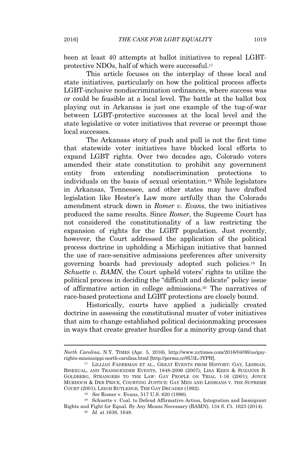been at least 40 attempts at ballot initiatives to repeal LGBTprotective NDOs, half of which were successful.<sup>17</sup>

This article focuses on the interplay of these local and state initiatives, particularly on how the political process affects LGBT-inclusive nondiscrimination ordinances, where success was or could be feasible at a local level. The battle at the ballot box playing out in Arkansas is just one example of the tug-of-war between LGBT-protective successes at the local level and the state legislative or voter initiatives that reverse or preempt those local successes.

The Arkansas story of push and pull is not the first time that statewide voter initiatives have blocked local efforts to expand LGBT rights. Over two decades ago, Colorado voters amended their state constitution to prohibit any government entity from extending nondiscrimination protections to individuals on the basis of sexual orientation.<sup>18</sup> While legislators in Arkansas, Tennessee, and other states may have drafted legislation like Hester's Law more artfully than the Colorado amendment struck down in *Romer v. Evans*, the two initiatives produced the same results. Since *Romer*, the Supreme Court has not considered the constitutionality of a law restricting the expansion of rights for the LGBT population. Just recently, however, the Court addressed the application of the political process doctrine in upholding a Michigan initiative that banned the use of race-sensitive admissions preferences after university governing boards had previously adopted such policies.<sup>19</sup> In *Schuette v. BAMN*, the Court upheld voters' rights to utilize the political process in deciding the "difficult and delicate" policy issue of affirmative action in college admissions.<sup>20</sup> The narratives of race-based protections and LGBT protections are closely bound.

Historically, courts have applied a judicially created doctrine in assessing the constitutional muster of voter initiatives that aim to change established political decisionmaking processes in ways that create greater hurdles for a minority group (and that

*North Carolina*, N.Y. TIMES (Apr. 5, 2016), http://www.nytimes.com/2016/04/06/us/gayrights-mississippi-north-carolina.html [http://perma.cc/8U3L-3YPH].

<sup>&</sup>lt;sup>17</sup> LILLIAN FADERMAN ET AL., GREAT EVENTS FROM HISTORY: GAY, LESBIAN, BISEXUAL, AND TRANSGENDER EVENTS, 1848-2006 (2007); LISA KEEN & SUZANNE B. GOLDBERG, STRANGERS TO THE LAW: GAY PEOPLE ON TRIAL 1-16 (2001); JOYCE MURDOCH & DEB PRICE, COURTING JUSTICE: GAY MEN AND LESBIANS V. THE SUPREME COURT (2001); LEIGH RUTLEDGE, THE GAY DECADES (1992).

<sup>18</sup> *See* Romer v. Evans, 517 U.S. 620 (1996).

 $^{\rm 19}$  Schuette v. Coal. to Defend Affirmative Action, Integration and Immigrant Rights and Fight for Equal. By Any Means Necessary (BAMN), 134 S. Ct. 1623 (2014).

<sup>20</sup> *Id.* at 1636, 1648.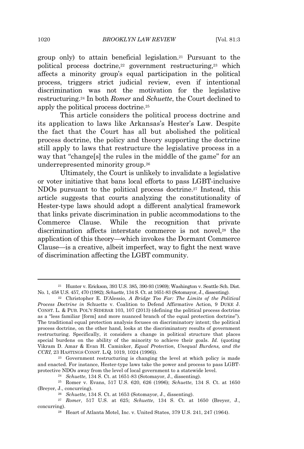group only) to attain beneficial legislation.<sup>21</sup> Pursuant to the political process doctrine,<sup>22</sup> government restructuring,<sup>23</sup> which affects a minority group's equal participation in the political process, triggers strict judicial review, even if intentional discrimination was not the motivation for the legislative restructuring.<sup>24</sup> In both *Romer* and *Schuette*, the Court declined to apply the political process doctrine.<sup>25</sup>

This article considers the political process doctrine and its application to laws like Arkansas's Hester's Law. Despite the fact that the Court has all but abolished the political process doctrine, the policy and theory supporting the doctrine still apply to laws that restructure the legislative process in a way that "change[s] the rules in the middle of the game" for an underrepresented minority group.<sup>26</sup>

Ultimately, the Court is unlikely to invalidate a legislative or voter initiative that bans local efforts to pass LGBT-inclusive NDOs pursuant to the political process doctrine.<sup>27</sup> Instead, this article suggests that courts analyzing the constitutionality of Hester-type laws should adopt a different analytical framework that links private discrimination in public accommodations to the Commerce Clause. While the recognition that private discrimination affects interstate commerce is not novel,<sup>28</sup> the application of this theory—which invokes the Dormant Commerce Clause—is a creative, albeit imperfect, way to fight the next wave of discrimination affecting the LGBT community.

<sup>21</sup> Hunter v. Erickson, 393 U.S. 385, 390-93 (1969); Washington v. Seattle Sch. Dist. No. 1, 458 U.S. 457, 470 (1982); *Schuette*, 134 S. Ct. at 1651-83 (Sotomayor, J., dissenting).

<sup>22</sup> Christopher E. D'Alessio, *A Bridge Too Far: The Limits of the Political Process Doctrine in* Schuette v. Coalition to Defend Affirmative Action, 9 DUKE J. CONST. L. & PUB. POL'Y SIDEBAR 103, 107 (2013) (defining the political process doctrine as a "less familiar [form] and more nuanced branch of the equal protection doctrine"). The traditional equal protection analysis focuses on discriminatory intent; the political process doctrine, on the other hand, looks at the discriminatory results of government restructuring. Specifically, it considers a change in political structure that places special burdens on the ability of the minority to achieve their goals. *Id.* (quoting Vikram D. Amar & Evan H. Caminker, *Equal Protection, Unequal Burdens, and the CCRI*, 23 HASTINGS CONST. L.Q. 1019, 1024 (1996)).

<sup>23</sup> Government restructuring is changing the level at which policy is made and enacted. For instance, Hester-type laws take the power and process to pass LGBTprotective NDOs away from the level of local government to a statewide level.

<sup>24</sup> *Schuette*, 134 S. Ct. at 1651-83 (Sotomayor, J., dissenting).

<sup>25</sup> Romer v. Evans, 517 U.S. 620, 626 (1996); *Schuette*, 134 S. Ct. at 1650 (Breyer, J., concurring).

<sup>26</sup> *Schuette*, 134 S. Ct. at 1653 (Sotomayor, J., dissenting).

<sup>27</sup> *Romer*, 517 U.S. at 625; *Schuette*, 134 S. Ct. at 1650 (Breyer, J., concurring).

<sup>28</sup> Heart of Atlanta Motel, Inc. v. United States, 379 U.S. 241, 247 (1964).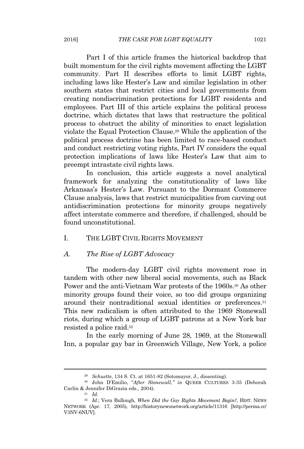Part I of this article frames the historical backdrop that built momentum for the civil rights movement affecting the LGBT community. Part II describes efforts to limit LGBT rights, including laws like Hester's Law and similar legislation in other southern states that restrict cities and local governments from creating nondiscrimination protections for LGBT residents and employees. Part III of this article explains the political process doctrine, which dictates that laws that restructure the political process to obstruct the ability of minorities to enact legislation violate the Equal Protection Clause.<sup>29</sup> While the application of the political process doctrine has been limited to race-based conduct and conduct restricting voting rights, Part IV considers the equal protection implications of laws like Hester's Law that aim to preempt intrastate civil rights laws.

In conclusion, this article suggests a novel analytical framework for analyzing the constitutionality of laws like Arkansas's Hester's Law. Pursuant to the Dormant Commerce Clause analysis, laws that restrict municipalities from carving out antidiscrimination protections for minority groups negatively affect interstate commerce and therefore, if challenged, should be found unconstitutional.

## I. THE LGBT CIVIL RIGHTS MOVEMENT

#### *A. The Rise of LGBT Advocacy*

The modern-day LGBT civil rights movement rose in tandem with other new liberal social movements, such as Black Power and the anti-Vietnam War protests of the 1960s.<sup>30</sup> As other minority groups found their voice, so too did groups organizing around their nontraditional sexual identities or preferences.<sup>31</sup> This new radicalism is often attributed to the 1969 Stonewall riots, during which a group of LGBT patrons at a New York bar resisted a police raid.<sup>32</sup>

In the early morning of June 28, 1969, at the Stonewall Inn, a popular gay bar in Greenwich Village, New York, a police

<sup>29</sup> *Schuette*, 134 S. Ct. at 1651-82 (Sotomayor, J., dissenting).

<sup>30</sup> John D'Emilio, "*After Stonewall*,*" in* QUEER CULTURES 3-35 (Deborah Carlin & Jennifer DiGrazia eds., 2004).

<sup>31</sup> *Id.*

<sup>32</sup> *Id.*; Vern Bullough, *When Did the Gay Rights Movement Begin?*, HIST. NEWS NETWORK (Apr. 17, 2005), http://historynewsnetwork.org/article/11316 [http://perma.cc/ V3NV-6NUV].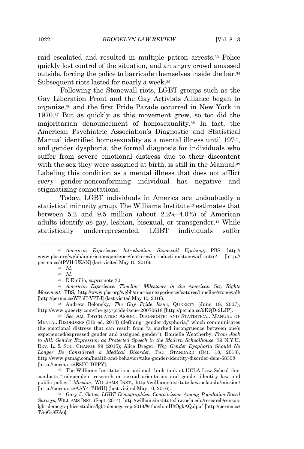raid escalated and resulted in multiple patron arrests.<sup>33</sup> Police quickly lost control of the situation, and an angry crowd amassed outside, forcing the police to barricade themselves inside the bar.<sup>34</sup> Subsequent riots lasted for nearly a week.<sup>35</sup>

Following the Stonewall riots, LGBT groups such as the Gay Liberation Front and the Gay Activists Alliance began to organize,<sup>36</sup> and the first Pride Parade occurred in New York in 1970.<sup>37</sup> But as quickly as this movement grew, so too did the majoritarian denouncement of homosexuality.<sup>38</sup> In fact, the American Psychiatric Association's Diagnostic and Statistical Manual identified homosexuality as a mental illness until 1974, and gender dysphoria, the formal diagnosis for individuals who suffer from severe emotional distress due to their discontent with the sex they were assigned at birth, is still in the Manual.<sup>39</sup> Labeling this condition as a mental illness that does not afflict *every* gender-nonconforming individual has negative and stigmatizing connotations.

Today, LGBT individuals in America are undoubtedly a statistical minority group. The Williams Institute<sup>40</sup> estimates that between 5.2 and 9.5 million (about 2.2%–4.0%) of American adults identify as gay, lesbian, bisexual, or transgender.<sup>41</sup> While statistically underrepresented, LGBT individuals suffer

<sup>33</sup> *American Experience: Introduction: Stonewall Uprising*, PBS, http:// www.pbs.org/wgbh/americanexperience/features/introduction/stonewall-intro/ [http:// perma.cc/4PVH-UZAN] (last visited May 10, 2016).

<sup>34</sup> *Id.*

<sup>35</sup> *Id.*

<sup>36</sup> D'Emilio, *supra* note 30.

<sup>37</sup> *American Experience: Timeline: Milestones in the American Gay Rights Movement*, PBS, http://www.pbs.org/wgbh/americanexperience/features/timeline/stonewall/ [http://perma.cc/WP5H-VPBJ] (last visited May 10, 2016).

<sup>38</sup> Andrew Belonsky, *The Gay Pride Issue*, QUEERTY (June 18, 2007), http://www.queerty.com/the-gay-pride-issue-20070618 [http://perma.cc/9KQD-2LJP].

<sup>39</sup> *See* AM. PSYCHIATRIC ASSOC., DIAGNOSTIC AND STATISTICAL MANUAL OF MENTAL DISORDERS (5th ed. 2013) (defining "gender dysphoria," which communicates the emotional distress that can result from "a marked incongruence between one's experienced/expressed gender and assigned gender"); Danielle Weatherby, *From Jack to Jill: Gender Expression as Protected Speech in the Modern Schoolhouse*, 39 N.Y.U. REV. L. & SOC. CHANGE 89 (2015); Alice Dreger, *Why Gender Dysphoria Should No Longer Be Considered a Medical Disorder*, PAC. STANDARD (Oct. 18, 2013), http://www.psmag.com/health-and-behavior/take-gender-identity-disorder-dsm-68308 [http://perma.cc/E8FC-DPPY].

<sup>40</sup> The Williams Institute is a national think tank at UCLA Law School that conducts "independent research on sexual orientation and gender identity law and public policy." *Mission*, WILLIAMS INST., http://williamsinstitute.law.ucla.edu/mission/ [http://perma.cc/AAY4-TJMU] (last visited May 10, 2016).

<sup>41</sup> Gary J. Gates, *LGBT Demographics: Comparisons Among Population-Based Surveys*, WILLIAMS INST. (Sept. 2014), http://williamsinstitute.law.ucla.edu/research/censuslgbt-demographics-studies/lgbt-demogs-sep-2014/#sthash.mH3OgkAQ.dpuf [http://perma.cc/ TA6G-8KA6].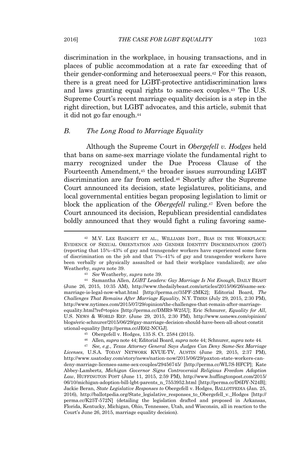discrimination in the workplace, in housing transactions, and in places of public accommodation at a rate far exceeding that of their gender-conforming and heterosexual peers.<sup>42</sup> For this reason, there is a great need for LGBT-protective antidiscrimination laws and laws granting equal rights to same-sex couples.<sup>43</sup> The U.S. Supreme Court's recent marriage equality decision is a step in the right direction, but LGBT advocates, and this article, submit that it did not go far enough.<sup>44</sup>

#### *B. The Long Road to Marriage Equality*

Although the Supreme Court in *Obergefell v. Hodges* held that bans on same-sex marriage violate the fundamental right to marry recognized under the Due Process Clause of the Fourteenth Amendment,<sup>45</sup> the broader issues surrounding LGBT discrimination are far from settled.<sup>46</sup> Shortly after the Supreme Court announced its decision, state legislatures, politicians, and local governmental entities began proposing legislation to limit or block the application of the *Obergefell* ruling.<sup>47</sup> Even before the Court announced its decision, Republican presidential candidates boldly announced that they would fight a ruling favoring same-

- <sup>45</sup> Obergefell v. Hodges, 135 S. Ct. 2584 (2015).
- <sup>46</sup> Allen, *supra* note 44; Editorial Board, *supra* note 44; Schnurer, *supra* note 44.

<sup>47</sup> *See, e.g.*, *Texas Attorney General Says Judges Can Deny Same-Sex Marriage Licenses*, U.S.A. TODAY NETWORK KVUE-TV, AUSTIN (June 29, 2015, 2:37 PM), http://www.usatoday.com/story/news/nation-now/2015/06/29/paxton-state-workers-candeny-marriage-licenses-same-sex-couples/29456745/ [http://perma.cc/WL7S-HFCP]; Kate Abbey-Lambertz, *Michigan Governor Signs Controversial Religious Freedom Adoption Law*, HUFFINGTON POST (June 11, 2015, 2:59 PM), http://www.huffingtonpost.com/2015/ 06/10/michigan-adoption-bill-lgbt-parents\_n\_7553952.html [http://perma.cc/D6DY-N24B]; Jackie Beran, *State Legislative Responses to* Obergefell v. Hodges, BALLOTPEDIA (Jan. 25, 2016), http://ballotpedia.org/State\_legislative\_responses\_to\_Obergefell\_v.\_Hodges [http:// perma.cc/K25T-572N] (detailing the legislation drafted and proposed in Arkansas, Florida, Kentucky, Michigan, Ohio, Tennessee, Utah, and Wisconsin, all in reaction to the Court's June 26, 2015, marriage equality decision).

<sup>42</sup> M.V. LEE BADGETT ET AL., WILLIAMS INST., BIAS IN THE WORKPLACE: EVIDENCE OF SEXUAL ORIENTATION AND GENDER IDENTITY DISCRIMINATION (2007) (reporting that 15%–43% of gay and transgender workers have experienced some form of discrimination on the job and that 7%–41% of gay and transgender workers have been verbally or physically assaulted or had their workplace vandalized); *see also* Weatherby, *supra* note 39.

<sup>43</sup> *See* Weatherby, *supra* note 39.

<sup>44</sup> Samantha Allen, *LGBT Leaders: Gay Marriage Is Not Enough*, DAILY BEAST (June 26, 2015, 10:35 AM), http://www.thedailybeast.com/articles/2015/06/26/same-sexmarriage-is-legal-now-what.html [http://perma.cc/35PF-2MK2]; Editorial Board, *The Challenges That Remains After Marriage Equality*, N.Y. TIMES (July 29, 2015, 2:30 PM), http://www.nytimes.com/2015/07/29/opinion/the-challenges-that-remain-after-marriageequality.html?ref=topics [http://perma.cc/DMR9-W25U]; Eric Schnurer, *Equality for All*, U.S. NEWS & WORLD REP. (June 29, 2015, 2:30 PM), http://www.usnews.com/opinion/ blogs/eric-schnurer/2015/06/29/gay-marriage-decision-should-have-been-all-about-constit utional-equality [http://perma.cc/JE62-NCGJ].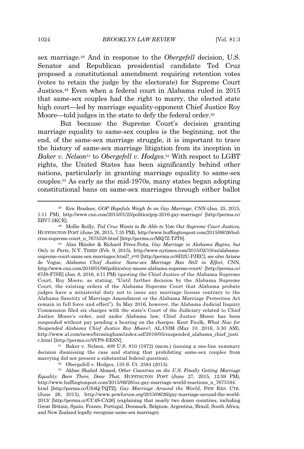sex marriage.<sup>48</sup> And in response to the *Obergefell* decision, U.S. Senator and Republican presidential candidate Ted Cruz proposed a constitutional amendment requiring retention votes (votes to retain the judge by the electorate) for Supreme Court Justices.<sup>49</sup> Even when a federal court in Alabama ruled in 2015 that same-sex couples had the right to marry, the elected state high court—led by marriage equality-opponent Chief Justice Roy Moore—told judges in the state to defy the federal order.<sup>50</sup>

But because the Supreme Court's decision granting marriage equality to same-sex couples is the beginning, not the end, of the same-sex marriage struggle, it is important to trace the history of same-sex marriage litigation from its inception in *Baker v. Nelson*<sup>51</sup> to *Obergefell v. Hodges*. <sup>52</sup> With respect to LGBT rights, the United States has been significantly behind other nations, particularly in granting marriage equality to same-sex couples.<sup>53</sup> As early as the mid-1970s, many states began adopting constitutional bans on same-sex marriages through either ballot

<sup>48</sup> Eric Bradner, *GOP Hopefuls Weigh In on Gay Marriage*, CNN (Jan. 25, 2015, 1:11 PM), http://www.cnn.com/2015/01/25/politics/gop-2016-gay-marriage/ [http://perma.cc/ ZBV7-5KCE].

<sup>49</sup> Mollie Reilly, *Ted Cruz Wants to Be Able to Vote Out Supreme Court Justices*, HUFFINGTON POST (June 26, 2015, 7:35 PM), http://www.huffingtonpost.com/2015/06/26/tedcruz-supreme-court\_n\_7675528.html [http://perma.cc/MQ7Z-TJT6].

<sup>50</sup> Alan Blinder & Richard Pérez-Peña, *Gay Marriage in Alabama Begins, but Only in Parts*, N.Y. TIMES (Feb. 9, 2015), http://www.nytimes.com/2015/02/10/us/alabamasupreme-court-same-sex-marriages.html?\_r=0 [http://perma.cc/6D2U-PJEC]; *see also* Ariane de Vogue, *Alabama Chief Justice: Same-sex Marriage Ban Still in Effect*, CNN, http://www.cnn.com/2016/01/06/politics/roy-moore-alabama-supreme-court/ [http://perma.cc/ 67J8-F7SE] (Jan. 6, 2016, 4:11 PM) (quoting the Chief Justice of the Alabama Supreme Court, Roy Moore, as stating, "Until further decision by the Alabama Supreme Court, the existing orders of the Alabama Supreme Court that Alabama probate judges have a ministerial duty not to issue any marriage license contrary to the Alabama Sanctity of Marriage Amendment or the Alabama Marriage Protection Act remain in full force and effect"). In May 2016, however, the Alabama Judicial Inquiry Commission filed six charges with the state's Court of the Judiciary related to Chief Justice Moore's order, and under Alabama law, Chief Justice Moore has been suspended without pay pending a hearing on the charges. Kent Faulk, *What Now for Suspended Alabama Chief Justice Roy Moore?*, AL.COM (May 10, 2016, 5:30 AM), http://www.al.com/news/birmingham/index.ssf/2016/05/suspended\_alabama\_chief\_justi c.html [http://perma.cc/9VP9-EESN].

<sup>51</sup> Baker v. Nelson, 409 U.S. 810 (1972) (mem.) (issuing a one-line summary decision dismissing the case and stating that prohibiting same-sex couples from marrying did not present a substantial federal question).

<sup>52</sup> Obergefell v. Hodges, 135 S. Ct. 2584 (2015).

<sup>53</sup> Akbar Shahid Ahmed, *Other Countries on the U.S. Finally Getting Marriage Equality: Been There, Done That*, HUFFINGTON POST (June 27, 2015, 12:59 PM), http://www.huffingtonpost.com/2015/06/26/us-gay-marriage-world-reactions\_n\_7673164. html [http://perma.cc/U64Q-TQTZ]; *Gay Marriage Around the World*, PEW RES. CTR. (June 26, 2015), http://www.pewforum.org/2015/06/26/gay-marriage-around-the-world-2013/ [http://perma.cc/CC4S-CA26] (explaining that nearly two dozen countries, including Great Britain, Spain, France, Portugal, Denmark, Belgium, Argentina, Brazil, South Africa, and New Zealand legally recognize same-sex marriage).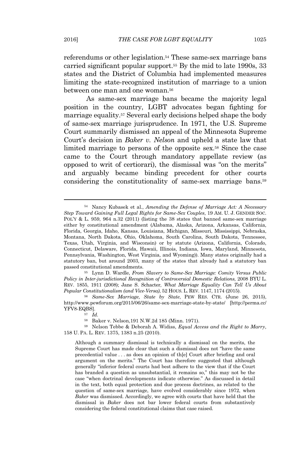referendums or other legislation.<sup>54</sup> These same-sex marriage bans carried significant popular support.<sup>55</sup> By the mid to late 1990s, 33 states and the District of Columbia had implemented measures limiting the state-recognized institution of marriage to a union between one man and one woman.<sup>56</sup>

As same-sex marriage bans became the majority legal position in the country, LGBT advocates began fighting for marriage equality.<sup>57</sup> Several early decisions helped shape the body of same-sex marriage jurisprudence. In 1971, the U.S. Supreme Court summarily dismissed an appeal of the Minnesota Supreme Court's decision in *Baker v. Nelson* and upheld a state law that limited marriage to persons of the opposite sex.<sup>58</sup> Since the case came to the Court through mandatory appellate review (as opposed to writ of certiorari), the dismissal was "on the merits" and arguably became binding precedent for other courts considering the constitutionality of same-sex marriage bans.<sup>59</sup>

<sup>55</sup> Lynn D. Wardle, *From Slavery to Same-Sex Marriage: Comity Versus Public Policy in Inter-jurisdictional Recognition of Controversial Domestic Relations*, 2008 BYU L. REV. 1855, 1911 (2008); Jane S. Schacter, *What Marriage Equality Can Tell Us About Popular Constitutionalism (and Vice-Versa)*, 52 HOUS. L. REV. 1147, 1174 (2015).

<sup>56</sup> *Same-Sex Marriage, State by State*, PEW RES. CTR. (June 26, 2015), http://www.pewforum.org/2015/06/26/same-sex-marriage-state-by-state/ [http://perma.cc/ YFV8-EQBS].

<sup>59</sup> Nelson Tebbe & Deborah A. Widiss, *Equal Access and the Right to Marry*, 158 U. PA. L. REV. 1375, 1383 n.25 (2010).

Although a summary dismissal is technically a dismissal on the merits, the Supreme Court has made clear that such a dismissal does not "have the same precedential value . . . as does an opinion of th[e] Court after briefing and oral argument on the merits." The Court has therefore suggested that although generally "inferior federal courts had best adhere to the view that if the Court has branded a question as unsubstantial, it remains so," this may not be the case "when doctrinal developments indicate otherwise." As discussed in detail in the text, both equal protection and due process doctrines, as related to the question of same-sex marriage, have evolved considerably since 1972, when *Baker* was dismissed. Accordingly, we agree with courts that have held that the dismissal in *Baker* does not bar lower federal courts from substantively considering the federal constitutional claims that case raised.

<sup>54</sup> Nancy Kubasek et al., *Amending the Defense of Marriage Act: A Necessary Step Toward Gaining Full Legal Rights for Same-Sex Couples*, 19 AM. U. J. GENDER SOC. POL'Y & L. 959, 964 n.32 (2011) (listing the 38 states that banned same-sex marriage either by constitutional amendment (Alabama, Alaska, Arizona, Arkansas, California, Florida, Georgia, Idaho, Kansas, Louisiana, Michigan, Missouri, Mississippi, Nebraska, Montana, North Dakota, Ohio, Oklahoma, South Carolina, South Dakota, Tennessee, Texas, Utah, Virginia, and Wisconsin) or by statute (Arizona, California, Colorado, Connecticut, Delaware, Florida, Hawaii, Illinois, Indiana, Iowa, Maryland, Minnesota, Pennsylvania, Washington, West Virginia, and Wyoming)). Many states originally had a statutory ban, but around 2003, many of the states that already had a statutory ban passed constitutional amendments.

<sup>57</sup> *Id.*

<sup>58</sup> Baker v. Nelson,191 N.W.2d 185 (Minn. 1971).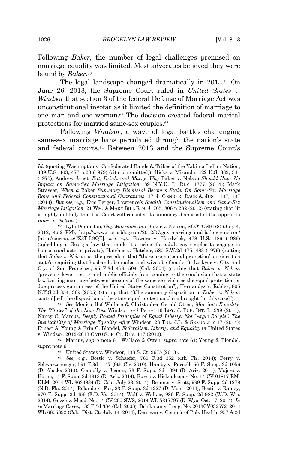Following *Baker*, the number of legal challenges premised on marriage equality was limited. Most advocates believed they were bound by *Baker*. 60

The legal landscape changed dramatically in 2013.<sup>61</sup> On June 26, 2013, the Supreme Court ruled in *United States v. Windsor* that section 3 of the federal Defense of Marriage Act was unconstitutional insofar as it limited the definition of marriage to one man and one woman.<sup>62</sup> The decision created federal marital protections for married same-sex couples.<sup>63</sup>

Following *Windsor*, a wave of legal battles challenging same-sex marriage bans percolated through the nation's state and federal courts.<sup>64</sup> Between 2013 and the Supreme Court's

<sup>61</sup> *See* Monica Hof Wallace & Christopher Gerald Otten, *Marriage Equality: The "States" of the Law Post* Windsor *and* Perry, 16 LOY. J. PUB. INT. L. 239 (2014); Nancy C. Marcus, *Deeply Rooted Principles of Equal Liberty, Not "Argle Bargle": The Inevitability of Marriage Equality After* Windsor, 23 TUL. J.L. & SEXUALITY 17 (2014); Ernest A. Young & Erin C. Blondel, *Federalism, Liberty, and Equality in* United States v. Windsor, 2012-2013 CATO SUP. CT. REV. 117 (2013).

<sup>62</sup> Marcus, *supra* note 61; Wallace & Otten, *supra* note 61; Young & Blondel, *supra* note 61.

<sup>63</sup> United States v. Windsor, 133 S. Ct. 2675 (2013).

<sup>64</sup> *See, e.g.*, Bostic v. Schaefer, 760 F.3d 352 (4th Cir. 2014); Perry v. Schwarzenegger, 591 F.3d 1147 (9th Cir. 2010); Hamby v. Parnell, 56 F. Supp. 3d 1056 (D. Alaska 2014); Connolly v. Jeanes, 73 F. Supp. 3d 1094 (D. Ariz. 2014); Majors v. Horne, 14 F. Supp. 3d 1313 (D. Ariz. 2014); Burns v. Hickenlooper, No. 14-CV-01817-RM-KLM, 2014 WL 3634834 (D. Colo. July 23, 2014); Brenner v. Scott, 999 F. Supp. 2d 1278 (N.D. Fla. 2014); Rolando v. Fox, 23 F. Supp. 3d 1227 (D. Mont. 2014); Bostic v. Rainey, 970 F. Supp. 2d 456 (E.D. Va. 2014); Wolf v. Walker, 986 F. Supp. 2d 982 (W.D. Wis. 2014); Guzzo v. Mead, No. 14-CV-200-SWS, 2014 WL 5317797 (D. Wyo. Oct. 17, 2014); *In re* Marriage Cases, 183 P.3d 384 (Cal. 2008); Brinkman v. Long, No. 2013CV032572, 2014 WL 6805822 (Colo. Dist. Ct. July 14, 2014); Kerrigan v. Comm'r of Pub. Health, 957 A.2d

*Id.* (quoting Washington v. Confederated Bands & Tribes of the Yakima Indian Nation, 439 U.S. 463, 477 n.20 (1979) (citation omitted)); Hicks v. Miranda, 422 U.S. 332, 344 (1975); Andrew Janet, *Eat, Drink, and Marry: Why* Baker v. Nelson *Should Have No Impact on Same-Sex Marriage Litigation*, 89 N.Y.U. L. REV. 1777 (2014); Mark Strasser, *When a* Baker *Summary Dismissal Becomes Stale: On Same-Sex Marriage Bans and Federal Constitutional Guarantees*, 17 J. GENDER, RACE & JUST. 137, 137 (2014). *But see, e.g.*, Eric Berger, Lawrence*'s Stealth Constitutionalism and Same-Sex Marriage Litigation*, 21 WM. & MARY BILL RTS. J. 765, 806 n.282 (2012) (stating that "it is highly unlikely that the Court will consider its summary dismissal of the appeal in *Baker v. Nelson*").

<sup>60</sup> Lyle Denniston, *Gay Marriage and* Baker v. Nelson, SCOTUSBLOG (July 4, 2012, 4:52 PM), http://www.scotusblog.com/2012/07/gay-marriage-and-baker-v-nelson/ [http://perma.cc/7Z3T-L9QE]; *see, e.g.*, Bowers v. Hardwick, 478 U.S. 186 (1986) (upholding a Georgia law that made it a crime for adult gay couples to engage in homosexual acts in private); Hatcher v. Hatcher, 580 S.W.2d 475, 483 (1979) (stating that *Baker v. Nelson* set the precedent that "there are no 'equal protection' barriers to a state's requiring that husbands be males and wives be females"); Lockyer v. City and Cty. of San Francisco, 95 P.3d 459, 504 (Cal. 2004) (stating that *Baker v. Nelson* "prevents lower courts and public officials from coming to the conclusion that a state law barring marriage between persons of the same sex violates the equal protection or due process guarantees of the United States Constitution"); Hernandez v. Robles, 805 N.Y.S.2d 354, 369 (2005) (stating that "[t]he summary disposition in *Baker v. Nelson* control[led] the disposition of the state equal protection claim brought [in this case]").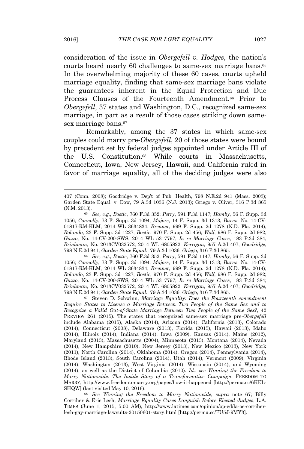consideration of the issue in *Obergefell v. Hodges*, the nation's courts heard nearly 60 challenges to same-sex marriage bans.<sup>65</sup> In the overwhelming majority of these 60 cases, courts upheld marriage equality, finding that same-sex marriage bans violate the guarantees inherent in the Equal Protection and Due Process Clauses of the Fourteenth Amendment.<sup>66</sup> Prior to *Obergefell*, 37 states and Washington, D.C., recognized same-sex marriage, in part as a result of those cases striking down samesex marriage bans.<sup>67</sup>

Remarkably, among the 37 states in which same-sex couples could marry pre-*Obergefell*, 20 of those states were bound by precedent set by federal judges appointed under Article III of the U.S. Constitution.<sup>68</sup> While courts in Massachusetts, Connecticut, Iowa, New Jersey, Hawaii, and California ruled in favor of marriage equality, all of the deciding judges were also

<sup>66</sup> *See, e.g.*, *Bostic*, 760 F.3d 352; *Perry*, 591 F.3d 1147; *Hamby*, 56 F. Supp. 3d 1056; *Connolly*, 73 F. Supp. 3d 1094; *Majors*, 14 F. Supp. 3d 1313; *Burns*, No. 14-CV-01817-RM-KLM, 2014 WL 3634834; *Brenner*, 999 F. Supp. 2d 1278 (N.D. Fla. 2014); *Rolando*, 23 F. Supp. 3d 1227; *Bostic*, 970 F. Supp. 2d 456; *Wolf*, 986 F. Supp. 2d 982; *Guzzo*, No. 14-CV-200-SWS, 2014 WL 5317797; *In re Marriage Cases*, 183 P.3d 384; *Brinkman*, No. 2013CV032572, 2014 WL 6805822; *Kerrigan*, 957 A.2d 407; *Goodridge*, 798 N.E.2d 941; *Garden State Equal.*, 79 A.3d 1036; *Griego*, 316 P.3d 865.

<sup>67</sup> Steven D. Schwinn, *Marriage Equality: Does the Fourteenth Amendment Require States to License a Marriage Between Two People of the Same Sex and to Recognize a Valid Out-of-State Marriage Between Two People of the Same Sex?*, 42 PREVIEW 261 (2015). The states that recognized same-sex marriage pre-*Obergefell* include Alabama (2015), Alaska (2014), Arizona (2014), California (2013), Colorado (2014), Connecticut (2008), Delaware (2013), Florida (2015), Hawaii (2013), Idaho (2014), Illinois (2014), Indiana (2014), Iowa (2009), Kansas (2014), Maine (2012), Maryland (2013), Massachusetts (2004), Minnesota (2013), Montana (2014), Nevada (2014), New Hampshire (2010), New Jersey (2013), New Mexico (2013), New York (2011), North Carolina (2014), Oklahoma (2014), Oregon (2014), Pennsylvania (2014), Rhode Island (2013), South Carolina (2014), Utah (2014), Vermont (2009), Virginia (2014), Washington (2013), West Virginia (2014), Wisconsin (2014), and Wyoming (2014), as well as the District of Columbia (2010). *Id.*; *see Winning the Freedom to Marry Nationwide: The Inside Story of a Transformative Campaign*, FREEDOM TO MARRY, http://www.freedomtomarry.org/pages/how-it-happened [http://perma.cc/6KEL-SHQW] (last visited May 10, 2016).

<sup>68</sup> *See Winning the Freedom to Marry Nationwide*, *supra* note 67; Billy Corriher & Eric Lesh, *Marriage Equality Cases Languish Before Elected Judges*, L.A. TIMES (June 1, 2015, 5:00 AM), http://www.latimes.com/opinion/op-ed/la-oe-corriherlesh-gay-marriage-lawsuits-20150601-story.html [http://perma.cc/FU5J-9MY3].

<sup>407</sup> (Conn. 2008); Goodridge v. Dep't of Pub. Health, 798 N.E.2d 941 (Mass. 2003); Garden State Equal. v. Dow, 79 A.3d 1036 (N.J. 2013); Griego v. Oliver, 316 P.3d 865 (N.M. 2013).

<sup>65</sup> *See, e.g.*, *Bostic*, 760 F.3d 352; *Perry*, 591 F.3d 1147; *Hamby*, 56 F. Supp. 3d 1056; *Connolly*, 73 F. Supp. 3d 1094; *Majors*, 14 F. Supp. 3d 1313; *Burns*, No. 14-CV-01817-RM-KLM, 2014 WL 3634834; *Brenner*, 999 F. Supp. 2d 1278 (N.D. Fla. 2014); *Rolando*, 23 F. Supp. 3d 1227; *Bostic*, 970 F. Supp. 2d 456; *Wolf*, 986 F. Supp. 2d 982; *Guzzo*, No. 14-CV-200-SWS, 2014 WL 5317797; *In re Marriage Cases*, 183 P.3d 384; *Brinkman*, No. 2013CV032572, 2014 WL 6805822; *Kerrigan*, 957 A.2d 407; *Goodridge*, 798 N.E.2d 941; *Garden State Equal.*, 79 A.3d 1036; *Griego*, 316 P.3d 865.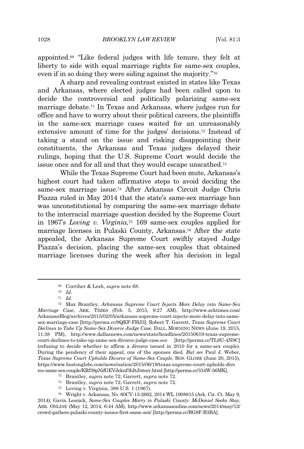appointed.<sup>69</sup> "Like federal judges with life tenure, they felt at liberty to side with equal marriage rights for same-sex couples, even if in so doing they were siding against the majority." 70

A sharp and revealing contrast existed in states like Texas and Arkansas, where elected judges had been called upon to decide the controversial and politically polarizing same-sex marriage debate.<sup>71</sup> In Texas and Arkansas, where judges run for office and have to worry about their political careers, the plaintiffs in the same-sex marriage cases waited for an unreasonably extensive amount of time for the judges' decisions.<sup>72</sup> Instead of taking a stand on the issue and risking disappointing their constituents, the Arkansas and Texas judges delayed their rulings, hoping that the U.S. Supreme Court would decide the issue once and for all and that they would escape unscathed.<sup>73</sup>

While the Texas Supreme Court had been mute, Arkansas's highest court had taken affirmative steps to avoid deciding the same-sex marriage issue.<sup>74</sup> After Arkansas Circuit Judge Chris Piazza ruled in May 2014 that the state's same-sex marriage ban was unconstitutional by comparing the same-sex marriage debate to the interracial marriage question decided by the Supreme Court in 1967's *Loving v. Virginia*, <sup>75</sup> 169 same-sex couples applied for marriage licenses in Pulaski County, Arkansas.<sup>76</sup> After the state appealed, the Arkansas Supreme Court swiftly stayed Judge Piazza's decision, placing the same-sex couples that obtained marriage licenses during the week after his decision in legal

<sup>69</sup> Corriher & Lesh, *supra* note 68.

<sup>70</sup> *Id.*

<sup>71</sup> *Id.*

<sup>72</sup> Max Brantley, *Arkansas Supreme Court Injects More Delay into Same-Sex Marriage Case*, ARK. TIMES (Feb. 5, 2015, 9:27 AM), http://www.arktimes.com/ ArkansasBlog/archives/2015/02/05/arkansas-supreme-court-injects-more-delay-into-samesex-marriage-case [http://perma.cc/9QKF-FHJ3]; Robert T. Garrett, *Texas Supreme Court Declines to Take Up Same-Sex Divorce Judge Case*, DALL. MORNING NEWS (June 19, 2015, 11:38 PM), http://www.dallasnews.com/news/state/headlines/20150619-texas-supremecourt-declines-to-take-up-same-sex-divorce-judge-case.ece [http://perma.cc/TL9U-4N9C] (refusing to decide whether to affirm a divorce issued in 2010 for a same-sex couple). During the pendency of their appeal, one of the spouses died. *But see* Paul J. Weber, *Texas Supreme Court Upholds Divorce of Same-Sex Couple*, BOS. GLOBE (June 20, 2015), https://www.bostonglobe.com/news/nation/2015/06/19/texas-supreme-court-upholds-divo rce-same-sex-couple/KRf39pNifGEVJeknf3hItJ/story.html [http://perma.cc/334W-56MK].

<sup>73</sup> Brantley, *supra* note 72; Garrett, *supra* note 72.

<sup>74</sup> Brantley, *supra* note 72; Garrett, *supra* note 72.

<sup>75</sup> Loving v. Virginia, 388 U.S. 1 (1967).

<sup>76</sup> Wright v. Arkansas, No. 60CV-13-2662, 2014 WL 1908815 (Ark. Cir. Ct. May 9, 2014); Gavin Lesnick, *Same-Sex Couples Marry in Pulaski County: McDaniel Seeks Stay*, ARK. ONLINE (May 12, 2014, 6:44 AM), http://www.arkansasonline.com/news/2014/may/12/ crowd-gathers-pulaski-county-issues-first-same-sex/ [http://perma.cc/BG8F-B3BA].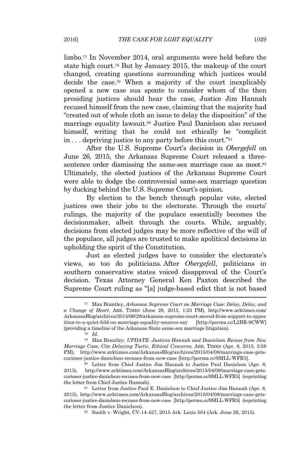limbo.<sup>77</sup> In November 2014, oral arguments were held before the state high court.<sup>78</sup> But by January 2015, the makeup of the court changed, creating questions surrounding which justices would decide the case.<sup>79</sup> When a majority of the court inexplicably opened a new case sua sponte to consider whom of the then presiding justices should hear the case, Justice Jim Hannah recused himself from the new case, claiming that the majority had "created out of whole cloth an issue to delay the disposition" of the marriage equality lawsuit.<sup>80</sup> Justice Paul Danielson also recused himself, writing that he could not ethically be "complicit in . . . depriving justice to any party before this court." 81

After the U.S. Supreme Court's decision in *Obergefell* on June 26, 2015, the Arkansas Supreme Court released a threesentence order dismissing the same-sex marriage case as moot.<sup>82</sup> Ultimately, the elected justices of the Arkansas Supreme Court were able to dodge the controversial same-sex marriage question by ducking behind the U.S. Supreme Court's opinion.

By election to the bench through popular vote, elected justices owe their jobs to the electorate. Through the courts' rulings, the majority of the populace essentially becomes the decisionmaker, albeit through the courts. While, arguably, decisions from elected judges may be more reflective of the will of the populace, all judges are trusted to make apolitical decisions in upholding the spirit of the Constitution.

Just as elected judges have to consider the electorate's views, so too do politicians. After *Obergefell*, politicians in southern conservative states voiced disapproval of the Court's decision. Texas Attorney General Ken Paxton described the Supreme Court ruling as "[a] judge-based edict that is not based

<sup>77</sup> Max Brantley, *Arkansas Supreme Court on Marriage Case: Delay, Delay, and a Change of Heart*, ARK. TIMES (June 28, 2015, 1:23 PM), http://www.arktimes.com/ ArkansasBlog/archives/2015/06/28/arkansas-supreme-court-moved-from-support-to-oppos ition-to-a-quiet-fold-on-marriage-equality-sources-say [http://perma.cc/L2BR-9CWW] (providing a timeline of the Arkansas State same-sex marriage litigation).

<sup>78</sup> *Id.*

<sup>79</sup> Max Brantley, *UPDATE: Justices Hannah and Danielson Recuse from New Marriage Case; Cite Delaying Tactic, Ethical Concerns*, ARK. TIMES (Apr. 8, 2015, 3:58 PM), http://www.arktimes.com/ArkansasBlog/archives/2015/04/08/marriage-case-getscurioser-justice-danielson-recuses-from-new-case [http://perma.cc/9MLL-WFR5].

<sup>80</sup> Letter from Chief Justice Jim Hannah to Justice Paul Danielson (Apr. 8, 2015), http://www.arktimes.com/ArkansasBlog/archives/2015/04/08/marriage-case-getscurioser-justice-danielson-recuses-from-new-case [http://perma.cc/9MLL-WFR5] (reprinting the letter from Chief Justice Hannah).

<sup>81</sup> Letter from Justice Paul E. Danielson to Chief Justice Jim Hannah (Apr. 8, 2015), http://www.arktimes.com/ArkansasBlog/archives/2015/04/08/marriage-case-getscurioser-justice-danielson-recuses-from-new-case [http://perma.cc/9MLL-WFR5] (reprinting the letter from Justice Danielson).

<sup>82</sup> Smith v. Wright, CV-14-427, 2015 Ark. Lexis 504 (Ark. June 26, 2015).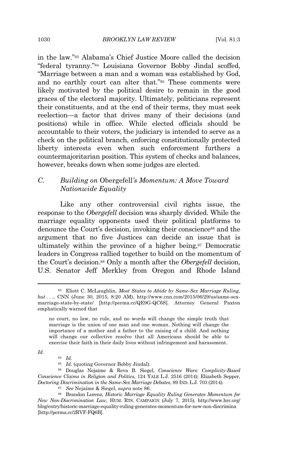in the law." <sup>83</sup> Alabama's Chief Justice Moore called the decision "federal tyranny." <sup>84</sup> Louisiana Governor Bobby Jindal scoffed, "Marriage between a man and a woman was established by God, and no earthly court can alter that." <sup>85</sup> These comments were likely motivated by the political desire to remain in the good graces of the electoral majority. Ultimately, politicians represent their constituents, and at the end of their terms, they must seek reelection—a factor that drives many of their decisions (and positions) while in office. While elected officials should be accountable to their voters, the judiciary is intended to serve as a check on the political branch, enforcing constitutionally protected liberty interests even when such enforcement furthers a countermajoritarian position. This system of checks and balances, however, breaks down when some judges are elected.

# *C. Building on* Obergefell*'s Momentum: A Move Toward Nationwide Equality*

Like any other controversial civil rights issue, the response to the *Obergefell* decision was sharply divided. While the marriage equality opponents used their political platforms to denounce the Court's decision, invoking their conscience<sup>86</sup> and the argument that no five Justices can decide an issue that is ultimately within the province of a higher being,<sup>87</sup> Democratic leaders in Congress rallied together to build on the momentum of the Court's decision.<sup>88</sup> Only a month after the *Obergefell* decision, U.S. Senator Jeff Merkley from Oregon and Rhode Island

*Id.*

<sup>84</sup> *Id.*

<sup>83</sup> Eliott C. McLaughlin, *Most States to Abide by Same-Sex Marriage Ruling, but . . .*, CNN (June 30, 2015, 8:20 AM), http://www.cnn.com/2015/06/29/us/same-sexmarriage-state-by-state/ [http://perma.cc/QE9G-QC6S]. Attorney General Paxton emphatically warned that

no court, no law, no rule, and no words will change the simple truth that marriage is the union of one man and one woman. Nothing will change the importance of a mother and a father to the raising of a child. And nothing will change our collective resolve that all Americans should be able to exercise their faith in their daily lives without infringement and harassment.

<sup>85</sup> *Id.* (quoting Governor Bobby Jindal).

<sup>86</sup> Douglas Nejaime & Reva B. Siegel, *Conscience Wars: Complicity-Based Conscience Claims in Religion and Politics*, 124 YALE L.J. 2516 (2014); Elizabeth Sepper, *Doctoring Discrimination in the Same-Sex Marriage Debates*, 89 IND. L.J. 703 (2014).

<sup>87</sup> *See* Nejaime & Siegel, *supra* note 86.

<sup>88</sup> Brandon Lorenz, *Historic Marriage Equality Ruling Generates Momentum for New Non-Discrimination Law*, HUM. RTS. CAMPAIGN (July 7, 2015), http://www.hrc.org/ blog/entry/historic-marriage-equality-ruling-generates-momentum-for-new-non-discrimina [http://perma.cc/2RVF-FQ6B].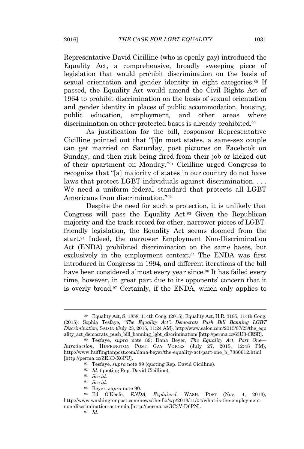Representative David Cicilline (who is openly gay) introduced the Equality Act, a comprehensive, broadly sweeping piece of legislation that would prohibit discrimination on the basis of sexual orientation and gender identity in eight categories.<sup>89</sup> If passed, the Equality Act would amend the Civil Rights Act of 1964 to prohibit discrimination on the basis of sexual orientation and gender identity in places of public accommodation, housing, public education, employment, and other areas where discrimination on other protected bases is already prohibited.<sup>90</sup>

As justification for the bill, cosponsor Representative Cicilline pointed out that "[i]n most states, a same-sex couple can get married on Saturday, post pictures on Facebook on Sunday, and then risk being fired from their job or kicked out of their apartment on Monday." <sup>91</sup> Cicilline urged Congress to recognize that "[a] majority of states in our country do not have laws that protect LGBT individuals against discrimination. . . . We need a uniform federal standard that protects all LGBT Americans from discrimination." 92

Despite the need for such a protection, it is unlikely that Congress will pass the Equality Act.<sup>93</sup> Given the Republican majority and the track record for other, narrower pieces of LGBTfriendly legislation, the Equality Act seems doomed from the start.<sup>94</sup> Indeed, the narrower Employment Non-Discrimination Act (ENDA) prohibited discrimination on the same bases, but exclusively in the employment context.<sup>95</sup> The ENDA was first introduced in Congress in 1994, and different iterations of the bill have been considered almost every year since.<sup>96</sup> It has failed every time, however, in great part due to its opponents' concern that it is overly broad.<sup>97</sup> Certainly, if the ENDA, which only applies to

<sup>89</sup> Equality Act, S. 1858, 114th Cong. (2015); Equality Act, H.R. 3185, 114th Cong. (2015); Sophia Tesfaye, *"The Equality Act": Democrats Push Bill Banning LGBT Discrimination*, SALON (July 23, 2015, 11:24 AM), http://www.salon.com/2015/07/23/the\_equ ality\_act\_democrats\_push\_bill\_banning\_lgbt\_discrimination/ [http://perma.cc/63U3-6ESR].

<sup>90</sup> Tesfaye, *supra* note 89; Dana Beyer, *The Equality Act, Part One— Introduction*, HUFFINGTON POST: GAY VOICES (July 27, 2015, 12:48 PM), http://www.huffingtonpost.com/dana-beyer/the-equality-act-part-one\_b\_7880612.html [http://perma.cc/ZE3D-X6PU].

<sup>91</sup> Tesfaye, *supra* note 89 (quoting Rep. David Cicilline).

<sup>92</sup> *Id.* (quoting Rep. David Cicilline).

<sup>93</sup> *See id.*

<sup>94</sup> *See id.*

<sup>95</sup> Beyer, *supra* note 90.

<sup>96</sup> Ed O'Keefe, *ENDA, Explained*, WASH. POST (Nov. 4, 2013), http://www.washingtonpost.com/news/the-fix/wp/2013/11/04/what-is-the-employmentnon-discrimination-act-enda [http://perma.cc/GC3V-D6PN].

<sup>97</sup> *Id.*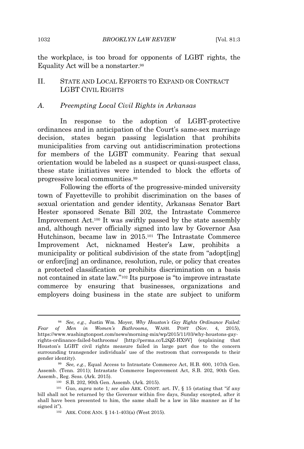the workplace, is too broad for opponents of LGBT rights, the Equality Act will be a nonstarter.<sup>98</sup>

# II. STATE AND LOCAL EFFORTS TO EXPAND OR CONTRACT LGBT CIVIL RIGHTS

#### *A. Preempting Local Civil Rights in Arkansas*

In response to the adoption of LGBT-protective ordinances and in anticipation of the Court's same-sex marriage decision, states began passing legislation that prohibits municipalities from carving out antidiscrimination protections for members of the LGBT community. Fearing that sexual orientation would be labeled as a suspect or quasi-suspect class, these state initiatives were intended to block the efforts of progressive local communities.<sup>99</sup>

Following the efforts of the progressive-minded university town of Fayetteville to prohibit discrimination on the bases of sexual orientation and gender identity, Arkansas Senator Bart Hester sponsored Senate Bill 202, the Intrastate Commerce Improvement Act.<sup>100</sup> It was swiftly passed by the state assembly and, although never officially signed into law by Governor Asa Hutchinson, became law in 2015.<sup>101</sup> The Intrastate Commerce Improvement Act, nicknamed Hester's Law, prohibits a municipality or political subdivision of the state from "adopt[ing] or enforc[ing] an ordinance, resolution, rule, or policy that creates a protected classification or prohibits discrimination on a basis not contained in state law." <sup>102</sup> Its purpose is "to improve intrastate commerce by ensuring that businesses, organizations and employers doing business in the state are subject to uniform

<sup>98</sup> *See, e.g.*, Justin Wm. Moyer, *Why Houston's Gay Rights Ordinance Failed: Fear of Men in Women's Bathrooms*, WASH. POST (Nov. 4, 2015), https://www.washingtonpost.com/news/morning-mix/wp/2015/11/03/why-houstons-gayrights-ordinance-failed-bathrooms/ [http://perma.cc/L2QZ-HX9V] (explaining that Houston's LGBT civil rights measure failed in large part due to the concern surrounding transgender individuals' use of the restroom that corresponds to their gender identity).

<sup>99</sup> *See, e.g.*, Equal Access to Intrastate Commerce Act, H.B. 600, 107th Gen. Assemb. (Tenn. 2011); Intrastate Commerce Improvement Act, S.B. 202, 90th Gen. Assemb., Reg. Sess. (Ark. 2015).

<sup>100</sup> S.B. 202, 90th Gen. Assemb. (Ark. 2015).

<sup>101</sup> Guo, *supra* note 1*; see also* ARK. CONST. art. IV, § 15 (stating that "if any bill shall not be returned by the Governor within five days, Sunday excepted, after it shall have been presented to him, the same shall be a law in like manner as if he signed it").

<sup>102</sup> ARK. CODE ANN. § 14-1-403(a) (West 2015).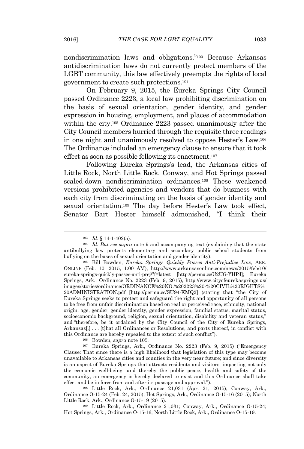nondiscrimination laws and obligations." <sup>103</sup> Because Arkansas antidiscrimination laws do not currently protect members of the LGBT community, this law effectively preempts the rights of local government to create such protections.<sup>104</sup>

On February 9, 2015, the Eureka Springs City Council passed Ordinance 2223, a local law prohibiting discrimination on the basis of sexual orientation, gender identity, and gender expression in housing, employment, and places of accommodation within the city.<sup>105</sup> Ordinance 2223 passed unanimously after the City Council members hurried through the requisite three readings in one night and unanimously resolved to oppose Hester's Law.<sup>106</sup> The Ordinance included an emergency clause to ensure that it took effect as soon as possible following its enactment.<sup>107</sup>

Following Eureka Springs's lead, the Arkansas cities of Little Rock, North Little Rock, Conway, and Hot Springs passed scaled-down nondiscrimination ordinances.<sup>108</sup> These weakened versions prohibited agencies and vendors that do business with each city from discriminating on the basis of gender identity and sexual orientation.<sup>109</sup> The day before Hester's Law took effect, Senator Bart Hester himself admonished, "I think their

<sup>106</sup> Bowden, *supra* note 105*.*

<sup>107</sup> Eureka Springs, Ark., Ordinance No. 2223 (Feb. 9, 2015) ("Emergency Clause: That since there is a high likelihood that legislation of this type may become unavailable to Arkansas cities and counties in the very near future; and since diversity is an aspect of Eureka Springs that attracts residents and visitors, impacting not only the economic well-being, and thereby the public peace, health and safety of the community, an emergency is hereby declared to exist and this Ordinance shall take effect and be in force from and after its passage and approval.").

<sup>108</sup> Little Rock, Ark., Ordinance 21,031 (Apr. 21, 2015); Conway, Ark., Ordinance O-15-24 (Feb. 24, 2015); Hot Springs, Ark., Ordinance O-15-16 (2015); North Little Rock, Ark., Ordinance O-15-19 (2015).

<sup>109</sup> Little Rock, Ark., Ordinance 21,031; Conway, Ark., Ordinance O-15-24; Hot Springs, Ark., Ordinance O-15-16; North Little Rock, Ark., Ordinance O-15-19.

<sup>103</sup> *Id.* § 14-1-402(a).

<sup>104</sup> *Id. But see supra* note 9 and accompanying text (explaining that the state antibullying law protects elementary and secondary public school students from bullying on the bases of sexual orientation and gender identity).

<sup>105</sup> Bill Bowden, *Eureka Springs Quickly Passes Anti-Prejudice Law*, ARK. ONLINE (Feb. 10, 2015, 1:00 AM), http://www.arkansasonline.com/news/2015/feb/10/ eureka-springs-quickly-passes-anti-prej/?f=latest [http://perma.cc/U2UG-YHPJ]; Eureka Springs, Ark., Ordinance No. 2223 (Feb. 9, 2015), http://www.cityofeurekasprings.us/ images/stories/ordinance/ORDINANCE%20NO.%202223%20-%20CIVIL%20RIGHTS% 20ADMINISTRATION.pdf [http://perma.cc/SU94-KMQ2] (stating that "the City of Eureka Springs seeks to protect and safeguard the right and opportunity of all persons to be free from unfair discrimination based on real or perceived race, ethnicity, national origin, age, gender, gender identity, gender expression, familial status, marital status, socioeconomic background, religion, sexual orientation, disability and veteran status," and "therefore, be it ordained by the City Council of the City of Eureka Springs, Arkansas[,] . . . [t]hat all Ordinances or Resolutions, and parts thereof, in conflict with this Ordinance are hereby repealed to the extent of such conflict").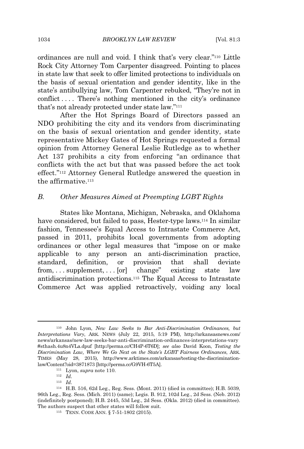ordinances are null and void. I think that's very clear." <sup>110</sup> Little Rock City Attorney Tom Carpenter disagreed. Pointing to places in state law that seek to offer limited protections to individuals on the basis of sexual orientation and gender identity, like in the state's antibullying law, Tom Carpenter rebuked, "They're not in conflict .... There's nothing mentioned in the city's ordinance that's not already protected under state law." 111

After the Hot Springs Board of Directors passed an NDO prohibiting the city and its vendors from discriminating on the basis of sexual orientation and gender identity, state representative Mickey Gates of Hot Springs requested a formal opinion from Attorney General Leslie Rutledge as to whether Act 137 prohibits a city from enforcing "an ordinance that conflicts with the act but that was passed before the act took effect." <sup>112</sup> Attorney General Rutledge answered the question in the affirmative.<sup>113</sup>

#### *B. Other Measures Aimed at Preempting LGBT Rights*

States like Montana, Michigan, Nebraska, and Oklahoma have considered, but failed to pass, Hester-type laws.<sup>114</sup> In similar fashion, Tennessee's Equal Access to Intrastate Commerce Act, passed in 2011, prohibits local governments from adopting ordinances or other legal measures that "impose on or make applicable to any person an anti-discrimination practice, standard, definition, or provision that shall deviate from, . . . supplement, . . . [or] change" existing state law antidiscrimination protections.<sup>115</sup> The Equal Access to Intrastate Commerce Act was applied retroactively, voiding any local

<sup>113</sup> *Id.*

<sup>110</sup> John Lyon, *New Law Seeks to Bar Anti-Discrimination Ordinances, but Interpretations Vary*, ARK. NEWS (July 22, 2015, 5:19 PM), http://arkansasnews.com/ news/arkansas/new-law-seeks-bar-anti-discrimination-ordinances-interpretations-vary #sthash.4u8n4VLa.dpuf [http://perma.cc/CH4P-6T6D]; *see also* David Koon, *Testing the Discrimination Law, Where We Go Next on the State's LGBT Fairness Ordinances*, ARK. TIMES (May 28, 2015), http://www.arktimes.com/arkansas/testing-the-discriminationlaw/Content?oid=3871873 [http://perma.cc/G9VH-6T5A].

<sup>111</sup> Lyon, *supra* note 110.

<sup>112</sup> *Id.*

<sup>114</sup> H.B. 516, 62d Leg., Reg. Sess. (Mont. 2011) (died in committee); H.B. 5039, 96th Leg., Reg. Sess. (Mich. 2011) (same); Legis. B. 912, 102d Leg., 2d Sess. (Neb. 2012) (indefinitely postponed); H.B. 2445, 53d Leg., 2d Sess. (Okla. 2012) (died in committee). The authors suspect that other states will follow suit.

<sup>115</sup> TENN. CODE ANN. § 7-51-1802 (2015).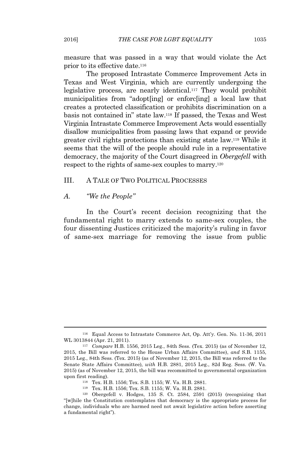measure that was passed in a way that would violate the Act prior to its effective date.<sup>116</sup>

The proposed Intrastate Commerce Improvement Acts in Texas and West Virginia, which are currently undergoing the legislative process, are nearly identical.<sup>117</sup> They would prohibit municipalities from "adopt[ing] or enforc[ing] a local law that creates a protected classification or prohibits discrimination on a basis not contained in" state law.<sup>118</sup> If passed, the Texas and West Virginia Intrastate Commerce Improvement Acts would essentially disallow municipalities from passing laws that expand or provide greater civil rights protections than existing state law.<sup>119</sup> While it seems that the will of the people should rule in a representative democracy, the majority of the Court disagreed in *Obergefell* with respect to the rights of same-sex couples to marry.<sup>120</sup>

#### III. A TALE OF TWO POLITICAL PROCESSES

#### *A. "We the People"*

In the Court's recent decision recognizing that the fundamental right to marry extends to same-sex couples, the four dissenting Justices criticized the majority's ruling in favor of same-sex marriage for removing the issue from public

<sup>116</sup> Equal Access to Intrastate Commerce Act, Op. Att'y. Gen. No. 11-36, 2011 WL 3013844 (Apr. 21, 2011).

<sup>117</sup> *Compare* H.B. 1556, 2015 Leg., 84th Sess. (Tex. 2015) (as of November 12, 2015, the Bill was referred to the House Urban Affairs Committee), *and* S.B. 1155, 2015 Leg., 84th Sess. (Tex. 2015) (as of November 12, 2015, the Bill was referred to the Senate State Affairs Committee)*, with* H.B. 2881, 2015 Leg., 82d Reg. Sess. (W. Va. 2015) (as of November 12, 2015, the bill was recommitted to governmental organization upon first reading).

<sup>118</sup> Tex. H.B. 1556; Tex. S.B. 1155; W. Va. H.B. 2881.

<sup>119</sup> Tex. H.B. 1556; Tex. S.B. 1155; W. Va. H.B. 2881.

<sup>120</sup> Obergefell v. Hodges, 135 S. Ct. 2584, 2591 (2015) (recognizing that "[w]hile the Constitution contemplates that democracy is the appropriate process for change, individuals who are harmed need not await legislative action before asserting a fundamental right").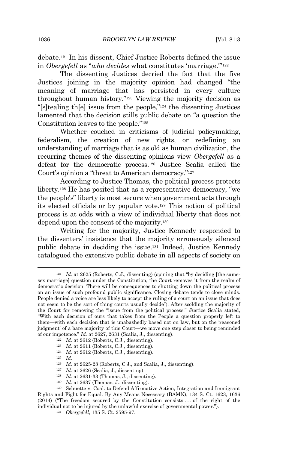debate.<sup>121</sup> In his dissent, Chief Justice Roberts defined the issue in *Obergefell* as "*who decides* what constitutes 'marriage.'" 122

The dissenting Justices decried the fact that the five Justices joining in the majority opinion had changed "the meaning of marriage that has persisted in every culture throughout human history." <sup>123</sup> Viewing the majority decision as "[s]tealing th[e] issue from the people," <sup>124</sup> the dissenting Justices lamented that the decision stills public debate on "a question the Constitution leaves to the people." 125

Whether couched in criticisms of judicial policymaking, federalism, the creation of new rights, or redefining an understanding of marriage that is as old as human civilization, the recurring themes of the dissenting opinions view *Obergefell* as a defeat for the democratic process.<sup>126</sup> Justice Scalia called the Court's opinion a "threat to American democracy." 127

According to Justice Thomas, the political process protects liberty.<sup>128</sup> He has posited that as a representative democracy, "we the people's" liberty is most secure when government acts through its elected officials or by popular vote.<sup>129</sup> This notion of political process is at odds with a view of individual liberty that does not depend upon the consent of the majority.<sup>130</sup>

Writing for the majority, Justice Kennedy responded to the dissenters' insistence that the majority erroneously silenced public debate in deciding the issue.<sup>131</sup> Indeed, Justice Kennedy catalogued the extensive public debate in all aspects of society on

- <sup>122</sup> *Id.* at 2612 (Roberts, C.J., dissenting).
- <sup>123</sup> *Id.* at 2611 (Roberts, C.J., dissenting).
- <sup>124</sup> *Id.* at 2612 (Roberts, C.J., dissenting).
- <sup>125</sup> *Id.*
- <sup>126</sup> *Id.* at 2625-28 (Roberts, C.J., and Scalia, J., dissenting).
- <sup>127</sup> *Id.* at 2626 (Scalia, J., dissenting).
- <sup>128</sup> *Id.* at 2631-33 (Thomas, J., dissenting).
- <sup>129</sup> *Id.* at 2637 (Thomas, J., dissenting).

<sup>&</sup>lt;sup>121</sup> *Id.* at 2625 (Roberts, C.J., dissenting) (opining that "by deciding [the samesex marriage] question under the Constitution, the Court removes it from the realm of democratic decision. There will be consequences to shutting down the political process on an issue of such profound public significance. Closing debate tends to close minds. People denied a voice are less likely to accept the ruling of a court on an issue that does not seem to be the sort of thing courts usually decide"). After scolding the majority of the Court for removing the "issue from the political process," Justice Scalia stated, "With each decision of ours that takes from the People a question properly left to them—with each decision that is unabashedly based not on law, but on the 'reasoned judgment' of a bare majority of this Court—we move one step closer to being reminded of our impotence." *Id.* at 2627, 2631 (Scalia, J., dissenting).

<sup>130</sup> Schuette v. Coal. to Defend Affirmative Action, Integration and Immigrant Rights and Fight for Equal. By Any Means Necessary (BAMN), 134 S. Ct. 1623, 1636 (2014) ("The freedom secured by the Constitution consists . . . of the right of the individual not to be injured by the unlawful exercise of governmental power.").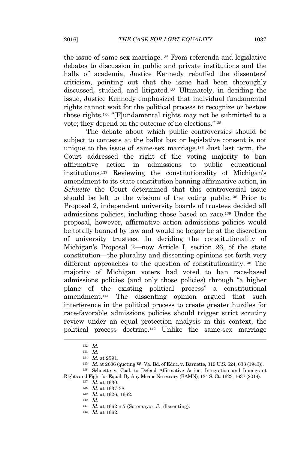the issue of same-sex marriage.<sup>132</sup> From referenda and legislative debates to discussion in public and private institutions and the halls of academia, Justice Kennedy rebuffed the dissenters' criticism, pointing out that the issue had been thoroughly discussed, studied, and litigated.<sup>133</sup> Ultimately, in deciding the issue, Justice Kennedy emphasized that individual fundamental rights cannot wait for the political process to recognize or bestow those rights.<sup>134</sup> "[F]undamental rights may not be submitted to a vote; they depend on the outcome of no elections." 135

The debate about which public controversies should be subject to contests at the ballot box or legislative consent is not unique to the issue of same-sex marriage.<sup>136</sup> Just last term, the Court addressed the right of the voting majority to ban affirmative action in admissions to public educational institutions.<sup>137</sup> Reviewing the constitutionality of Michigan's amendment to its state constitution banning affirmative action, in *Schuette* the Court determined that this controversial issue should be left to the wisdom of the voting public.<sup>138</sup> Prior to Proposal 2, independent university boards of trustees decided all admissions policies, including those based on race.<sup>139</sup> Under the proposal, however, affirmative action admissions policies would be totally banned by law and would no longer be at the discretion of university trustees. In deciding the constitutionality of Michigan's Proposal 2—now Article I, section 26, of the state constitution—the plurality and dissenting opinions set forth very different approaches to the question of constitutionality.<sup>140</sup> The majority of Michigan voters had voted to ban race-based admissions policies (and only those policies) through "a higher plane of the existing political process"—a constitutional amendment.<sup>141</sup> The dissenting opinion argued that such interference in the political process to create greater hurdles for race-favorable admissions policies should trigger strict scrutiny review under an equal protection analysis in this context, the political process doctrine.<sup>142</sup> Unlike the same-sex marriage

<sup>132</sup> *Id.* <sup>133</sup> *Id.*

<sup>134</sup> *Id.* at 2591.

<sup>135</sup> *Id.* at 2606 (quoting W. Va. Bd. of Educ. v. Barnette, 319 U.S. 624, 638 (1943)).

<sup>136</sup> Schuette v. Coal. to Defend Affirmative Action, Integration and Immigrant

Rights and Fight for Equal. By Any Means Necessary (BAMN), 134 S. Ct. 1623, 1637 (2014).

<sup>137</sup> *Id.* at 1630.

<sup>138</sup> *Id.* at 1637-38.

<sup>139</sup> *Id.* at 1626, 1662.

<sup>140</sup> *Id.*

<sup>141</sup> *Id.* at 1662 n.7 (Sotomayor, J., dissenting).

<sup>142</sup> *Id.* at 1662.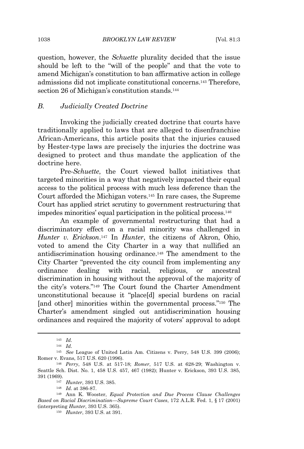question, however, the *Schuette* plurality decided that the issue should be left to the "will of the people" and that the vote to amend Michigan's constitution to ban affirmative action in college admissions did not implicate constitutional concerns.<sup>143</sup> Therefore, section 26 of Michigan's constitution stands.<sup>144</sup>

# *B. Judicially Created Doctrine*

Invoking the judicially created doctrine that courts have traditionally applied to laws that are alleged to disenfranchise African-Americans, this article posits that the injuries caused by Hester-type laws are precisely the injuries the doctrine was designed to protect and thus mandate the application of the doctrine here.

Pre-*Schuette*, the Court viewed ballot initiatives that targeted minorities in a way that negatively impacted their equal access to the political process with much less deference than the Court afforded the Michigan voters.<sup>145</sup> In rare cases, the Supreme Court has applied strict scrutiny to government restructuring that impedes minorities' equal participation in the political process.<sup>146</sup>

An example of governmental restructuring that had a discriminatory effect on a racial minority was challenged in *Hunter v. Erickson*. <sup>147</sup> In *Hunter*, the citizens of Akron, Ohio, voted to amend the City Charter in a way that nullified an antidiscrimination housing ordinance.<sup>148</sup> The amendment to the City Charter "prevented the city council from implementing any ordinance dealing with racial, religious, or ancestral discrimination in housing without the approval of the majority of the city's voters." <sup>149</sup> The Court found the Charter Amendment unconstitutional because it "place[d] special burdens on racial [and other] minorities within the governmental process." <sup>150</sup> The Charter's amendment singled out antidiscrimination housing ordinances and required the majority of voters' approval to adopt

<sup>143</sup> *Id.*

<sup>144</sup> *Id.*

<sup>145</sup> *See* League of United Latin Am. Citizens v. Perry, 548 U.S. 399 (2006); Romer v. Evans, 517 U.S. 620 (1996).

<sup>146</sup> *Perry*, 548 U.S. at 517-18; *Romer*, 517 U.S. at 628-29; Washington v. Seattle Sch. Dist. No. 1, 458 U.S. 457, 467 (1982); Hunter v. Erickson, 393 U.S. 385, 391 (1969).

<sup>147</sup> *Hunter*, 393 U.S. 385.

<sup>148</sup> *Id.* at 386-87.

<sup>149</sup> Ann K. Wooster, *Equal Protection and Due Process Clause Challenges Based on Racial Discrimination—Supreme Court Cases*, 172 A.L.R. Fed. 1, § 17 (2001) (interpreting *Hunter*, 393 U.S. 365).

<sup>150</sup> *Hunter*, 393 U.S. at 391.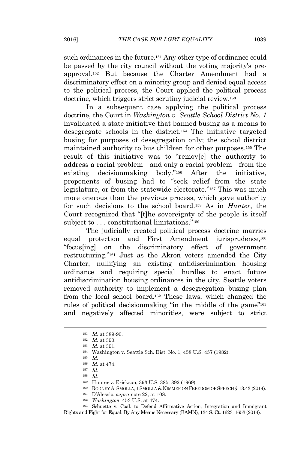such ordinances in the future.<sup>151</sup> Any other type of ordinance could be passed by the city council without the voting majority's preapproval.<sup>152</sup> But because the Charter Amendment had a discriminatory effect on a minority group and denied equal access to the political process, the Court applied the political process doctrine, which triggers strict scrutiny judicial review.<sup>153</sup>

In a subsequent case applying the political process doctrine, the Court in *Washington v. Seattle School District No. 1* invalidated a state initiative that banned busing as a means to desegregate schools in the district.<sup>154</sup> The initiative targeted busing for purposes of desegregation only; the school district maintained authority to bus children for other purposes.<sup>155</sup> The result of this initiative was to "remov[e] the authority to address a racial problem—and only a racial problem—from the existing decisionmaking body." <sup>156</sup> After the initiative, proponents of busing had to "seek relief from the state legislature, or from the statewide electorate." <sup>157</sup> This was much more onerous than the previous process, which gave authority for such decisions to the school board.<sup>158</sup> As in *Hunter*, the Court recognized that "[t]he sovereignty of the people is itself subject to . . . constitutional limitations."<sup>159</sup>

The judicially created political process doctrine marries equal protection and First Amendment jurisprudence.<sup>160</sup> "focus[ing] on the discriminatory effect of government restructuring." <sup>161</sup> Just as the Akron voters amended the City Charter, nullifying an existing antidiscrimination housing ordinance and requiring special hurdles to enact future antidiscrimination housing ordinances in the city, Seattle voters removed authority to implement a desegregation busing plan from the local school board.<sup>162</sup> These laws, which changed the rules of political decisionmaking "in the middle of the game" 163 and negatively affected minorities, were subject to strict

<sup>158</sup> *Id.*

<sup>162</sup> *Washington*, 453 U.S. at 474.

<sup>163</sup> Schuette v. Coal. to Defend Affirmative Action, Integration and Immigrant Rights and Fight for Equal. By Any Means Necessary (BAMN), 134 S. Ct. 1623, 1653 (2014).

<sup>151</sup> *Id.* at 389-90.

<sup>152</sup> *Id.* at 390.

<sup>153</sup> *Id.* at 391.

<sup>154</sup> Washington v. Seattle Sch. Dist. No. 1, 458 U.S. 457 (1982).

<sup>155</sup> *Id.*

<sup>156</sup> *Id.* at 474.

<sup>157</sup> *Id.*

<sup>159</sup> Hunter v. Erickson, 393 U.S. 385, 392 (1969).

<sup>160</sup> RODNEY A. SMOLLA, 1 SMOLLA & NIMMER ON FREEDOM OF SPEECH § 13:43 (2014).

<sup>161</sup> D'Alessio, *supra* note 22, at 108.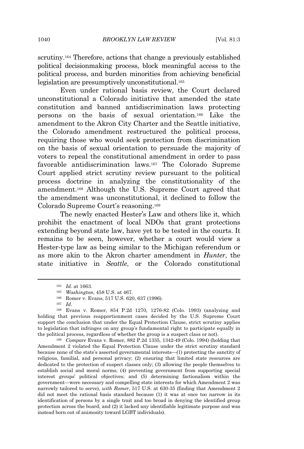scrutiny.<sup>164</sup> Therefore, actions that change a previously established political decisionmaking process, block meaningful access to the political process, and burden minorities from achieving beneficial legislation are presumptively unconstitutional.<sup>165</sup>

Even under rational basis review, the Court declared unconstitutional a Colorado initiative that amended the state constitution and banned antidiscrimination laws protecting persons on the basis of sexual orientation.<sup>166</sup> Like the amendment to the Akron City Charter and the Seattle initiative, the Colorado amendment restructured the political process, requiring those who would seek protection from discrimination on the basis of sexual orientation to persuade the majority of voters to repeal the constitutional amendment in order to pass favorable antidiscrimination laws.<sup>167</sup> The Colorado Supreme Court applied strict scrutiny review pursuant to the political process doctrine in analyzing the constitutionality of the amendment.<sup>168</sup> Although the U.S. Supreme Court agreed that the amendment was unconstitutional, it declined to follow the Colorado Supreme Court's reasoning.<sup>169</sup>

The newly enacted Hester's Law and others like it, which prohibit the enactment of local NDOs that grant protections extending beyond state law, have yet to be tested in the courts. It remains to be seen, however, whether a court would view a Hester-type law as being similar to the Michigan referendum or as more akin to the Akron charter amendment in *Hunter*, the state initiative in *Seattle*, or the Colorado constitutional

<sup>164</sup> *Id.* at 1663.

<sup>165</sup> *Washington*, 458 U.S. at 467.

<sup>166</sup> Romer v. Evans, 517 U.S. 620, 637 (1996).

<sup>167</sup> *Id.*

<sup>168</sup> Evans v. Romer, 854 P.2d 1270, 1276-82 (Colo. 1993) (analyzing and holding that previous reapportionment cases decided by the U.S. Supreme Court support the conclusion that under the Equal Protection Clause, strict scrutiny applies to legislation that infringes on any group's fundamental right to participate equally in the political process, regardless of whether the group is a suspect class or not).

<sup>169</sup> *Compare* Evans v. Romer, 882 P.2d 1335, 1342-49 (Colo. 1994) (holding that Amendment 2 violated the Equal Protection Clause under the strict scrutiny standard because none of the state's asserted governmental interests—(1) protecting the sanctity of religious, familial, and personal privacy; (2) ensuring that limited state resources are dedicated to the protection of suspect classes only; (3) allowing the people themselves to establish social and moral norms; (4) preventing government from supporting special interest groups' political objectives; and (5) determining factionalism within the government—were necessary and compelling state interests for which Amendment 2 was narrowly tailored to serve), *with Romer*, 517 U.S. at 630-35 (finding that Amendment 2 did not meet the rational basis standard because (1) it was at once too narrow in its identification of persons by a single trait and too broad in denying the identified group protection across the board, and (2) it lacked any identifiable legitimate purpose and was instead born out of animosity toward LGBT individuals).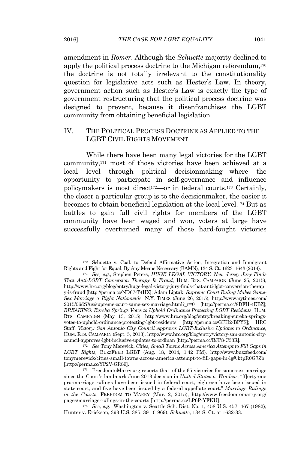amendment in *Romer*. Although the *Schuette* majority declined to apply the political process doctrine to the Michigan referendum,<sup>170</sup> the doctrine is not totally irrelevant to the constitutionality question for legislative acts such as Hester's Law. In theory, government action such as Hester's Law is exactly the type of government restructuring that the political process doctrine was designed to prevent, because it disenfranchises the LGBT community from obtaining beneficial legislation.

# IV. THE POLITICAL PROCESS DOCTRINE AS APPLIED TO THE LGBT CIVIL RIGHTS MOVEMENT

While there have been many legal victories for the LGBT community,<sup>171</sup> most of those victories have been achieved at a local level through political decisionmaking—where the opportunity to participate in self-governance and influence policymakers is most direct172—or in federal courts.<sup>173</sup> Certainly, the closer a particular group is to the decisionmaker, the easier it becomes to obtain beneficial legislation at the local level.<sup>174</sup> But as battles to gain full civil rights for members of the LGBT community have been waged and won, voters at large have successfully overturned many of those hard-fought victories

<sup>170</sup> Schuette v. Coal. to Defend Affirmative Action, Integration and Immigrant Rights and Fight for Equal. By Any Means Necessary (BAMN), 134 S. Ct. 1623, 1643 (2014).

<sup>171</sup> *See, e.g.*, Stephen Peters, *HUGE LEGAL VICTORY: New Jersey Jury Finds That Anti-LGBT Conversion Therapy Is Fraud*, HUM. RTS. CAMPAIGN (June 25, 2015), http://www.hrc.org/blog/entry/huge-legal-victory-jury-finds-that-anti-lgbt-conversion-therap y-is-fraud [http://perma.cc/ND67-T4HX]; Adam Liptak, *Supreme Court Ruling Makes Same-Sex Marriage a Right Nationwide*, N.Y. TIMES (June 26, 2015), http://www.nytimes.com/ 2015/06/27/us/supreme-court-same-sex-marriage.html?\_r=0 [http://perma.cc/8DFH-4EBZ]; *BREAKING: Eureka Springs Votes to Uphold Ordinance Protecting LGBT Residents*, HUM. RTS. CAMPAIGN (May 13, 2015), http://www.hrc.org/blog/entry/breaking-eureka-springsvotes-to-uphold-ordinance-protecting-lgbt-residents [http://perma.cc/GFH2-BPYS]; HRC Staff, *Victory: San Antonio City Council Approves LGBT-Inclusive Updates to Ordinance*, HUM. RTS. CAMPAIGN (Sept. 5, 2013), http://www.hrc.org/blog/entry/victory-san-antonio-citycouncil-approves-lgbt-inclusive-updates-to-ordinan [http://perma.cc/BJP8-C33R].

<sup>172</sup> *See* Tony Merevick, *Cities, Small Towns Across America Attempt to Fill Gaps in LGBT Rights*, BUZZFEED LGBT (Aug. 18, 2014, 1:42 PM), http://www.buzzfeed.com/ tonymerevick/cities-small-towns-across-america-attempt-to-fill-gaps-in-lg#.ktpR0G7Zb [http://perma.cc/YP2V-GR89].

<sup>173</sup> FreedomtoMarry.org reports that, of the 65 victories for same-sex marriage since the Court's landmark June 2013 decision in *United States v. Windsor*, "[f]orty-one pro-marriage rulings have been issued in federal court, eighteen have been issued in state court, and five have been issued by a federal appellate court." *Marriage Rulings in the Courts*, FREEDOM TO MARRY (Mar. 2, 2015), http://www.freedomtomarry.org/ pages/marriage-rulings-in-the-courts [http://perma.cc/LP6P-YFKU].

<sup>174</sup> *See, e.g.*, Washington v. Seattle Sch. Dist. No. 1, 458 U.S. 457, 467 (1982); Hunter v. Erickson, 393 U.S. 385, 391 (1969); *Schuette*, 134 S. Ct. at 1632-33.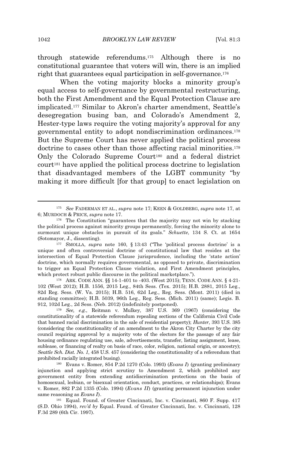through statewide referendums.<sup>175</sup> Although there is no constitutional guarantee that voters will win, there is an implied right that guarantees equal participation in self-governance.<sup>176</sup>

When the voting majority blocks a minority group's equal access to self-governance by governmental restructuring, both the First Amendment and the Equal Protection Clause are implicated.<sup>177</sup> Similar to Akron's charter amendment, Seattle's desegregation busing ban, and Colorado's Amendment 2, Hester-type laws require the voting majority's approval for any governmental entity to adopt nondiscrimination ordinances.<sup>178</sup> But the Supreme Court has never applied the political process doctrine to cases other than those affecting racial minorities.<sup>179</sup> Only the Colorado Supreme Court<sup>180</sup> and a federal district court<sup>181</sup> have applied the political process doctrine to legislation that disadvantaged members of the LGBT community "by making it more difficult [for that group] to enact legislation on

<sup>178</sup> ARK. CODE ANN. §§ 14-1-401 to -403. (West 2015); TENN. CODE ANN. § 4-21- 102 (West 2012); H.B. 1556, 2015 Leg., 84th Sess. (Tex. 2015); H.B. 2881, 2015 Leg., 82d Reg. Sess. (W. Va. 2015); H.B. 516, 62d Leg., Reg. Sess. (Mont. 2011) (died in standing committee); H.B. 5039, 96th Leg., Reg. Sess. (Mich. 2011) (same); Legis. B. 912, 102d Leg., 2d Sess. (Neb. 2012) (indefinitely postponed).

<sup>179</sup> *See, e.g.*, Reitman v. Mulkey, 387 U.S. 369 (1967) (considering the constitutionality of a statewide referendum repealing sections of the California Civil Code that banned racial discrimination in the sale of residential property); *Hunter*, 393 U.S. 385 (considering the constitutionality of an amendment to the Akron City Charter by the city council requiring approval by a majority vote of the electors for the passage of any fair housing ordinance regulating use, sale, advertisements, transfer, listing assignment, lease, sublease, or financing of realty on basis of race, color, religion, national origin, or ancestry); *Seattle Sch. Dist. No. 1*, 458 U.S. 457 (considering the constitutionality of a referendum that prohibited racially integrated busing).

<sup>180</sup> Evans v. Romer, 854 P.2d 1270 (Colo. 1993) (*Evans I*) (granting preliminary injunction and applying strict scrutiny to Amendment 2, which prohibited any government entity from extending antidiscrimination protections on the basis of homosexual, lesbian, or bisexual orientation, conduct, practices, or relationships); Evans v. Romer, 882 P.2d 1335 (Colo. 1994) (*Evans II*) (granting permanent injunction under same reasoning as *Evans I*).

<sup>181</sup> Equal. Found. of Greater Cincinnati, Inc. v. Cincinnati, 860 F. Supp. 417 (S.D. Ohio 1994), *rev'd by* Equal. Found. of Greater Cincinnati, Inc. v. Cincinnati, 128 F.3d 289 (6th Cir. 1997).

<sup>175</sup> *See* FADERMAN ET AL., *supra* note 17; KEEN & GOLDBERG, *supra* note 17, at 6; MURDOCH & PRICE, *supra* note 17.

<sup>176</sup> The Constitution "guarantees that the majority may not win by stacking the political process against minority groups permanently, forcing the minority alone to surmount unique obstacles in pursuit of its goals." *Schuette*, 134 S. Ct. at 1654 (Sotomayor, J., dissenting).

<sup>177</sup> SMOLLA, *supra* note 160, § 13:43 ("The 'political process doctrine' is a unique and often controversial doctrine of constitutional law that resides at the intersection of Equal Protection Clause jurisprudence, including the 'state action' doctrine, which normally requires governmental, as opposed to private, discrimination to trigger an Equal Protection Clause violation, and First Amendment principles, which protect robust public discourse in the political marketplace.").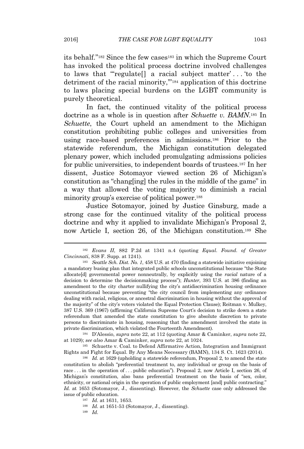its behalf." <sup>182</sup> Since the few cases<sup>183</sup> in which the Supreme Court has invoked the political process doctrine involved challenges to laws that "'regulate[] a racial subject matter' . . . 'to the detriment of the racial minority,'" <sup>184</sup> application of this doctrine to laws placing special burdens on the LGBT community is purely theoretical.

In fact, the continued vitality of the political process doctrine as a whole is in question after *Schuette v. BAMN*. <sup>185</sup> In *Schuette*, the Court upheld an amendment to the Michigan constitution prohibiting public colleges and universities from using race-based preferences in admissions.<sup>186</sup> Prior to the statewide referendum, the Michigan constitution delegated plenary power, which included promulgating admissions policies for public universities, to independent boards of trustees.<sup>187</sup> In her dissent, Justice Sotomayor viewed section 26 of Michigan's constitution as "chang[ing] the rules in the middle of the game" in a way that allowed the voting majority to diminish a racial minority group's exercise of political power.<sup>188</sup>

Justice Sotomayor, joined by Justice Ginsburg, made a strong case for the continued vitality of the political process doctrine and why it applied to invalidate Michigan's Proposal 2, now Article I, section 26, of the Michigan constitution.<sup>189</sup> She

<sup>184</sup> D'Alessio, *supra* note 22, at 112 (quoting Amar & Caminker, *supra* note 22, at 1029); *see also* Amar & Caminker, *supra* note 22, at 1024.

<sup>185</sup> Schuette v. Coal. to Defend Affirmative Action, Integration and Immigrant Rights and Fight for Equal. By Any Means Necessary (BAMN), 134 S. Ct. 1623 (2014).

<sup>186</sup> *Id.* at 1629 (upholding a statewide referendum, Proposal 2, to amend the state constitution to abolish "preferential treatment to, any individual or group on the basis of race ... in the operation of ... public education"). Proposal 2, now Article I, section 26, of Michigan's constitution, also bans preferential treatment on the basis of "sex, color, ethnicity, or national origin in the operation of public employment [and] public contracting." *Id.* at 1653 (Sotomayor, J., dissenting). However, the *Schuette* case only addressed the issue of public education.

<sup>182</sup> *Evans II*, 882 P.2d at 1341 n.4 (quoting *Equal. Found. of Greater Cincinnati*, 838 F. Supp. at 1241).

<sup>183</sup> *Seattle Sch. Dist. No. 1*, 458 U.S. at 470 (finding a statewide initiative enjoining a mandatory busing plan that integrated public schools unconstitutional because "the State allocate[d] governmental power nonneutrally, by explicitly using the *racial* nature of a decision to determine the decisionmaking process"); *Hunter*, 393 U.S. at 386 (finding an amendment to the city charter nullifying the city's antidiscrimination housing ordinance unconstitutional because preventing "the city council from implementing any ordinance dealing with racial, religious, or ancestral discrimination in housing without the approval of the majority" of the city's voters violated the Equal Protection Clause); Reitman v. Mulkey, 387 U.S. 369 (1967) (affirming California Supreme Court's decision to strike down a state referendum that amended the state constitution to give absolute discretion to private persons to discriminate in housing, reasoning that the amendment involved the state in private discrimination, which violated the Fourteenth Amendment).

<sup>187</sup> *Id.* at 1631, 1653.

<sup>188</sup> *Id.* at 1651-53 (Sotomayor, J., dissenting).

<sup>189</sup> *Id.*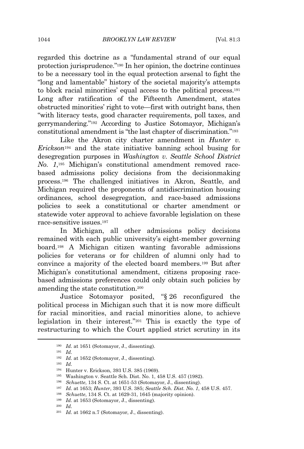regarded this doctrine as a "fundamental strand of our equal protection jurisprudence." <sup>190</sup> In her opinion, the doctrine continues to be a necessary tool in the equal protection arsenal to fight the "long and lamentable" history of the societal majority's attempts to block racial minorities' equal access to the political process.<sup>191</sup> Long after ratification of the Fifteenth Amendment, states obstructed minorities' right to vote—first with outright bans, then "with literacy tests, good character requirements, poll taxes, and gerrymandering." <sup>192</sup> According to Justice Sotomayor, Michigan's constitutional amendment is "the last chapter of discrimination." 193

Like the Akron city charter amendment in *Hunter v. Erickson*<sup>194</sup> and the state initiative banning school busing for desegregation purposes in *Washington v. Seattle School District No. 1*, <sup>195</sup> Michigan's constitutional amendment removed racebased admissions policy decisions from the decisionmaking process.<sup>196</sup> The challenged initiatives in Akron, Seattle, and Michigan required the proponents of antidiscrimination housing ordinances, school desegregation, and race-based admissions policies to seek a constitutional or charter amendment or statewide voter approval to achieve favorable legislation on these race-sensitive issues.<sup>197</sup>

In Michigan, all other admissions policy decisions remained with each public university's eight-member governing board.<sup>198</sup> A Michigan citizen wanting favorable admissions policies for veterans or for children of alumni only had to convince a majority of the elected board members.<sup>199</sup> But after Michigan's constitutional amendment, citizens proposing racebased admissions preferences could only obtain such policies by amending the state constitution.<sup>200</sup>

Justice Sotomayor posited, "§ 26 reconfigured the political process in Michigan such that it is now more difficult for racial minorities, and racial minorities alone, to achieve legislation in their interest." <sup>201</sup> This is exactly the type of restructuring to which the Court applied strict scrutiny in its

<sup>193</sup> *Id.*

<sup>198</sup> *Schuette*, 134 S. Ct. at 1629-31, 1645 (majority opinion).

<sup>200</sup> *Id.*

<sup>190</sup> *Id.* at 1651 (Sotomayor, J., dissenting).

<sup>191</sup> *Id.*

<sup>192</sup> *Id.* at 1652 (Sotomayor, J., dissenting).

<sup>194</sup> Hunter v. Erickson, 393 U.S. 385 (1969).

<sup>195</sup> Washington v. Seattle Sch. Dist. No. 1, 458 U.S. 457 (1982).

<sup>196</sup> *Schuette*, 134 S. Ct. at 1651-53 (Sotomayor, J., dissenting).

<sup>197</sup> *Id.* at 1653; *Hunter*, 393 U.S. 385; *Seattle Sch. Dist. No. 1*, 458 U.S. 457.

<sup>199</sup> *Id.* at 1653 (Sotomayor, J., dissenting).

<sup>201</sup> *Id.* at 1662 n.7 (Sotomayor, J., dissenting).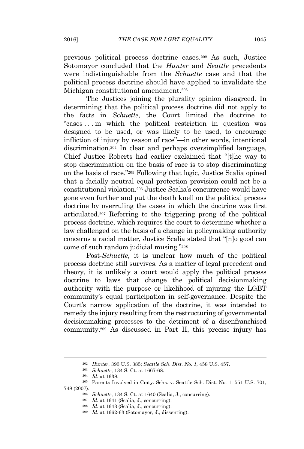previous political process doctrine cases.<sup>202</sup> As such, Justice Sotomayor concluded that the *Hunter* and *Seattle* precedents were indistinguishable from the *Schuette* case and that the political process doctrine should have applied to invalidate the Michigan constitutional amendment.<sup>203</sup>

The Justices joining the plurality opinion disagreed. In determining that the political process doctrine did not apply to the facts in *Schuette*, the Court limited the doctrine to "cases . . . in which the political restriction in question was designed to be used, or was likely to be used, to encourage infliction of injury by reason of race"—in other words, intentional discrimination.<sup>204</sup> In clear and perhaps oversimplified language, Chief Justice Roberts had earlier exclaimed that "[t]he way to stop discrimination on the basis of race is to stop discriminating on the basis of race." <sup>205</sup> Following that logic, Justice Scalia opined that a facially neutral equal protection provision could not be a constitutional violation.<sup>206</sup> Justice Scalia's concurrence would have gone even further and put the death knell on the political process doctrine by overruling the cases in which the doctrine was first articulated.<sup>207</sup> Referring to the triggering prong of the political process doctrine, which requires the court to determine whether a law challenged on the basis of a change in policymaking authority concerns a racial matter, Justice Scalia stated that "[n]o good can come of such random judicial musing." 208

Post-*Schuette*, it is unclear how much of the political process doctrine still survives. As a matter of legal precedent and theory, it is unlikely a court would apply the political process doctrine to laws that change the political decisionmaking authority with the purpose or likelihood of injuring the LGBT community's equal participation in self-governance. Despite the Court's narrow application of the doctrine, it was intended to remedy the injury resulting from the restructuring of governmental decisionmaking processes to the detriment of a disenfranchised community.<sup>209</sup> As discussed in Part II, this precise injury has

<sup>202</sup> *Hunter*, 393 U.S. 385; *Seattle Sch. Dist. No. 1*, 458 U.S. 457.

<sup>203</sup> *Schuette*, 134 S. Ct. at 1667-68.

<sup>204</sup> *Id.* at 1638.

<sup>205</sup> Parents Involved in Cmty. Schs. v. Seattle Sch. Dist. No. 1, 551 U.S. 701, 748 (2007).

<sup>206</sup> *Schuette*, 134 S. Ct. at 1640 (Scalia, J., concurring).

<sup>207</sup> *Id.* at 1641 (Scalia, J., concurring).

<sup>208</sup> *Id.* at 1643 (Scalia, J., concurring).

<sup>209</sup> *Id.* at 1662-63 (Sotomayor, J., dissenting).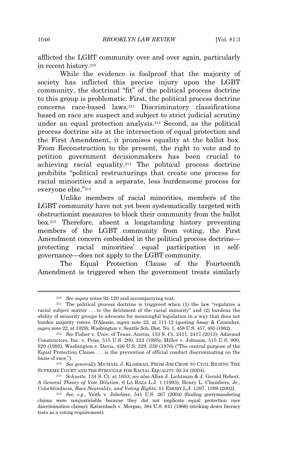afflicted the LGBT community over and over again, particularly in recent history.<sup>210</sup>

While the evidence is foolproof that the majority of society has inflicted this precise injury upon the LGBT community, the doctrinal "fit" of the political process doctrine to this group is problematic. First, the political process doctrine concerns race-based laws.<sup>211</sup> Discriminatory classifications based on race are suspect and subject to strict judicial scrutiny under an equal protection analysis.<sup>212</sup> Second, as the political process doctrine sits at the intersection of equal protection and the First Amendment, it promises equality at the ballot box. From Reconstruction to the present, the right to vote and to petition government decisionmakers has been crucial to achieving racial equality.<sup>213</sup> The political process doctrine prohibits "political restructurings that create one process for racial minorities and a separate, less burdensome process for everyone else." 214

Unlike members of racial minorities, members of the LGBT community have not yet been systematically targeted with obstructionist measures to block their community from the ballot box.<sup>215</sup> Therefore, absent a longstanding history preventing members of the LGBT community from voting, the First Amendment concern embedded in the political process doctrine protecting racial minorities' equal participation in selfgovernance—does not apply to the LGBT community.

The Equal Protection Clause of the Fourteenth Amendment is triggered when the government treats similarly

<sup>213</sup> *See generally* MICHAEL J. KLARMAN, FROM JIM CROW TO CIVIL RIGHTS: THE SUPREME COURT AND THE STRUGGLE FOR RACIAL EQUALITY 30-34 (2004).

<sup>210</sup> *See supra* notes 92-120 and accompanying text.

<sup>211</sup> The political process doctrine is triggered when (1) the law "regulates a racial subject matter . . . to the detriment of the racial minority" and (2) burdens the ability of minority groups to advocate for meaningful legislation in a way that does not burden majority voters. D'Alessio, *supra* note 22, at 111-12 (quoting Amar & Caminker, *supra* note 22, at 1029); Washington v. Seattle Sch. Dist. No. 1, 458 U.S. 457, 485 (1982).

<sup>212</sup> *See* Fisher v. Univ. of Texas, Austin, 133 S. Ct. 2411, 2417 (2013); Adarand Constructors, Inc. v. Pena, 515 U.S. 200, 222 (1995); Miller v. Johnson, 515 U.S. 900, 920 (1995); Washington v. Davis, 426 U.S. 229, 239 (1976) ("The central purpose of the Equal Protection Clause . . . is the prevention of official conduct discriminating on the basis of race.").

<sup>214</sup> *Schuette*, 134 S. Ct. at 1653; *see also* Allan J. Lichtman & J. Gerald Hebert, *A General Theory of Vote Dilution*, 6 LA RAZA L.J. 1 (1993); Henry L. Chambers, Jr., *Colorblindness, Race Neutrality, and Voting Rights*, 51 EMORY L.J. 1397, 1399 (2002).

<sup>215</sup> *See, e.g.*, Veith v. Jubelirer, 541 U.S. 267 (2004) (finding gerrymandering claims were nonjusticiable because they did not implicate equal protection race discrimination claims); Katzenbach v. Morgan, 384 U.S. 641 (1966) (striking down literacy tests as a voting requirement).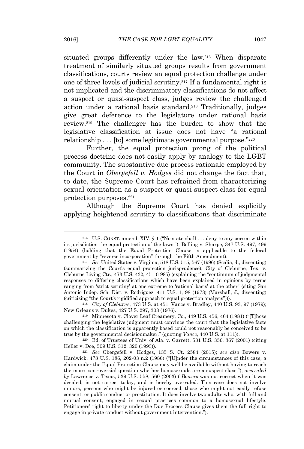situated groups differently under the law.<sup>216</sup> When disparate treatment of similarly situated groups results from government classifications, courts review an equal protection challenge under one of three levels of judicial scrutiny.<sup>217</sup> If a fundamental right is not implicated and the discriminatory classifications do not affect a suspect or quasi-suspect class, judges review the challenged action under a rational basis standard.<sup>218</sup> Traditionally, judges give great deference to the legislature under rational basis review.<sup>219</sup> The challenger has the burden to show that the legislative classification at issue does not have "a rational relationship . . . [to] some legitimate governmental purpose." 220

Further, the equal protection prong of the political process doctrine does not easily apply by analogy to the LGBT community. The substantive due process rationale employed by the Court in *Obergefell v. Hodges* did not change the fact that, to date, the Supreme Court has refrained from characterizing sexual orientation as a suspect or quasi-suspect class for equal protection purposes.<sup>221</sup>

Although the Supreme Court has denied explicitly applying heightened scrutiny to classifications that discriminate

<sup>&</sup>lt;sup>216</sup> U.S. CONST. amend. XIV,  $\S 1$  ("No state shall ... deny to any person within its jurisdiction the equal protection of the laws."); Bolling v. Sharpe, 347 U.S. 497, 499 (1954) (holding that the Equal Protection Clause is applicable to the federal government by "reverse incorporation" through the Fifth Amendment).

<sup>217</sup> *See* United States v. Virginia, 518 U.S. 515, 567 (1996) (Scalia, J., dissenting) (summarizing the Court's equal protection jurisprudence); City of Cleburne, Tex. v. Cleburne Living Ctr., 473 U.S. 432, 451 (1985) (explaining the "continuum of judgmental responses to differing classifications which have been explained in opinions by terms ranging from 'strict scrutiny' at one extreme to 'rational basis' at the other" (citing San Antonio Indep. Sch. Dist. v. Rodriguez, 411 U.S. 1, 98 (1973) (Marshall, J., dissenting) (criticizing "the Court's rigidified approach to equal protection analysis"))).

<sup>218</sup> *City of Cleburne*, 473 U.S. at 451; Vance v. Bradley, 440 U.S. 93, 97 (1979); New Orleans v. Dukes, 427 U.S. 297, 303 (1976).

<sup>219</sup> Minnesota v. Clover Leaf Creamery, Co., 449 U.S. 456, 464 (1981) ("[T]hose challenging the legislative judgment must convince the court that the legislative facts on which the classification is apparently based could not reasonably be conceived to be true by the governmental decisionmaker." (quoting *Vance*, 440 U.S. at 111)).

 $220$  Bd. of Trustees of Univ. of Ala. v. Garrett, 531 U.S. 356, 367 (2001) (citing Heller v. Doe, 509 U.S. 312, 320 (1993)).

<sup>221</sup> *See* Obergefell v. Hodges, 135 S. Ct. 2584 (2015); *see also* Bowers v. Hardwick, 478 U.S. 186, 202-03 n.2 (1986) ("[U]nder the circumstances of this case, a claim under the Equal Protection Clause may well be available without having to reach the more controversial question whether homosexuals are a suspect class."), *overruled by* Lawrence v. Texas, 539 U.S. 558, 560 (2003) ("*Bowers* was not correct when it was decided, is not correct today, and is hereby overruled. This case does not involve minors, persons who might be injured or coerced, those who might not easily refuse consent, or public conduct or prostitution. It does involve two adults who, with full and mutual consent, engaged in sexual practices common to a homosexual lifestyle. Petitioners' right to liberty under the Due Process Clause gives them the full right to engage in private conduct without government intervention.").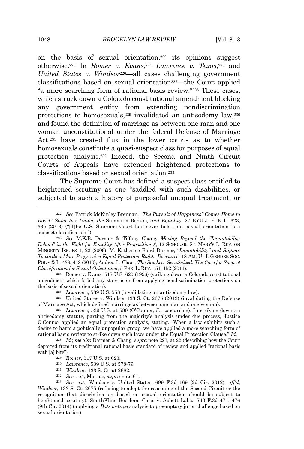on the basis of sexual orientation, $222$  its opinions suggest otherwise.<sup>223</sup> In *Romer v. Evans*, <sup>224</sup> *Lawrence v. Texas*, <sup>225</sup> and *United States v. Windsor*226—all cases challenging government classifications based on sexual orientation<sup>227</sup>—the Court applied "a more searching form of rational basis review." <sup>228</sup> These cases, which struck down a Colorado constitutional amendment blocking any government entity from extending nondiscrimination protections to homosexuals,<sup>229</sup> invalidated an antisodomy law,<sup>230</sup> and found the definition of marriage as between one man and one woman unconstitutional under the federal Defense of Marriage Act,<sup>231</sup> have created flux in the lower courts as to whether homosexuals constitute a quasi-suspect class for purposes of equal protection analysis.<sup>232</sup> Indeed, the Second and Ninth Circuit Courts of Appeals have extended heightened protections to classifications based on sexual orientation.<sup>233</sup>

The Supreme Court has defined a suspect class entitled to heightened scrutiny as one "saddled with such disabilities, or subjected to such a history of purposeful unequal treatment, or

<sup>224</sup> Romer v. Evans, 517 U.S. 620 (1996) (striking down a Colorado constitutional amendment which forbid any state actor from applying nondiscrimination protections on the basis of sexual orientation).

<sup>225</sup> *Lawrence*, 539 U.S. 558 (invalidating an antisodomy law).

<sup>226</sup> United States v. Windsor 133 S. Ct. 2675 (2013) (invalidating the Defense of Marriage Act, which defined marriage as between one man and one woman).

<sup>227</sup> *Lawrence*, 539 U.S. at 580 (O'Connor, J., concurring). In striking down an antisodomy statute, parting from the majority's analysis under due process, Justice O'Connor applied an equal protection analysis, stating, "When a law exhibits such a desire to harm a politically unpopular group, we have applied a more searching form of rational basis review to strike down such laws under the Equal Protection Clause." *Id.*

<sup>228</sup> *Id.*; *see also* Darmer & Chang, *supra* note 223, at 22 (describing how the Court departed from its traditional rational basis standard of review and applied "rational basis with [a] bite").

<sup>230</sup> *Lawrence*, 539 U.S. at 578-79.

- <sup>231</sup> *Windsor*, 133 S. Ct. at 2682.
- <sup>232</sup> *See, e.g.*, Marcus, *supra* note 61.

<sup>233</sup> *See, e.g.*, Windsor v. United States, 699 F.3d 169 (2d Cir. 2012), *aff'd*, *Windsor*, 133 S. Ct. 2675 (refusing to adopt the reasoning of the Second Circuit or the recognition that discrimination based on sexual orientation should be subject to heightened scrutiny); SmithKline Beecham Corp. v. Abbott Labs., 740 F.3d 471, 476 (9th Cir. 2014) (applying a *Batson*-type analysis to preemptory juror challenge based on sexual orientation).

<sup>222</sup> *See* Patrick McKinley Brennan, "*The Pursuit of Happiness" Comes Home to Roost? Same-Sex Union, the* Summum Bonum*, and Equality*, 27 BYU J. PUB. L. 323, 335 (2013) ("[T]he U.S. Supreme Court has never held that sexual orientation is a suspect classification.").

<sup>223</sup> *See* M.K.B. Darmer & Tiffany Chang, *Moving Beyond the "Immutability Debate" in the Fight for Equality After Proposition 8*, 12 SCHOLAR: ST. MARY'S L. REV. ON MINORITY ISSUES 1, 22 (2009); M. Katherine Baird Darmer, "*Immutability" and Stigma: Towards a More Progressive Equal Protection Rights Discourse*, 18 AM. U. J. GENDER SOC. POL'Y & L. 439, 448 (2010); Andrea L. Claus, *The Sex Less Scrutinized: The Case for Suspect Classification for Sexual Orientation*, 5 PHX. L. REV. 151, 152 (2011).

<sup>229</sup> *Romer*, 517 U.S. at 623.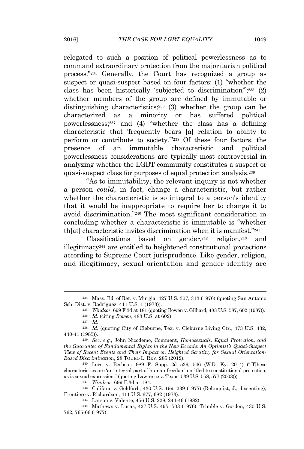relegated to such a position of political powerlessness as to command extraordinary protection from the majoritarian political process." <sup>234</sup> Generally, the Court has recognized a group as suspect or quasi-suspect based on four factors: (1) "whether the class has been historically 'subjected to discrimination'"; <sup>235</sup> (2) whether members of the group are defined by immutable or distinguishing characteristics;<sup>236</sup> (3) whether the group can be characterized as a minority or has suffered political powerlessness;<sup>237</sup> and (4) "whether the class has a defining characteristic that 'frequently bears [a] relation to ability to perform or contribute to society.'" <sup>238</sup> Of these four factors, the presence of an immutable characteristic and political powerlessness considerations are typically most controversial in analyzing whether the LGBT community constitutes a suspect or quasi-suspect class for purposes of equal protection analysis.<sup>239</sup>

"As to immutability, the relevant inquiry is not whether a person *could*, in fact, change a characteristic, but rather whether the characteristic is so integral to a person's identity that it would be inappropriate to require her to change it to avoid discrimination." <sup>240</sup> The most significant consideration in concluding whether a characteristic is immutable is "whether th[at] characteristic invites discrimination when it is manifest." 241

Classifications based on gender,  $242$  religion,  $243$  and illegitimacy<sup>244</sup> are entitled to heightened constitutional protections according to Supreme Court jurisprudence. Like gender, religion, and illegitimacy, sexual orientation and gender identity are

<sup>234</sup> Mass. Bd. of Ret. v. Murgia, 427 U.S. 307, 313 (1976) (quoting San Antonio Sch. Dist. v. Rodriguez, 411 U.S. 1 (1973)).

<sup>235</sup> *Windsor*, 699 F.3d at 181 (quoting Bowen v. Gilliard, 483 U.S. 587, 602 (1987)).

<sup>236</sup> *Id.* (citing *Bowen*, 483 U.S. at 602).

<sup>237</sup> *Id.*

<sup>238</sup> *Id.* (quoting City of Cleburne, Tex. v. Cleburne Living Ctr., 473 U.S. 432, 440-41 (1985)).

<sup>239</sup> *See, e.g.*, John Nicodemo, Comment, *Homosexuals, Equal Protection, and the Guarantee of Fundamental Rights in the New Decade: An Optimist's Quasi-Suspect View of Recent Events and Their Impact on Heighted Scrutiny for Sexual Orientation-Based Discrimination*, 28 TOURO L. REV. 285 (2012).

<sup>240</sup> Love v. Beshear, 989 F. Supp. 2d 536, 546 (W.D. Ky. 2014) ("[T]hese characteristics are 'an integral part of human freedom' entitled to constitutional protection, as is sexual expression." (quoting Lawrence v. Texas, 539 U.S. 558, 577 (2003))).

<sup>241</sup> *Windsor*, 699 F.3d at 184.

<sup>242</sup> Califano v. Goldfarb, 430 U.S. 199, 239 (1977) (Rehnquist, J., dissenting); Frontiero v. Richardson, 411 U.S. 677, 682 (1973).

<sup>243</sup> Larson v. Valente, 456 U.S. 228, 244-46 (1982).

<sup>244</sup> Mathews v. Lucas, 427 U.S. 495, 503 (1976); Trimble v. Gordon, 430 U.S. 762, 765-66 (1977).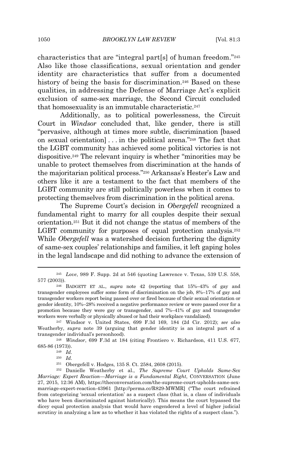characteristics that are "integral part[s] of human freedom." 245 Also like those classifications, sexual orientation and gender identity are characteristics that suffer from a documented history of being the basis for discrimination.<sup>246</sup> Based on these qualities, in addressing the Defense of Marriage Act's explicit exclusion of same-sex marriage, the Second Circuit concluded that homosexuality is an immutable characteristic.<sup>247</sup>

Additionally, as to political powerlessness, the Circuit Court in *Windsor* concluded that, like gender, there is still "pervasive, although at times more subtle, discrimination [based on sexual orientation] . . . in the political arena." <sup>248</sup> The fact that the LGBT community has achieved some political victories is not dispositive.<sup>249</sup> The relevant inquiry is whether "minorities may be unable to protect themselves from discrimination at the hands of the majoritarian political process." <sup>250</sup> Arkansas's Hester's Law and others like it are a testament to the fact that members of the LGBT community are still politically powerless when it comes to protecting themselves from discrimination in the political arena.

The Supreme Court's decision in *Obergefell* recognized a fundamental right to marry for all couples despite their sexual orientation.<sup>251</sup> But it did not change the status of members of the LGBT community for purposes of equal protection analysis.<sup>252</sup> While *Obergefell* was a watershed decision furthering the dignity of same-sex couples' relationships and families, it left gaping holes in the legal landscape and did nothing to advance the extension of

<sup>245</sup> *Love*, 989 F. Supp. 2d at 546 (quoting Lawrence v. Texas, 539 U.S. 558, 577 (2003)).

<sup>246</sup> BADGETT ET AL., *supra* note 42 (reporting that 15%–43% of gay and transgender employees suffer some form of discrimination on the job, 8%–17% of gay and transgender workers report being passed over or fired because of their sexual orientation or gender identity, 10%–28% received a negative performance review or were passed over for a promotion because they were gay or transgender, and 7%–41% of gay and transgender workers were verbally or physically abused or had their workplace vandalized).

<sup>247</sup> Windsor v. United States, 699 F.3d 169, 184 (2d Cir. 2012); *see also* Weatherby, *supra* note 39 (arguing that gender identity is an integral part of a transgender individual's personhood).

<sup>248</sup> *Windsor*, 699 F.3d at 184 (citing Frontiero v. Richardson, 411 U.S. 677, 685-86 (1973)).

<sup>249</sup> *Id.*

<sup>250</sup> *Id.*

<sup>251</sup> Obergefell v. Hodges, 135 S. Ct. 2584, 2608 (2015).

<sup>252</sup> Danielle Weatherby et al., *The Supreme Court Upholds Same-Sex Marriage: Expert Reaction—Marriage is a Fundamental Right*, CONVERSATION (June 27, 2015, 12:36 AM), https://theconversation.com/the-supreme-court-upholds-same-sexmarriage-expert-reaction-43961 [http://perma.cc/R829-MWMR] ("The court refrained from categorizing 'sexual orientation' as a suspect class (that is, a class of individuals who have been discriminated against historically). This means the court bypassed the dicey equal protection analysis that would have engendered a level of higher judicial scrutiny in analyzing a law as to whether it has violated the rights of a suspect class.").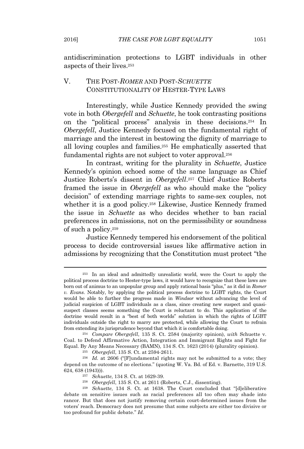antidiscrimination protections to LGBT individuals in other aspects of their lives.<sup>253</sup>

## V. THE POST-*ROMER* AND POST-*SCHUETTE* CONSTITUTIONALITY OF HESTER-TYPE LAWS

Interestingly, while Justice Kennedy provided the swing vote in both *Obergefell* and *Schuette*, he took contrasting positions on the "political process" analysis in these decisions.<sup>254</sup> In *Obergefell*, Justice Kennedy focused on the fundamental right of marriage and the interest in bestowing the dignity of marriage to all loving couples and families.<sup>255</sup> He emphatically asserted that fundamental rights are not subject to voter approval.<sup>256</sup>

In contrast, writing for the plurality in *Schuette*, Justice Kennedy's opinion echoed some of the same language as Chief Justice Roberts's dissent in *Obergefell*. <sup>257</sup> Chief Justice Roberts framed the issue in *Obergefell* as who should make the "policy decision" of extending marriage rights to same-sex couples, not whether it is a good policy.<sup>258</sup> Likewise, Justice Kennedy framed the issue in *Schuette* as who decides whether to ban racial preferences in admissions, not on the permissibility or soundness of such a policy.<sup>259</sup>

Justice Kennedy tempered his endorsement of the political process to decide controversial issues like affirmative action in admissions by recognizing that the Constitution must protect "the

<sup>254</sup> *Compare Obergefell*, 135 S. Ct. 2584 (majority opinion), *with* Schuette v. Coal. to Defend Affirmative Action, Integration and Immigrant Rights and Fight for Equal. By Any Means Necessary (BAMN), 134 S. Ct. 1623 (2014) (plurality opinion).

<sup>255</sup> *Obergefell*, 135 S. Ct. at 2594-2611.

<sup>256</sup> *Id.* at 2606 ("[F]undamental rights may not be submitted to a vote; they depend on the outcome of no elections." (quoting W. Va. Bd. of Ed. v. Barnette, 319 U.S. 624, 638 (1943))).

<sup>257</sup> *Schuette*, 134 S. Ct. at 1629-39.

<sup>258</sup> *Obergefell*, 135 S. Ct. at 2611 (Roberts, C.J., dissenting).

<sup>253</sup> In an ideal and admittedly unrealistic world, were the Court to apply the political process doctrine to Hester-type laws, it would have to recognize that these laws are born out of animus to an unpopular group and apply rational basis "plus," as it did in *Romer v. Evans*. Notably, by applying the political process doctrine to LGBT rights, the Court would be able to further the progress made in *Windsor* without advancing the level of judicial suspicion of LGBT individuals as a class, since creating new suspect and quasisuspect classes seems something the Court is reluctant to do. This application of the doctrine would result in a "best of both worlds" solution in which the rights of LGBT individuals outside the right to marry are protected, while allowing the Court to refrain from extending its jurisprudence beyond that which it is comfortable doing.

<sup>259</sup> *Schuette*, 134 S. Ct. at 1638. The Court concluded that "[d]eliberative debate on sensitive issues such as racial preferences all too often may shade into rancor. But that does not justify removing certain court-determined issues from the voters' reach. Democracy does not presume that some subjects are either too divisive or too profound for public debate." *Id.*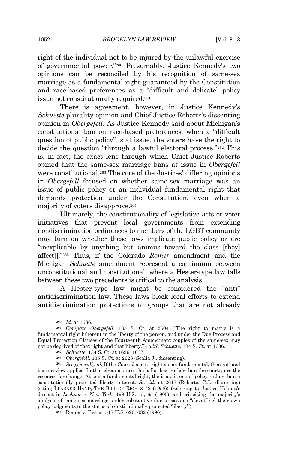right of the individual not to be injured by the unlawful exercise of governmental power." <sup>260</sup> Presumably, Justice Kennedy's two opinions can be reconciled by his recognition of same-sex marriage as a fundamental right guaranteed by the Constitution and race-based preferences as a "difficult and delicate" policy issue not constitutionally required.<sup>261</sup>

There is agreement, however, in Justice Kennedy's *Schuette* plurality opinion and Chief Justice Roberts's dissenting opinion in *Obergefell*. As Justice Kennedy said about Michigan's constitutional ban on race-based preferences, when a "difficult question of public policy" is at issue, the voters have the right to decide the question "through a lawful electoral process." <sup>262</sup> This is, in fact, the exact lens through which Chief Justice Roberts opined that the same-sex marriage bans at issue in *Obergefell* were constitutional.<sup>263</sup> The core of the Justices' differing opinions in *Obergefell* focused on whether same-sex marriage was an issue of public policy or an individual fundamental right that demands protection under the Constitution, even when a majority of voters disapprove.<sup>264</sup>

Ultimately, the constitutionality of legislative acts or voter initiatives that prevent local governments from extending nondiscrimination ordinances to members of the LGBT community may turn on whether these laws implicate public policy or are "inexplicable by anything but animus toward the class [they] affect[]." <sup>265</sup> Thus, if the Colorado *Romer* amendment and the Michigan *Schuette* amendment represent a continuum between unconstitutional and constitutional, where a Hester-type law falls between these two precedents is critical to the analysis.

A Hester*-*type law might be considered the "anti" antidiscrimination law. These laws block local efforts to extend antidiscrimination protections to groups that are not already

<sup>260</sup> *Id.* at 1636.

<sup>261</sup> *Compare Obergefell*, 135 S. Ct. at 2604 ("The right to marry is a fundamental right inherent in the liberty of the person, and under the Due Process and Equal Protection Clauses of the Fourteenth Amendment couples of the same-sex may not be deprived of that right and that liberty."), *with Schuette*, 134 S. Ct. at 1636.

<sup>262</sup> *Schuette*, 134 S. Ct. at 1626, 1637.

<sup>263</sup> *Obergefell*, 135 S. Ct. at 2628 (Scalia J., dissenting).

<sup>264</sup> *See generally id.* If the Court deems a right as not fundamental, then rational basis review applies. In that circumstance, the ballot box, rather than the courts, are the recourse for change. Absent a fundamental right, the issue is one of policy rather than a constitutionally protected liberty interest. *See id.* at 2617 (Roberts, C.J., dissenting) (citing LEARNED HAND, THE BILL OF RIGHTS 42 (1958)) (referring to Justice Holmes's dissent in *Lochner v. New York*, 198 U.S. 45, 65 (1905), and criticizing the majority's analysis of same sex marriage under substantive due process as "elevat[ing] their own policy judgments to the status of constitutionally protected 'liberty'").

<sup>265</sup> Romer v. Evans, 517 U.S. 620, 632 (1996).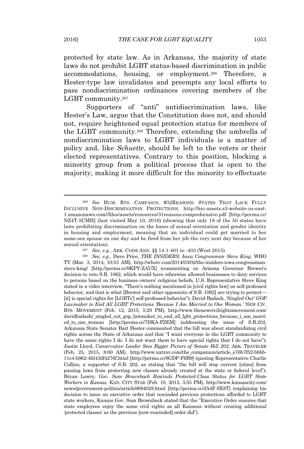protected by state law. As in Arkansas, the majority of state laws do not prohibit LGBT status-based discrimination in public accommodations, housing, or employment.<sup>266</sup> Therefore, a Hester-type law invalidates and preempts any local efforts to pass nondiscrimination ordinances covering members of the LGBT community.<sup>267</sup>

Supporters of "anti" antidiscrimination laws, like Hester's Law, argue that the Constitution does not, and should not, require heightened equal protection status for members of the LGBT community.<sup>268</sup> Therefore, extending the umbrella of nondiscrimination laws to LGBT individuals is a matter of policy and, like *Schuette*, should be left to the voters or their elected representatives. Contrary to this position, blocking a minority group from a political process that is open to the majority, making it more difficult for the minority to effectuate

<sup>266</sup> *See* HUM. RTS. CAMPAIGN, #32REASONS: STATES THAT LACK FULLY INCLUSIVE NON-DISCRIMINATION PROTECTIONS, http://hrc-assets.s3-website-us-east-1.amazonaws.com//files/assets/resources/31reasons-comprehensive.pdf [http://perma.cc/ NZ4T-5CMH] (last visited May 10, 2016) (showing that only 18 of the 50 states have laws prohibiting discrimination on the bases of sexual orientation and gender identity in housing and employment, meaning that an individual could get married to her same-sex spouse on one day and be fired from her job the very next day because of her sexual orientation).

<sup>267</sup> *See, e.g.*, ARK. CODE ANN. §§ 14-1-401 to -403 (West 2015).

<sup>268</sup> *See, e.g*., Dave Price, *THE INSIDERS: Iowa Congressman Steve King*, WHO TV (Mar. 3, 2014, 10:53 AM), http://whotv.com/2014/03/02/the-insiders-iowa-congressmansteve-king/ [http://perma.cc/9KPY-ZAUX] (commenting on Arizona Governor Brewer's decision to veto S.B. 1062, which would have otherwise allowed businesses to deny services to persons based on the business owners' religious beliefs, U.S. Representative Steve King stated in a video interview, "There's nothing mentioned in [civil rights law] on self-professed behavior, and that is what [Brewer and other opponents of S.B. 1062] are trying to protect— [it] is special rights for [LGBTs'] self-professed behavior"); David Badash, *'Singled Out' GOP Lawmaker to End All LGBT Protections 'Because I Am Married to One Woman*,*'* NEW CIV. RTS. MOVEMENT (Feb. 12, 2015, 5:29 PM), http://www.thenewcivilrightsmovement.com/ davidbadash/\_singled\_out\_gop\_lawmaker\_to\_end\_all\_lgbt\_protections\_because\_i\_am\_marri ed\_to\_one\_woman [http://perma.cc/7DKA-FZEM] (addressing the issue of S.B.202, Arkansas State Senator Bart Hester commented that the bill was about standardizing civil rights across the State of Arkansas and that "I want everyone in the LGBT community to have the same rights I do. I do not want them to have special rights that I do not have"); Justin Lloyd, *Conservative Leader Sees Bigger Picture of Senate Bill 202*, ARK. TRAVELER (Feb. 25, 2015, 8:00 AM), http://www.uatrav.com/the\_companion/article\_e76b7f52-bbbb-11e4-b962-4fd43df4276f.html [http://perma.cc/8GDP-F6B9] (quoting Representative Charlie Collins, a supporter of S.B. 202, as stating that "the bill will stop current [cities] from passing laws from protecting new classes already created at the state or federal level"); Bryan Lowry, *Gov. Sam Brownback Rescinds Protected-Class Status for LGBT State Workers in Kansas*, KAN. CITY STAR (Feb. 10, 2015, 3:55 PM), http://www.kansascity.com/ news/government-politics/article9694028.html [http://perma.cc/JA4F-SE8T] (explaining his decision to issue an executive order that rescinded previous protections afforded to LGBT state workers, Kansas Gov. Sam Brownback stated that the "Executive Order ensures that state employees enjoy the same civil rights as all Kansans without creating additional 'protected classes' as the previous [now-rescinded] order did").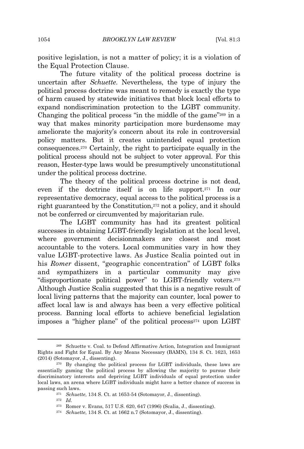positive legislation, is not a matter of policy; it is a violation of the Equal Protection Clause.

The future vitality of the political process doctrine is uncertain after *Schuette*. Nevertheless, the type of injury the political process doctrine was meant to remedy is exactly the type of harm caused by statewide initiatives that block local efforts to expand nondiscrimination protection to the LGBT community. Changing the political process "in the middle of the game" <sup>269</sup> in a way that makes minority participation more burdensome may ameliorate the majority's concern about its role in controversial policy matters. But it creates unintended equal protection consequences.<sup>270</sup> Certainly, the right to participate equally in the political process should not be subject to voter approval. For this reason, Hester-type laws would be presumptively unconstitutional under the political process doctrine.

The theory of the political process doctrine is not dead, even if the doctrine itself is on life support.<sup>271</sup> In our representative democracy, equal access to the political process is a right guaranteed by the Constitution,<sup>272</sup> not a policy, and it should not be conferred or circumvented by majoritarian rule.

The LGBT community has had its greatest political successes in obtaining LGBT-friendly legislation at the local level, where government decisionmakers are closest and most accountable to the voters. Local communities vary in how they value LGBT-protective laws. As Justice Scalia pointed out in his *Romer* dissent, "geographic concentration" of LGBT folks and sympathizers in a particular community may give "disproportionate political power" to LGBT-friendly voters.<sup>273</sup> Although Justice Scalia suggested that this is a negative result of local living patterns that the majority can counter, local power to affect local law is and always has been a very effective political process. Banning local efforts to achieve beneficial legislation imposes a "higher plane" of the political process $274$  upon LGBT

<sup>269</sup> Schuette v. Coal. to Defend Affirmative Action, Integration and Immigrant Rights and Fight for Equal. By Any Means Necessary (BAMN), 134 S. Ct. 1623, 1653 (2014) (Sotomayor, J., dissenting).

<sup>&</sup>lt;sup>270</sup> By changing the political process for LGBT individuals, these laws are essentially gaming the political process by allowing the majority to pursue their discriminatory interests and depriving LGBT individuals of equal protection under local laws, an arena where LGBT individuals might have a better chance of success in passing such laws.

<sup>271</sup> *Schuette*, 134 S. Ct. at 1653-54 (Sotomayor, J., dissenting).

<sup>272</sup> *Id.*

<sup>273</sup> Romer v. Evans, 517 U.S. 620, 647 (1996) (Scalia, J., dissenting).

<sup>274</sup> *Schuette*, 134 S. Ct. at 1662 n.7 (Sotomayor, J., dissenting).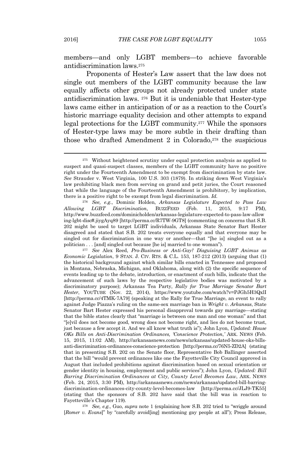members—and only LGBT members—to achieve favorable antidiscrimination laws.<sup>275</sup>

Proponents of Hester's Law assert that the law does not single out members of the LGBT community because the law equally affects other groups not already protected under state antidiscrimination laws. <sup>276</sup> But it is undeniable that Hester-type laws came either in anticipation of or as a reaction to the Court's historic marriage equality decision and other attempts to expand legal protections for the LGBT community.<sup>277</sup> While the sponsors of Hester-type laws may be more subtle in their drafting than those who drafted Amendment 2 in Colorado,<sup>278</sup> the suspicious

<sup>277</sup> *See* Alex Reed, *Pro-Business or Anti-Gay? Disguising LGBT Animus as Economic Legislation*, 9 STAN. J. CIV. RTS. & C.L. 153, 187-212 (2013) (arguing that (1) the historical background against which similar bills enacted in Tennessee and proposed in Montana, Nebraska, Michigan, and Oklahoma, along with (2) the specific sequence of events leading up to the debate, introduction, or enactment of such bills, indicate that the advancement of such laws by the respective legislative bodies was motivated by a discriminatory purpose); Arkansas Tea Party, *Rally for True Marriage Senator Bart Hester*, YOUTUBE (Nov. 22, 2014), https://www.youtube.com/watch?v=PJGh5H3QxlI [http://perma.cc/4TMK-7A79] (speaking at the Rally for True Marriage, an event to rally against Judge Piazza's ruling on the same-sex marriage ban in *Wright v. Arkansas*, State Senator Bart Hester expressed his personal disapproval towards gay marriage—stating that the bible states clearly that "marriage is between one man and one woman" and that "[e]vil does not become good, wrong does not become right, and lies do not become trust, just because a few accept it. And we all know what truth is"); John Lyon, *Updated: House OKs Bills on Anti-Discrimination Ordinances, 'Conscience Protection*,*'* ARK. NEWS (Feb. 15, 2015, 11:02 AM), http://arkansasnews.com/news/arkansas/updated-house-oks-billsanti-discrimination-ordinances-conscience-protection [http://perma.cc/76N5-ZD2A] (stating that in presenting S.B. 202 on the Senate floor, Representative Bob Ballinger asserted that the bill "would prevent ordinances like one the Fayetteville City Council approved in August that included prohibitions against discrimination based on sexual orientation or gender identity in housing, employment and public services"); John Lyon, *Updated: Bill Barring Discrimination Ordinances at City, County Level Becomes Law*, ARK. NEWS (Feb. 24, 2015, 3:30 PM), http://arkansasnews.com/news/arkansas/updated-bill-barringdiscrimination-ordinances-city-county-level-becomes-law [http://perma.cc/JLJ9-TK55] (stating that the sponsors of S.B. 202 have said that the bill was in reaction to Fayetteville's Chapter 119).

<sup>278</sup> *See, e.g.*, Guo, *supra* note 1 (explaining how S.B. 202 tried to "wriggle around [*Romer v. Evans*]" by "carefully avoid[ing] mentioning gay people at all"); Press Release,

<sup>275</sup> Without heightened scrutiny under equal protection analysis as applied to suspect and quasi-suspect classes, members of the LGBT community have no positive right under the Fourteenth Amendment to be exempt from discrimination by state law. *See* Strauder v. West Virginia, 100 U.S. 303 (1879). In striking down West Virginia's law prohibiting black men from serving on grand and petit juries, the Court reasoned that while the language of the Fourteenth Amendment is prohibitory, by implication, there is a positive right to be exempt from legal discrimination. *Id.*

<sup>276</sup> *See, e.g.*, Dominic Holden, *Arkansas Legislature Expected to Pass Law Allowing LGBT Discrimination*, BUZZFEED (Feb. 11, 2015, 9:17 PM), http://www.buzzfeed.com/dominicholden/arkansas-legislature-expected-to-pass-law-allow ing-lgbt-disc#.jiygAyq89 [http://perma.cc/R7TW-9GT8] (commenting on concerns that S.B. 202 might be used to target LGBT individuals, Arkansas State Senator Bart Hester disagreed and stated that S.B. 202 treats everyone equally and that everyone may be singled out for discrimination in one way or another—that "[he is] singled out as a politician . . . [and] singled out because [he is] married to one woman").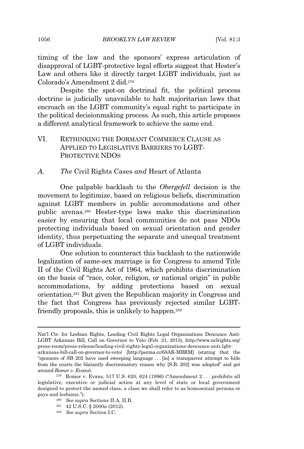timing of the law and the sponsors' express articulation of disapproval of LGBT-protective legal efforts suggest that Hester's Law and others like it directly target LGBT individuals, just as Colorado's Amendment 2 did.<sup>279</sup>

Despite the spot-on doctrinal fit, the political process doctrine is judicially unavailable to halt majoritarian laws that encroach on the LGBT community's equal right to participate in the political decisionmaking process. As such, this article proposes a different analytical framework to achieve the same end.

VI. RETHINKING THE DORMANT COMMERCE CLAUSE AS APPLIED TO LEGISLATIVE BARRIERS TO LGBT-PROTECTIVE NDOS

*A. The* Civil Rights Cases *and* Heart of Atlanta

One palpable backlash to the *Obergefell* decision is the movement to legitimize, based on religious beliefs, discrimination against LGBT members in public accommodations and other public arenas.<sup>280</sup> Hester-type laws make this discrimination easier by ensuring that local communities do not pass NDOs protecting individuals based on sexual orientation and gender identity, thus perpetuating the separate and unequal treatment of LGBT individuals.

One solution to counteract this backlash to the nationwide legalization of same-sex marriage is for Congress to amend Title II of the Civil Rights Act of 1964, which prohibits discrimination on the basis of "race, color, religion, or national origin" in public accommodations, by adding protections based on sexual orientation.<sup>281</sup> But given the Republican majority in Congress and the fact that Congress has previously rejected similar LGBTfriendly proposals, this is unlikely to happen.<sup>282</sup>

Nat'l Ctr. for Lesbian Rights, Leading Civil Rights Legal Organizations Denounce Anti-LGBT Arkansas Bill, Call on Governor to Veto (Feb. 21, 2015), http://www.nclrights.org/ press-room/press-release/leading-civil-rights-legal-organizations-denounce-anti-lgbt-

arkansas-bill-call-on-governor-to-veto/ [http://perma.cc/68AK-MBRM] (stating that the "sponsors of SB 202 have used sweeping language . . . [in] a transparent attempt to hide from the courts the blatantly discriminatory reason why [S.B. 202] was adopted" and get around *Romer v. Evans*).

<sup>279</sup> Romer v. Evans, 517 U.S. 620, 624 (1996) ("Amendment 2 . . . prohibits all legislative, executive or judicial action at any level of state or local government designed to protect the named class, a class we shall refer to as homosexual persons or gays and lesbians.").

<sup>280</sup> *See supra* Sections II.A, II.B.

<sup>281</sup> 42 U.S.C. § 2000a (2012).

<sup>282</sup> *See supra* Section I.C.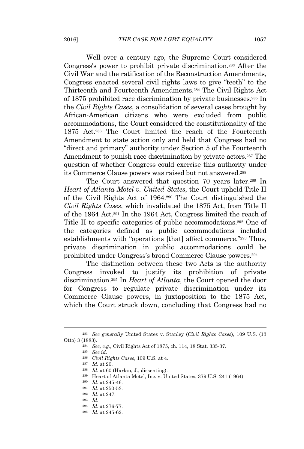Well over a century ago, the Supreme Court considered Congress's power to prohibit private discrimination.<sup>283</sup> After the Civil War and the ratification of the Reconstruction Amendments, Congress enacted several civil rights laws to give "teeth" to the Thirteenth and Fourteenth Amendments.<sup>284</sup> The Civil Rights Act of 1875 prohibited race discrimination by private businesses.<sup>285</sup> In the *Civil Rights Cases*, a consolidation of several cases brought by African-American citizens who were excluded from public accommodations, the Court considered the constitutionality of the 1875 Act.<sup>286</sup> The Court limited the reach of the Fourteenth Amendment to state action only and held that Congress had no "direct and primary" authority under Section 5 of the Fourteenth Amendment to punish race discrimination by private actors.<sup>287</sup> The question of whether Congress could exercise this authority under its Commerce Clause powers was raised but not answered.<sup>288</sup>

The Court answered that question 70 years later.<sup>289</sup> In *Heart of Atlanta Motel v. United States*, the Court upheld Title II of the Civil Rights Act of 1964.<sup>290</sup> The Court distinguished the *Civil Rights Cases*, which invalidated the 1875 Act, from Title II of the 1964 Act.<sup>291</sup> In the 1964 Act, Congress limited the reach of Title II to specific categories of public accommodations.<sup>292</sup> One of the categories defined as public accommodations included establishments with "operations [that] affect commerce." <sup>293</sup> Thus, private discrimination in public accommodations could be prohibited under Congress's broad Commerce Clause powers.<sup>294</sup>

The distinction between these two Acts is the authority Congress invoked to justify its prohibition of private discrimination.<sup>295</sup> In *Heart of Atlanta*, the Court opened the door for Congress to regulate private discrimination under its Commerce Clause powers, in juxtaposition to the 1875 Act, which the Court struck down, concluding that Congress had no

- <sup>290</sup> *Id.* at 245-46.
- <sup>291</sup> *Id.* at 250-53.

<sup>293</sup> *Id.*

<sup>283</sup> *See generally* United States v. Stanley (*Civil Rights Cases*), 109 U.S. (13 Otto) 3 (1883).

<sup>284</sup> *See, e.g.*, Civil Rights Act of 1875, ch. 114, 18 Stat. 335-37.

<sup>285</sup> *See id.*

<sup>286</sup> *Civil Rights Cases*, 109 U.S. at 4.

<sup>287</sup> *Id.* at 20.

<sup>288</sup> *Id.* at 60 (Harlan, J., dissenting).

<sup>289</sup> Heart of Atlanta Motel, Inc. v. United States, 379 U.S. 241 (1964).

<sup>292</sup> *Id.* at 247.

<sup>294</sup> *Id.* at 276-77.

<sup>295</sup> *Id.* at 245-62.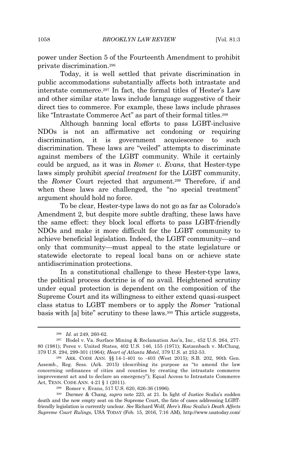power under Section 5 of the Fourteenth Amendment to prohibit private discrimination.<sup>296</sup>

Today, it is well settled that private discrimination in public accommodations substantially affects both intrastate and interstate commerce.<sup>297</sup> In fact, the formal titles of Hester's Law and other similar state laws include language suggestive of their direct ties to commerce. For example, these laws include phrases like "Intrastate Commerce Act" as part of their formal titles.<sup>298</sup>

Although banning local efforts to pass LGBT-inclusive NDOs is not an affirmative act condoning or requiring discrimination, it is government acquiescence to such discrimination. These laws are "veiled" attempts to discriminate against members of the LGBT community. While it certainly could be argued, as it was in *Romer v. Evans*, that Hester-type laws simply prohibit *special treatment* for the LGBT community, the *Romer* Court rejected that argument.<sup>299</sup> Therefore, if and when these laws are challenged, the "no special treatment" argument should hold no force.

To be clear, Hester-type laws do not go as far as Colorado's Amendment 2, but despite more subtle drafting, these laws have the same effect: they block local efforts to pass LGBT-friendly NDOs and make it more difficult for the LGBT community to achieve beneficial legislation. Indeed, the LGBT community—and only that community—must appeal to the state legislature or statewide electorate to repeal local bans on or achieve state antidiscrimination protections.

In a constitutional challenge to these Hester-type laws, the political process doctrine is of no avail. Heightened scrutiny under equal protection is dependent on the composition of the Supreme Court and its willingness to either extend quasi-suspect class status to LGBT members or to apply the *Romer "*rational basis with [a] bite" scrutiny to these laws.<sup>300</sup> This article suggests,

<sup>296</sup> *Id.* at 249, 260-62.

<sup>297</sup> Hodel v. Va. Surface Mining & Reclamation Ass'n, Inc., 452 U.S. 264, 277- 80 (1981); Perez v. United States, 402 U.S. 146, 155 (1971); Katzenbach v. McClung, 379 U.S. 294, 299-301 (1964); *Heart of Atlanta Motel*, 379 U.S. at 252-53.

<sup>298</sup> ARK. CODE ANN. §§ 14-1-401 to -403 (West 2015); S.B. 202, 90th Gen. Assemb., Reg. Sess. (Ark. 2015) (describing its purpose as "to amend the law concerning ordinances of cities and counties by creating the intrastate commerce improvement act and to declare an emergency"); Equal Access to Intrastate Commerce Act, TENN. CODE ANN. 4-21 § 1 (2011).

<sup>299</sup> Romer v. Evans, 517 U.S. 620, 626-36 (1996).

<sup>300</sup> Darmer & Chang, *supra* note 223, at 21. In light of Justice Scalia's sudden death and the now empty seat on the Supreme Court, the fate of cases addressing LGBTfriendly legislation is currently unclear. *See* Richard Wolf, *Here's How Scalia's Death Affects Supreme Court Rulings*, USA TODAY (Feb. 15, 2016, 7:16 AM), http://www.usatoday.com/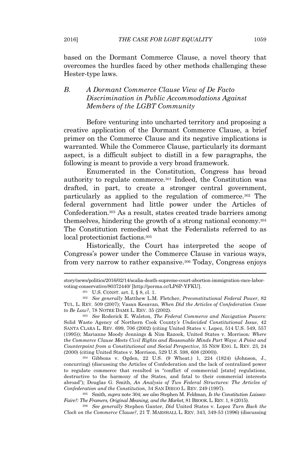based on the Dormant Commerce Clause, a novel theory that overcomes the hurdles faced by other methods challenging these Hester-type laws.

# *B. A Dormant Commerce Clause View of De Facto Discrimination in Public Accommodations Against Members of the LGBT Community*

Before venturing into uncharted territory and proposing a creative application of the Dormant Commerce Clause, a brief primer on the Commerce Clause and its negative implications is warranted. While the Commerce Clause, particularly its dormant aspect, is a difficult subject to distill in a few paragraphs, the following is meant to provide a very broad framework.

Enumerated in the Constitution, Congress has broad authority to regulate commerce.<sup>301</sup> Indeed, the Constitution was drafted, in part, to create a stronger central government, particularly as applied to the regulation of commerce.<sup>302</sup> The federal government had little power under the Articles of Confederation.<sup>303</sup> As a result, states created trade barriers among themselves, hindering the growth of a strong national economy.<sup>304</sup> The Constitution remedied what the Federalists referred to as local protectionist factions.<sup>305</sup>

Historically, the Court has interpreted the scope of Congress's power under the Commerce Clause in various ways, from very narrow to rather expansive.<sup>306</sup> Today, Congress enjoys

<sup>303</sup> *See* Roderick E. Walston, *The Federal Commerce and Navigation Powers:* Solid Waste Agency of Northern Cook County*'s Undecided Constitutional Issue*, 42 SANTA CLARA L. REV. 699, 706 (2002) (citing United States v. Lopez, 514 U.S. 549, 557 (1995)); Marianne Moody Jennings & Nim Razook, United States v. Morrison*: Where the Commerce Clause Meets Civil Rights and Reasonable Minds Part Ways: A Point and Counterpoint from a Constitutional and Social Perspective*, 35 NEW ENG. L. REV. 23, 24 (2000) (citing United States v. Morrison, 529 U.S. 598, 608 (2000)).

<sup>304</sup> Gibbons v. Ogden, 22 U.S. (9 Wheat.) 1, 224 (1824) (Johnson, J., concurring) (discussing the Articles of Confederation and the lack of centralized power to regulate commerce that resulted in "conflict of commercial [state] regulations, destructive to the harmony of the States, and fatal to their commercial interests abroad"); Douglas G. Smith, *An Analysis of Two Federal Structures: The Articles of Confederation and the Constitution*, 34 SAN DIEGO L. REV. 249 (1997).

<sup>305</sup> Smith, *supra* note 304; *see also* Stephen M. Feldman, *Is the Constitution Laissez-Faire?: The Framers, Original Meaning, and the Market*, 81 BROOK.L. REV. 1, 8 (2015).

<sup>306</sup> *See generally* Stephen Ganter, *Did* United States v. Lopez *Turn Back the Clock on the Commerce Clause?*, 21 T. MARSHALL L. REV. 343, 349-53 (1996) (discussing

story/news/politics/2016/02/14/scalia-death-supreme-court-abortion-immigration-race-laborvoting-conservative/80372440/ [http://perma.cc/LP6P-YFKU].

<sup>301</sup> U.S. CONST. art. I, § 8, cl. 1.

<sup>302</sup> *See generally* Matthew L.M. Fletcher, *Preconstitutional Federal Power*, 82 TUL. L. REV. 509 (2007); Vasan Kesavan, *When Did the Articles of Confederation Cease to Be Law?*, 78 NOTRE DAME L. REV. 35 (2002).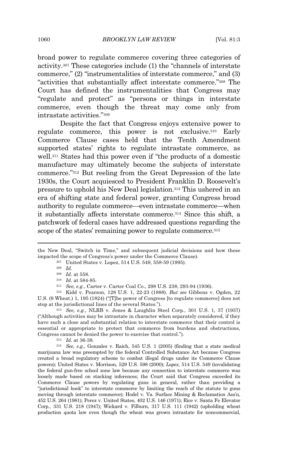broad power to regulate commerce covering three categories of activity.<sup>307</sup> These categories include (1) the "channels of interstate commerce," (2) "instrumentalities of interstate commerce," and (3) "activities that substantially affect interstate commerce." <sup>308</sup> The Court has defined the instrumentalities that Congress may "regulate and protect" as "persons or things in interstate commerce, even though the threat may come only from intrastate activities." 309

Despite the fact that Congress enjoys extensive power to regulate commerce, this power is not exclusive.<sup>310</sup> Early Commerce Clause cases held that the Tenth Amendment supported states' rights to regulate intrastate commerce, as well.<sup>311</sup> States had this power even if "the products of a domestic manufacture may ultimately become the subjects of interstate commerce." <sup>312</sup> But reeling from the Great Depression of the late 1930s, the Court acquiesced to President Franklin D. Roosevelt's pressure to uphold his New Deal legislation.<sup>313</sup> This ushered in an era of shifting state and federal power, granting Congress broad authority to regulate commerce—even intrastate commerce—when it substantially affects interstate commerce.<sup>314</sup> Since this shift, a patchwork of federal cases have addressed questions regarding the scope of the states' remaining power to regulate commerce.<sup>315</sup>

<sup>313</sup> *See, e.g.*, NLRB v. Jones & Laughlin Steel Corp*.*, 301 U.S. 1, 37 (1937) ("Although activities may be intrastate in character when separately considered, if they have such a close and substantial relation to interstate commerce that their control is essential or appropriate to protect that commerce from burdens and obstructions, Congress cannot be denied the power to exercise that control.").

<sup>314</sup> *Id.* at 36-38.

<sup>315</sup> *See, e.g.*, Gonzales v. Raich, 545 U.S. 1 (2005) (finding that a state medical marijuana law was preempted by the federal Controlled Substance Act because Congress created a broad regulatory scheme to combat illegal drugs under its Commerce Clause powers); United States v. Morrison, 529 U.S. 598 (2000); *Lopez*, 514 U.S. 549 (invalidating the federal gun-free school zone law because any connection to interstate commerce was loosely made based on stacking inferences; the Court said that Congress exceeded its Commerce Clause powers by regulating guns in general, rather than providing a "jurisdictional hook" to interstate commerce by limiting the reach of the statute to guns moving through interstate commerce); Hodel v. Va. Surface Mining & Reclamation Ass'n, 452 U.S. 264 (1981); Perez v. United States, 402 U.S. 146 (1971); Rice v. Santa Fe Elevator Corp., 331 U.S. 218 (1947); Wickard v. Filburn, 317 U.S. 111 (1942) (upholding wheat production quota law even though the wheat was grown intrastate for noncommercial,

the New Deal, "Switch in Time," and subsequent judicial decisions and how these impacted the scope of Congress's power under the Commerce Clause).

<sup>307</sup> United States v. Lopez, 514 U.S. 549, 558-59 (1995).

<sup>308</sup> *Id.*

<sup>309</sup> *Id.* at 558.

<sup>310</sup> *Id.* at 584-85.

<sup>311</sup> *See, e.g.*, Carter v. Carter Coal Co., 298 U.S. 238, 293-94 (1936).

<sup>312</sup> Kidd v. Pearson, 128 U.S. 1, 22-23 (1888). *But see* Gibbons v. Ogden, 22 U.S. (9 Wheat.) 1, 195 (1824) ("[T]he power of Congress [to regulate commerce] does not stop at the jurisdictional lines of the several States.").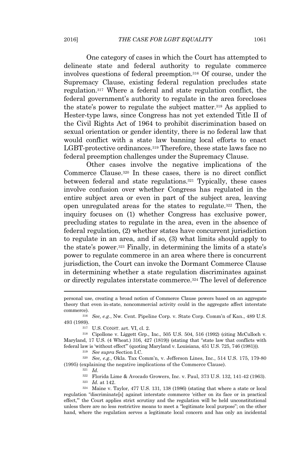One category of cases in which the Court has attempted to delineate state and federal authority to regulate commerce involves questions of federal preemption.<sup>316</sup> Of course, under the Supremacy Clause, existing federal regulation precludes state regulation.<sup>317</sup> Where a federal and state regulation conflict, the federal government's authority to regulate in the area forecloses the state's power to regulate the subject matter.<sup>318</sup> As applied to Hester-type laws, since Congress has not yet extended Title II of the Civil Rights Act of 1964 to prohibit discrimination based on sexual orientation or gender identity, there is no federal law that would conflict with a state law banning local efforts to enact LGBT-protective ordinances.<sup>319</sup> Therefore, these state laws face no federal preemption challenges under the Supremacy Clause.

Other cases involve the negative implications of the Commerce Clause.<sup>320</sup> In these cases, there is no direct conflict between federal and state regulations.<sup>321</sup> Typically, these cases involve confusion over whether Congress has regulated in the entire subject area or even in part of the subject area, leaving open unregulated areas for the states to regulate.<sup>322</sup> Then, the inquiry focuses on (1) whether Congress has exclusive power, precluding states to regulate in the area, even in the absence of federal regulation, (2) whether states have concurrent jurisdiction to regulate in an area, and if so, (3) what limits should apply to the state's power.<sup>323</sup> Finally, in determining the limits of a state's power to regulate commerce in an area where there is concurrent jurisdiction, the Court can invoke the Dormant Commerce Clause in determining whether a state regulation discriminates against or directly regulates interstate commerce.<sup>324</sup> The level of deference

<sup>317</sup> U.S. CONST. art. VI, cl. 2.

<sup>319</sup> *See supra* Section I.C.

<sup>320</sup> *See, e.g.*, Okla. Tax Comm'n, v. Jefferson Lines, Inc., 514 U.S. 175, 179-80 (1995) (explaining the negative implications of the Commerce Clause).

<sup>321</sup> *Id.*

<sup>322</sup> Florida Lime & Avocado Growers, Inc. v. Paul, 373 U.S. 132, 141-42 (1963).

<sup>323</sup> *Id.* at 142.

<sup>324</sup> Maine v. Taylor, 477 U.S. 131, 138 (1986) (stating that where a state or local regulation "discriminate[s] against interstate commerce 'either on its face or in practical effect,'" the Court applies strict scrutiny and the regulation will be held unconstitutional unless there are no less restrictive means to meet a "legitimate local purpose"; on the other hand, where the regulation serves a legitimate local concern and has only an incidental

personal use, creating a broad notion of Commerce Clause powers based on an aggregate theory that even in-state, noncommercial activity could in the aggregate affect interstate commerce).

<sup>316</sup> *See, e.g.*, Nw. Cent. Pipeline Corp. v. State Corp. Comm'n of Kan., 489 U.S. 493 (1989).

<sup>318</sup> Cipollone v. Liggett Grp., Inc., 505 U.S. 504, 516 (1992) (citing McCulloch v. Maryland, 17 U.S. (4 Wheat.) 316, 427 (1819)) (stating that "state law that conflicts with federal law is 'without effect'" (quoting Maryland v. Louisiana, 451 U.S. 725, 746 (1981))).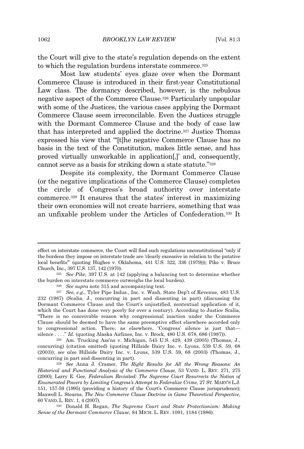the Court will give to the state's regulation depends on the extent to which the regulation burdens interstate commerce.<sup>325</sup>

Most law students' eyes glaze over when the Dormant Commerce Clause is introduced in their first-year Constitutional Law class. The dormancy described, however, is the nebulous negative aspect of the Commerce Clause.<sup>326</sup> Particularly unpopular with some of the Justices, the various cases applying the Dormant Commerce Clause seem irreconcilable. Even the Justices struggle with the Dormant Commerce Clause and the body of case law that has interpreted and applied the doctrine.<sup>327</sup> Justice Thomas expressed his view that "'[t]he negative Commerce Clause has no basis in the text of the Constitution, makes little sense, and has proved virtually unworkable in application[,]' and, consequently, cannot serve as a basis for striking down a state statute." 328

Despite its complexity, the Dormant Commerce Clause (or the negative implications of the Commerce Clause) completes the circle of Congress's broad authority over interstate commerce.<sup>329</sup> It ensures that the states' interest in maximizing their own economies will not create barriers, something that was an unfixable problem under the Articles of Confederation.<sup>330</sup> It

effect on interstate commerce, the Court will find such regulations unconstitutional "only if the burdens they impose on interstate trade are 'clearly excessive in relation to the putative local benefits'" (quoting Hughes v. Oklahoma, 441 U.S. 322, 336 (1979))); Pike v. Bruce Church, Inc., 397 U.S. 137, 142 (1970).

<sup>325</sup> *See Pike*, 397 U.S. at 142 (applying a balancing test to determine whether the burden on interstate commerce outweighs the local burden).

<sup>326</sup> *See supra* note 315 and accompanying text.

<sup>327</sup> *See, e.g.*, Tyler Pipe Indus., Inc. v. Wash. State Dep't of Revenue, 483 U.S. 232 (1987) (Scalia, J., concurring in part and dissenting in part) (discussing the Dormant Commerce Clause and the Court's unjustified, nontextual application of it, which the Court has done very poorly for over a century). According to Justice Scalia, "There is no conceivable reason why congressional inaction under the Commerce Clause should be deemed to have the same preemptive effect elsewhere accorded only to congressional action. There, as elsewhere, 'Congress' silence is just that silence . . . ." *Id.* (quoting Alaska Airlines, Inc. v. Brock, 480 U.S. 678, 686 (1987)).

<sup>328</sup> Am. Trucking Ass'ns v. Michigan, 545 U.S. 429, 439 (2005) (Thomas, J., concurring) (citation omitted) (quoting Hillside Dairy Inc. v. Lyons, 539 U.S. 59, 68 (2003)); *see also* Hillside Dairy Inc. v. Lyons, 539 U.S. 59, 68 (2003) (Thomas, J., concurring in part and dissenting in part).

<sup>329</sup> *See* Anna J. Cramer, *The Right Results for All the Wrong Reasons: An Historical and Functional Analysis of the Commerce Clause*, 53 VAND. L. REV. 271, 275 (2000); Larry E. Gee, *Federalism Revisited: The Supreme Court Resurrects the Notion of Enumerated Powers by Limiting Congress's Attempt to Federalize Crime*, 27 ST. MARY'S L.J. 151, 157-59 (1995) (providing a history of the Court's Commerce Clause jurisprudence); Maxwell L. Stearns, *The New Commerce Clause Doctrine in Game Theoretical Perspective*, 60 VAND. L. REV. 1, 4 (2007).

<sup>330</sup> Donald H. Regan, *The Supreme Court and State Protectionism: Making Sense of the Dormant Commerce Clause*, 84 MICH. L. REV. 1091, 1184 (1986).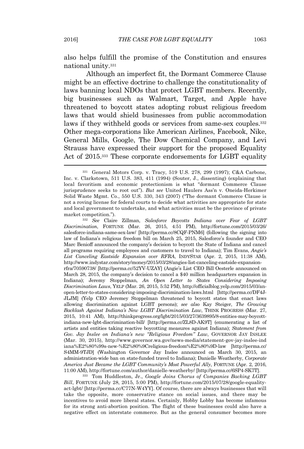also helps fulfill the promise of the Constitution and ensures national unity.<sup>331</sup>

Although an imperfect fit, the Dormant Commerce Clause might be an effective doctrine to challenge the constitutionality of laws banning local NDOs that protect LGBT members. Recently, big businesses such as Walmart, Target, and Apple have threatened to boycott states adopting robust religious freedom laws that would shield businesses from public accommodation laws if they withheld goods or services from same-sex couples.<sup>332</sup> Other mega-corporations like American Airlines, Facebook, Nike, General Mills, Google, The Dow Chemical Company, and Levi Strauss have expressed their support for the proposed Equality Act of 2015.<sup>333</sup> These corporate endorsements for LGBT equality

<sup>332</sup> *See* Claire Zillman, *Salesforce Boycotts Indiana over Fear of LGBT Discrimination*, FORTUNE (Mar. 26, 2015, 4:51 PM), http://fortune.com/2015/03/26/ salesforce-indiana-same-sex-law/ [http://perma.cc/8CQF-PNM6] (following the signing into law of Indiana's religious freedom bill on March 25, 2015, Salesforce's founder and CEO Marc Benioff announced the company's decision to boycott the State of Indiana and cancel all programs requiring employees and customers to travel to Indiana); Tim Evans, *Angie's List Canceling Eastside Expansion over RFRA*, INDYSTAR (Apr. 2, 2015, 11:38 AM), http://www.indystar.com/story/money/2015/03/28/angies-list-canceling-eastside-expansionrfra/70590738/ [http://perma.cc/52YV-UZAY] (Angie's List CEO Bill Oesterle announced on March 28, 2015, the company's decision to cancel a \$40 million headquarters expansion in Indiana); Jeremy Stoppelman, *An Open Letter to States Considering Imposing Discrimination Laws*, YELP (Mar. 26, 2015, 5:52 PM), http://officialblog.yelp.com/2015/03/anopen-letter-to-states-considering-imposing-discrimination-laws.html [http://perma.cc/DF4J-JLJM] (Yelp CEO Jeremey Stoppelman threatened to boycott states that enact laws allowing discrimination against LGBT persons); *see also* Kay Steiger, *The Growing Backlash Against Indiana's New LGBT Discrimination Law*, THINK PROGRESS (Mar. 27, 2015, 10:41 AM), http://thinkprogress.org/lgbt/2015/03/27/3639895/8-entities-may-boycottindiana-new-lgbt-discrimination-bill/ [http://perma.cc/ZL8D-AK9T] (enumerating a list of artists and entities taking reactive boycotting measures against Indiana); *Statement from Gov. Jay Inslee on Indiana's new "Religious Freedom" Law*, GOVERNOR JAY INSLEE (Mar. 30, 2015), http://www.governor.wa.gov/news-media/statement-gov-jay-inslee-ind iana%E2%80%99s-new-%E2%80%9Creligious-freedom%E2%80%9D-law [http://perma.cc/ S4MM-9TJD] (Washington Governor Jay Inslee announced on March 30, 2015, an administration-wide ban on state-funded travel to Indiana); Danielle Weatherby, *Corporate America Just Became the LGBT Community's Most Powerful Ally*, FORTUNE (Apr. 2, 2016, 11:00 AM), http://fortune.com/author/danielle-weatherby/ [http://perma.cc/6SP4-SK7T].

<sup>333</sup> Tom Huddleston, Jr., *Google Joins Chorus of Companies Backing LGBT Bill*, FORTUNE (July 28, 2015, 5:00 PM), http://fortune.com/2015/07/28/google-equalityact-lgbt/ [http://perma.cc/C77N-W4YY]. Of course, there are always businesses that will take the opposite, more conservative stance on social issues, and there may be incentives to avoid more liberal states. Certainly, Hobby Lobby has become infamous for its strong anti-abortion position. The flight of these businesses could also have a negative effect on interstate commerce. But as the general consumer becomes more

<sup>331</sup> General Motors Corp. v. Tracy, 519 U.S. 278, 299 (1997); C&A Carbone, Inc. v. Clarkstown, 511 U.S. 383, 411 (1994) (Souter, J., dissenting) (explaining that local favoritism and economic protectionism is what "dormant Commerce Clause jurisprudence seeks to root out"). *But see* United Haulers Ass'n v. Oneida-Herkimer Solid Waste Mgmt. Co., 550 U.S. 330, 343 (2007) ("The dormant Commerce Clause is not a roving license for federal courts to decide what activities are appropriate for state and local government to undertake, and what activities must be the province of private market competition.").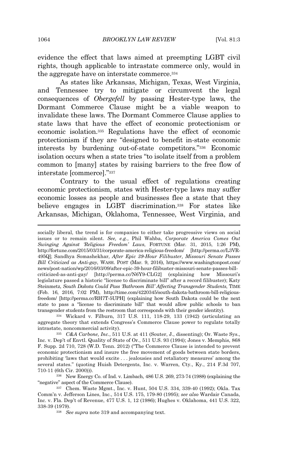evidence the effect that laws aimed at preempting LGBT civil rights, though applicable to intrastate commerce only, would in the aggregate have on interstate commerce.<sup>334</sup>

As states like Arkansas, Michigan, Texas, West Virginia, and Tennessee try to mitigate or circumvent the legal consequences of *Obergefell* by passing Hester-type laws, the Dormant Commerce Clause might be a viable weapon to invalidate these laws. The Dormant Commerce Clause applies to state laws that have the effect of economic protectionism or economic isolation.<sup>335</sup> Regulations have the effect of economic protectionism if they are "designed to benefit in-state economic interests by burdening out-of-state competitors." <sup>336</sup> Economic isolation occurs when a state tries "to isolate itself from a problem common to [many] states by raising barriers to the free flow of interstate [commerce]." 337

Contrary to the usual effect of regulations creating economic protectionism, states with Hester-type laws may suffer economic losses as people and businesses flee a state that they believe engages in LGBT discrimination.<sup>338</sup> For states like Arkansas, Michigan, Oklahoma, Tennessee, West Virginia, and

<sup>334</sup> Wickard v. Filburn, 317 U.S. 111, 118-29, 133 (1942) (articulating an aggregate theory that extends Congress's Commerce Clause power to regulate totally intrastate, noncommercial activity).

<sup>335</sup> *C&A Carbone, Inc.*, 511 U.S. at 411 (Souter, J., dissenting); Or. Waste Sys., Inc. v. Dep't of Envtl. Quality of State of Or., 511 U.S. 93 (1994); Jones v. Memphis, 868 F. Supp. 2d 710, 728 (W.D. Tenn. 2012) ("The Commerce Clause is intended to prevent economic protectionism and insure the free movement of goods between state borders, prohibiting 'laws that would excite . . . jealousies and retaliatory measures' among the several states." (quoting Huish Detergents, Inc. v. Warren, Cty., Ky., 214 F.3d 707, 710-11 (6th Cir. 2000))).

<sup>336</sup> New Energy Co. of Ind. v. Limbach, 486 U.S. 269, 273-74 (1988) (explaining the "negative" aspect of the Commerce Clause).

<sup>337</sup> Chem. Waste Mgmt., Inc. v. Hunt, 504 U.S. 334, 339-40 (1992); Okla. Tax Comm'n v. Jefferson Lines, Inc., 514 U.S. 175, 179-80 (1995); *see also* Wardair Canada, Inc. v. Fla. Dep't of Revenue, 477 U.S. 1, 12 (1986); Hughes v. Oklahoma, 441 U.S. 322, 338-39 (1979).

<sup>338</sup> *See supra* note 319 and accompanying text.

socially liberal, the trend is for companies to either take progressive views on social issues or to remain silent. *See, e.g.*, Phil Wahba, *Corporate America Comes Out Swinging Against 'Religious Freedom' Laws*, FORTUNE (Mar. 31, 2015, 1:26 PM), http://fortune.com/2015/03/31/corporate-america-religious-freedom/ [http://perma.cc/L3VR-495Q]; Sandhya Somashekhar, *After Epic 39-Hour Filibuster, Missouri Senate Passes Bill Criticized as Anti-gay*, WASH. POST (Mar. 9, 2016), https://www.washingtonpost.com/ news/post-nation/wp/2016/03/09/after-epic-39-hour-filibuster-missouri-senate-passes-billcriticized-as-anti-gay/ [http://perma.cc/N6Y9-CLG2] (explaining how Missouri's legislature passed a historic "license to discriminate bill" after a record filibuster); Katy Steinmetz, *South Dakota Could Pass 'Bathroom Bill' Affecting Transgender Students*, TIME (Feb. 16, 2016, 7:02 PM), http://time.com/4220345/south-dakota-bathroom-bill-religiousfreedom/ [http://perma.cc/RH7T-5UPH] (explaining how South Dakota could be the next state to pass a "license to discriminate bill" that would allow public schools to ban transgender students from the restroom that corresponds with their gender identity).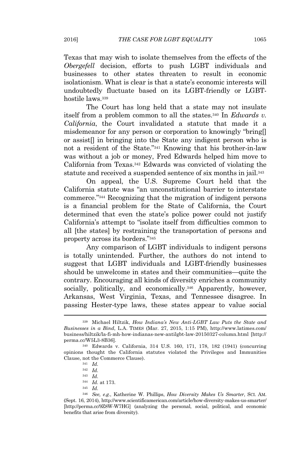Texas that may wish to isolate themselves from the effects of the *Obergefell* decision, efforts to push LGBT individuals and businesses to other states threaten to result in economic isolationism. What is clear is that a state's economic interests will undoubtedly fluctuate based on its LGBT-friendly or LGBThostile laws.<sup>339</sup>

The Court has long held that a state may not insulate itself from a problem common to all the states.<sup>340</sup> In *Edwards v. California*, the Court invalidated a statute that made it a misdemeanor for any person or corporation to knowingly "bring[] or assist[] in bringing into the State any indigent person who is not a resident of the State." <sup>341</sup> Knowing that his brother-in-law was without a job or money, Fred Edwards helped him move to California from Texas.<sup>342</sup> Edwards was convicted of violating the statute and received a suspended sentence of six months in jail.<sup>343</sup>

On appeal, the U.S. Supreme Court held that the California statute was "an unconstitutional barrier to interstate commerce." <sup>344</sup> Recognizing that the migration of indigent persons is a financial problem for the State of California, the Court determined that even the state's police power could not justify California's attempt to "isolate itself from difficulties common to all [the states] by restraining the transportation of persons and property across its borders." 345

Any comparison of LGBT individuals to indigent persons is totally unintended. Further, the authors do not intend to suggest that LGBT individuals and LGBT-friendly businesses should be unwelcome in states and their communities—quite the contrary. Encouraging all kinds of diversity enriches a community socially, politically, and economically.<sup>346</sup> Apparently, however, Arkansas, West Virginia, Texas, and Tennessee disagree. In passing Hester-type laws, these states appear to value social

<sup>339</sup> Michael Hiltzik, *How Indiana's New Anti-LGBT Law Puts the State and Businesses in a Bind*, L.A. TIMES (Mar. 27, 2015, 1:15 PM), http://www.latimes.com/ business/hiltzik/la-fi-mh-how-indianas-new-antilgbt-law-20150327-column.html [http:// perma.cc/W5L3-8B36].

<sup>340</sup> Edwards v. California, 314 U.S. 160, 171, 178, 182 (1941) (concurring opinions thought the California statutes violated the Privileges and Immunities Clause, not the Commerce Clause).

<sup>341</sup> *Id.*

<sup>342</sup> *Id.*

<sup>343</sup> *Id.*

<sup>344</sup> *Id.* at 173.

<sup>345</sup> *Id.*

<sup>346</sup> *See, e.g.*, Katherine W. Phillips, *How Diversity Makes Us Smarter*, SCI. AM. (Sept. 16, 2014), http://www.scientificamerican.com/article/how-diversity-makes-us-smarter/ [http://perma.cc/9Z8W-W7HG] (analyzing the personal, social, political, and economic benefits that arise from diversity).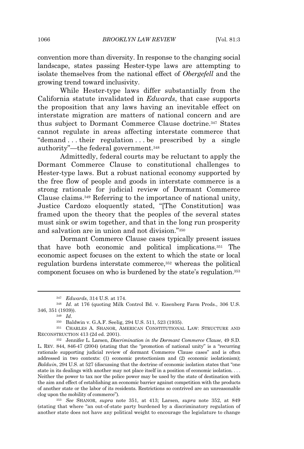convention more than diversity. In response to the changing social landscape, states passing Hester-type laws are attempting to isolate themselves from the national effect of *Obergefell* and the growing trend toward inclusivity.

While Hester-type laws differ substantially from the California statute invalidated in *Edwards*, that case supports the proposition that any laws having an inevitable effect on interstate migration are matters of national concern and are thus subject to Dormant Commerce Clause doctrine.<sup>347</sup> States cannot regulate in areas affecting interstate commerce that "demand . . . their regulation . . . be prescribed by a single authority"—the federal government.<sup>348</sup>

Admittedly, federal courts may be reluctant to apply the Dormant Commerce Clause to constitutional challenges to Hester-type laws. But a robust national economy supported by the free flow of people and goods in interstate commerce is a strong rationale for judicial review of Dormant Commerce Clause claims.<sup>349</sup> Referring to the importance of national unity, Justice Cardozo eloquently stated, "[The Constitution] was framed upon the theory that the peoples of the several states must sink or swim together, and that in the long run prosperity and salvation are in union and not division." 350

Dormant Commerce Clause cases typically present issues that have both economic and political implications.<sup>351</sup> The economic aspect focuses on the extent to which the state or local regulation burdens interstate commerce,<sup>352</sup> whereas the political component focuses on who is burdened by the state's regulation.<sup>353</sup>

<sup>353</sup> *See* SHANOR, *supra* note 351, at 413; Larsen, *supra* note 352, at 849 (stating that where "an out-of-state party burdened by a discriminatory regulation of another state does not have any political weight to encourage the legislature to change

<sup>347</sup> *Edwards*, 314 U.S. at 174.

<sup>348</sup> *Id.* at 176 (quoting Milk Control Bd. v. Eisenberg Farm Prods., 306 U.S. 346, 351 (1939)).

<sup>349</sup> *Id*.

<sup>350</sup> Baldwin v. G.A.F. Seelig, 294 U.S. 511, 523 (1935).

<sup>351</sup> CHARLES A. SHANOR, AMERICAN CONSTITUTIONAL LAW: STRUCTURE AND RECONSTRUCTION 413 (2d ed. 2001).

<sup>352</sup> Jennifer L. Larsen, *Discrimination in the Dormant Commerce Clause*, 49 S.D. L. REV. 844, 846-47 (2004) (stating that the "promotion of national unity" is a "recurring rationale supporting judicial review of dormant Commerce Clause cases" and is often addressed in two contexts: (1) economic protectionism and (2) economic isolationism); *Baldwin*, 294 U.S. at 527 (discussing that the doctrine of economic isolation states that "one state in its dealings with another may not place itself in a position of economic isolation. . . . Neither the power to tax nor the police power may be used by the state of destination with the aim and effect of establishing an economic barrier against competition with the products of another state or the labor of its residents. Restrictions so contrived are an unreasonable clog upon the mobility of commerce").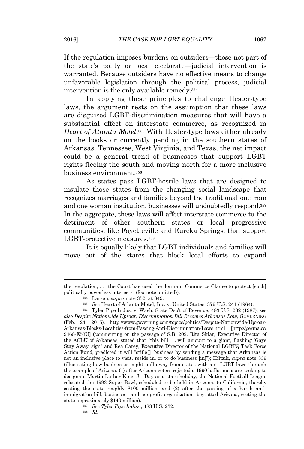If the regulation imposes burdens on outsiders—those not part of the state's polity or local electorate—judicial intervention is warranted. Because outsiders have no effective means to change unfavorable legislation through the political process, judicial intervention is the only available remedy.<sup>354</sup>

In applying these principles to challenge Hester-type laws, the argument rests on the assumption that these laws are disguised LGBT-discrimination measures that will have a substantial effect on interstate commerce, as recognized in *Heart of Atlanta Motel*. <sup>355</sup> With Hester-type laws either already on the books or currently pending in the southern states of Arkansas, Tennessee, West Virginia, and Texas, the net impact could be a general trend of businesses that support LGBT rights fleeing the south and moving north for a more inclusive business environment.<sup>356</sup>

As states pass LGBT-hostile laws that are designed to insulate those states from the changing social landscape that recognizes marriages and families beyond the traditional one man and one woman institution, businesses will undoubtedly respond.<sup>357</sup> In the aggregate, these laws will affect interstate commerce to the detriment of other southern states or local progressive communities, like Fayetteville and Eureka Springs, that support LGBT-protective measures.<sup>358</sup>

It is equally likely that LGBT individuals and families will move out of the states that block local efforts to expand

<sup>357</sup> *See Tyler Pipe Indus.*, 483 U.S. 232. <sup>358</sup> *Id.*

the regulation, . . . the Court has used the dormant Commerce Clause to protect [such] politically powerless interests" (footnote omitted)).

<sup>354</sup> Larsen, *supra* note 352, at 849.

<sup>355</sup> *See* Heart of Atlanta Motel, Inc. v. United States, 379 U.S. 241 (1964).

<sup>356</sup> Tyler Pipe Indus. v. Wash. State Dep't of Revenue, 483 U.S. 232 (1987); s*ee also Despite Nationwide Uproar, Discrimination Bill Becomes Arkansas Law*, GOVERNING (Feb. 24, 2015), http://www.governing.com/topics/politics/Despite-Nationwide-Uproar-Arkansas-Blocks-Localities-from-Passing-Anti-Discrimination-Laws.html [http://perma.cc/ 9468-E53U] (commenting on the passage of S.B. 202, Rita Sklar, Executive Director of the ACLU of Arkansas, stated that "this bill . . . will amount to a giant, flashing 'Gays Stay Away' sign" and Rea Carey, Executive Director of the National LGBTQ Task Force Action Fund, predicted it will "stifle[] business by sending a message that Arkansas is not an inclusive place to visit, reside in, or to do business [in]"); Hiltzik, *supra* note 339 (illustrating how businesses might pull away from states with anti-LGBT laws through the example of Arizona: (1) after Arizona voters rejected a 1990 ballot measure seeking to designate Martin Luther King, Jr. Day as a state holiday, the National Football League relocated the 1993 Super Bowl, scheduled to be held in Arizona, to California, thereby costing the state roughly \$100 million; and (2) after the passing of a harsh antiimmigration bill, businesses and nonprofit organizations boycotted Arizona, costing the state approximately \$140 million).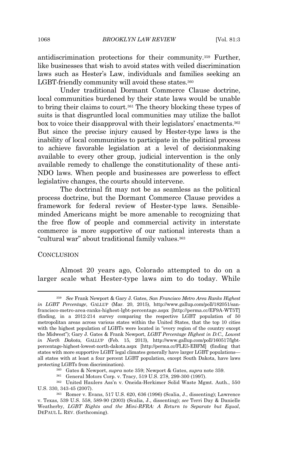antidiscrimination protections for their community.<sup>359</sup> Further, like businesses that wish to avoid states with veiled discrimination laws such as Hester's Law, individuals and families seeking an LGBT-friendly community will avoid these states.<sup>360</sup>

Under traditional Dormant Commerce Clause doctrine, local communities burdened by their state laws would be unable to bring their claims to court.<sup>361</sup> The theory blocking these types of suits is that disgruntled local communities may utilize the ballot box to voice their disapproval with their legislators' enactments.<sup>362</sup> But since the precise injury caused by Hester-type laws is the inability of local communities to participate in the political process to achieve favorable legislation at a level of decisionmaking available to every other group, judicial intervention is the only available remedy to challenge the constitutionality of these anti-NDO laws. When people and businesses are powerless to effect legislative changes, the courts should intervene.

The doctrinal fit may not be as seamless as the political process doctrine, but the Dormant Commerce Clause provides a framework for federal review of Hester-type laws. Sensibleminded Americans might be more amenable to recognizing that the free flow of people and commercial activity in interstate commerce is more supportive of our national interests than a "cultural war" about traditional family values.<sup>363</sup>

#### **CONCLUSION**

Almost 20 years ago, Colorado attempted to do on a larger scale what Hester-type laws aim to do today. While

<sup>359</sup> *See* Frank Newport & Gary J. Gates, *San Francisco Metro Area Ranks Highest in LGBT Percentage*, GALLUP (Mar. 20, 2015), http://www.gallup.com/poll/182051/sanfrancisco-metro-area-ranks-highest-lgbt-percentage.aspx [http://perma.cc/EF9A-WT5T] (finding, in a 2012-214 survey comparing the respective LGBT population of 50 metropolitan areas across various states within the United States, that the top 10 cities with the highest population of LGBTs were located in "every region of the country except the Midwest"); Gary J. Gates & Frank Newport, *LGBT Percentage Highest in D.C., Lowest in North Dakota*, GALLUP (Feb. 15, 2013), http://www.gallup.com/poll/160517/lgbtpercentage-highest-lowest-north-dakota.aspx [http://perma.cc/FLE5-EBFM] (finding that states with more supportive LGBT legal climates generally have larger LGBT populations all states with at least a four percent LGBT population, except South Dakota, have laws protecting LGBTs from discrimination).

<sup>360</sup> Gates & Newport, *supra* note 359; Newport & Gates, *supra* note 359.

<sup>361</sup> General Motors Corp. v. Tracy, 519 U.S. 278, 299-300 (1997).

<sup>362</sup> United Haulers Ass'n v. Oneida-Herkimer Solid Waste Mgmt. Auth., 550 U.S. 330, 343-45 (2007).

<sup>363</sup> Romer v. Evans, 517 U.S. 620, 636 (1996) (Scalia, J., dissenting); Lawrence v. Texas, 539 U.S. 558, 589-90 (2003) (Scalia, J., dissenting); *see* Terri Day & Danielle Weatherby, *LGBT Rights and the Mini-RFRA: A Return to Separate but Equal*, DEPAUL L. REV. (forthcoming).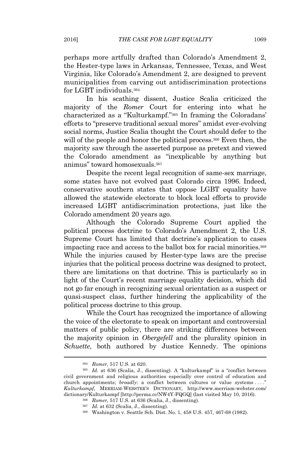perhaps more artfully drafted than Colorado's Amendment 2, the Hester-type laws in Arkansas, Tennessee, Texas, and West Virginia, like Colorado's Amendment 2, are designed to prevent municipalities from carving out antidiscrimination protections for LGBT individuals.<sup>364</sup>

In his scathing dissent, Justice Scalia criticized the majority of the *Romer* Court for entering into what he characterized as a "Kulturkampf." <sup>365</sup> In framing the Coloradans' efforts to "preserve traditional sexual mores" amidst ever-evolving social norms, Justice Scalia thought the Court should defer to the will of the people and honor the political process.<sup>366</sup> Even then, the majority saw through the asserted purpose as pretext and viewed the Colorado amendment as "inexplicable by anything but animus" toward homosexuals.<sup>367</sup>

Despite the recent legal recognition of same-sex marriage, some states have not evolved past Colorado circa 1996. Indeed, conservative southern states that oppose LGBT equality have allowed the statewide electorate to block local efforts to provide increased LGBT antidiscrimination protections, just like the Colorado amendment 20 years ago.

Although the Colorado Supreme Court applied the political process doctrine to Colorado's Amendment 2, the U.S. Supreme Court has limited that doctrine's application to cases impacting race and access to the ballot box for racial minorities.<sup>368</sup> While the injuries caused by Hester-type laws are the precise injuries that the political process doctrine was designed to protect, there are limitations on that doctrine. This is particularly so in light of the Court's recent marriage equality decision, which did not go far enough in recognizing sexual orientation as a suspect or quasi-suspect class, further hindering the applicability of the political process doctrine to this group.

While the Court has recognized the importance of allowing the voice of the electorate to speak on important and controversial matters of public policy, there are striking differences between the majority opinion in *Obergefell* and the plurality opinion in *Schuette*, both authored by Justice Kennedy. The opinions

<sup>364</sup> *Romer*, 517 U.S. at 620.

<sup>365</sup> *Id.* at 636 (Scalia, J., dissenting). A "kulturkampf" is a "conflict between civil government and religious authorities especially over control of education and church appointments; *broadly*: a conflict between cultures or value systems . . . ." *Kulturkampf*, MERRIAM-WEBSTER'S DICTIONARY, http://www.merriam-webster.com/ dictionary/Kulturkampf [http://perma.cc/NW4Y-FQGQ] (last visited May 10, 2016).

<sup>366</sup> *Romer*, 517 U.S. at 636 (Scalia, J., dissenting).

<sup>367</sup> *Id.* at 632 (Scalia, J., dissenting).

<sup>368</sup> Washington v. Seattle Sch. Dist. No. 1, 458 U.S. 457, 467-68 (1982).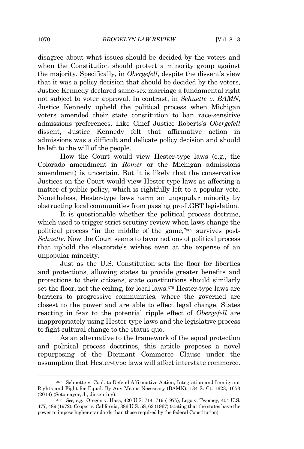disagree about what issues should be decided by the voters and when the Constitution should protect a minority group against the majority. Specifically, in *Obergefell*, despite the dissent's view that it was a policy decision that should be decided by the voters, Justice Kennedy declared same-sex marriage a fundamental right not subject to voter approval. In contrast, in *Schuette v. BAMN*, Justice Kennedy upheld the political process when Michigan voters amended their state constitution to ban race-sensitive admissions preferences. Like Chief Justice Roberts's *Obergefell* dissent, Justice Kennedy felt that affirmative action in admissions was a difficult and delicate policy decision and should be left to the will of the people.

How the Court would view Hester-type laws (e.g., the Colorado amendment in *Romer* or the Michigan admissions amendment) is uncertain. But it is likely that the conservative Justices on the Court would view Hester-type laws as affecting a matter of public policy, which is rightfully left to a popular vote. Nonetheless, Hester-type laws harm an unpopular minority by obstructing local communities from passing pro-LGBT legislation.

It is questionable whether the political process doctrine, which used to trigger strict scrutiny review when laws change the political process "in the middle of the game," <sup>369</sup> survives post-*Schuette*. Now the Court seems to favor notions of political process that uphold the electorate's wishes even at the expense of an unpopular minority.

Just as the U.S. Constitution sets the floor for liberties and protections, allowing states to provide greater benefits and protections to their citizens, state constitutions should similarly set the floor, not the ceiling, for local laws.<sup>370</sup> Hester-type laws are barriers to progressive communities, where the governed are closest to the power and are able to effect legal change. States reacting in fear to the potential ripple effect of *Obergefell* are inappropriately using Hester-type laws and the legislative process to fight cultural change to the status quo.

As an alternative to the framework of the equal protection and political process doctrines, this article proposes a novel repurposing of the Dormant Commerce Clause under the assumption that Hester-type laws will affect interstate commerce.

<sup>369</sup> Schuette v. Coal. to Defend Affirmative Action, Integration and Immigrant Rights and Fight for Equal. By Any Means Necessary (BAMN), 134 S. Ct. 1623, 1653 (2014) (Sotomayor, J., dissenting).

<sup>370</sup> *See, e.g.*, Oregon v. Hass, 420 U.S. 714, 719 (1975); Lego v. Twomey, 404 U.S. 477, 489 (1972); Cooper v. California, 386 U.S. 58, 62 (1967) (stating that the states have the power to impose higher standards than those required by the federal Constitution).